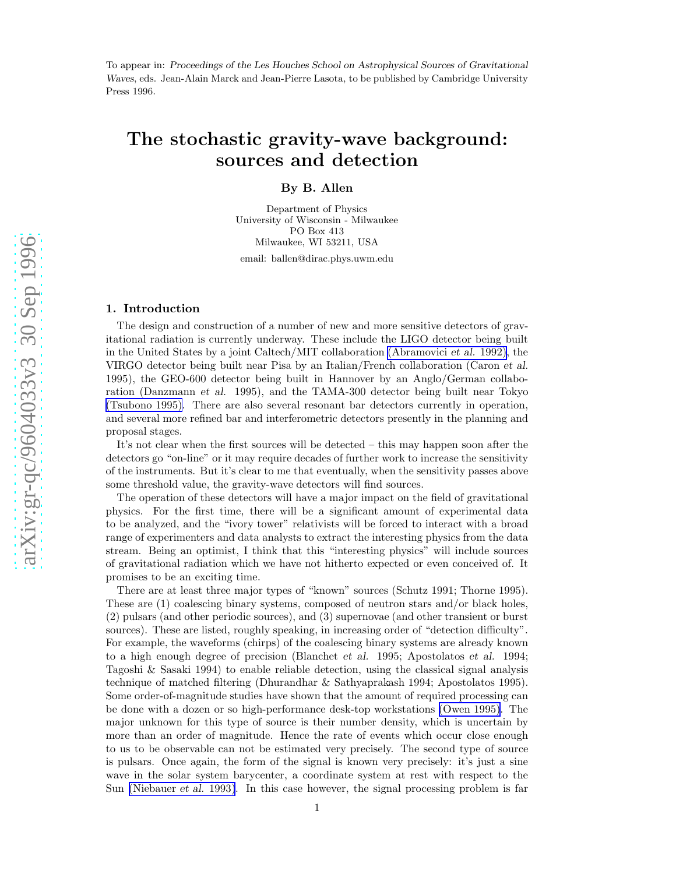To appear in: *Proceedings of the Les Houches School on Astrophysical Sources of Gravitational Waves*, eds. Jean-Alain Marck and Jean-Pierre Lasota, to be published by Cambridge University Press 1996.

# The stochastic gravity-wave background: sources and detection

# By B. Allen

Department of Physics University of Wisconsin - Milwaukee PO Box 413 Milwaukee, WI 53211, USA

email: ballen@dirac.phys.uwm.edu

# 1. Introduction

The design and construction of a number of new and more sensitive detectors of gravitational radiation is currently underway. These include the LIGO detector being built in the United States by a joint Caltech/MIT collaboration [\(Abramovici](#page-42-0) et al. 1992), the VIRGO detector being built near Pisa by an Italian/French collaboration (Caron et al. 1995), the GEO-600 detector being built in Hannover by an Anglo/German collaboration (Danzmann et al. 1995), and the TAMA-300 detector being built near Tokyo [\(Tsubono 1995\).](#page-44-0) There are also several resonant bar detectors currently in operation, and several more refined bar and interferometric detectors presently in the planning and proposal stages.

It's not clear when the first sources will be detected – this may happen soon after the detectors go "on-line" or it may require decades of further work to increase the sensitivity of the instruments. But it's clear to me that eventually, when the sensitivity passes above some threshold value, the gravity-wave detectors will find sources.

The operation of these detectors will have a major impact on the field of gravitational physics. For the first time, there will be a significant amount of experimental data to be analyzed, and the "ivory tower" relativists will be forced to interact with a broad range of experimenters and data analysts to extract the interesting physics from the data stream. Being an optimist, I think that this "interesting physics" will include sources of gravitational radiation which we have not hitherto expected or even conceived of. It promises to be an exciting time.

There are at least three major types of "known" sources (Schutz 1991; Thorne 1995). These are (1) coalescing binary systems, composed of neutron stars and/or black holes, (2) pulsars (and other periodic sources), and (3) supernovae (and other transient or burst sources). These are listed, roughly speaking, in increasing order of "detection difficulty". For example, the waveforms (chirps) of the coalescing binary systems are already known to a high enough degree of precision (Blanchet et al. 1995; Apostolatos et al. 1994; Tagoshi & Sasaki 1994) to enable reliable detection, using the classical signal analysis technique of matched filtering (Dhurandhar & Sathyaprakash 1994; Apostolatos 1995). Some order-of-magnitude studies have shown that the amount of required processing can be done with a dozen or so high-performance desk-top workstations [\(Owen 1995\)](#page-43-0). The major unknown for this type of source is their number density, which is uncertain by more than an order of magnitude. Hence the rate of events which occur close enough to us to be observable can not be estimated very precisely. The second type of source is pulsars. Once again, the form of the signal is known very precisely: it's just a sine wave in the solar system barycenter, a coordinate system at rest with respect to the Sun [\(Niebauer](#page-43-0) et al. 1993). In this case however, the signal processing problem is far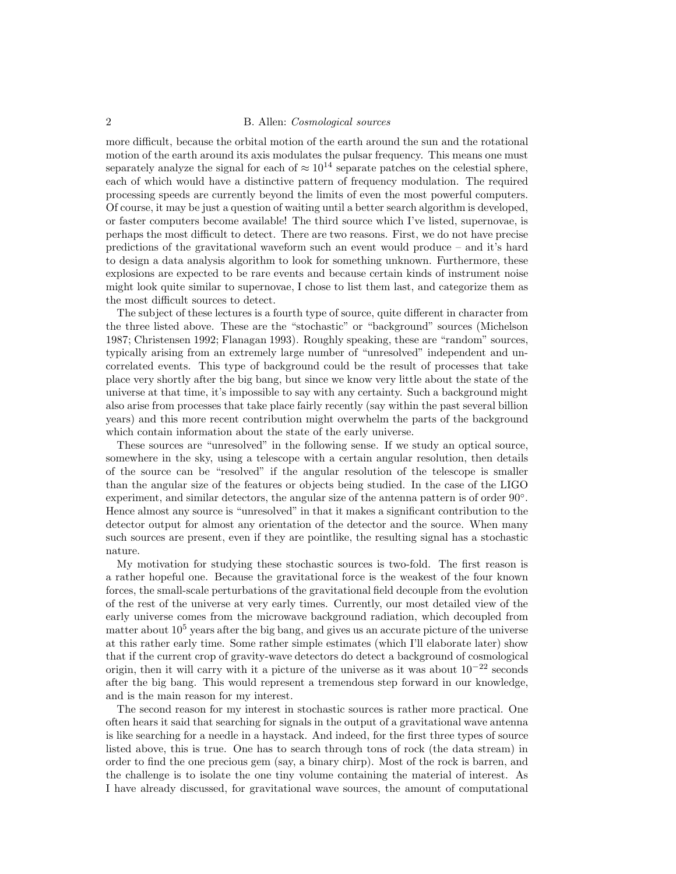more difficult, because the orbital motion of the earth around the sun and the rotational motion of the earth around its axis modulates the pulsar frequency. This means one must separately analyze the signal for each of  $\approx 10^{14}$  separate patches on the celestial sphere, each of which would have a distinctive pattern of frequency modulation. The required processing speeds are currently beyond the limits of even the most powerful computers. Of course, it may be just a question of waiting until a better search algorithm is developed, or faster computers become available! The third source which I've listed, supernovae, is perhaps the most difficult to detect. There are two reasons. First, we do not have precise predictions of the gravitational waveform such an event would produce – and it's hard to design a data analysis algorithm to look for something unknown. Furthermore, these explosions are expected to be rare events and because certain kinds of instrument noise might look quite similar to supernovae, I chose to list them last, and categorize them as the most difficult sources to detect.

The subject of these lectures is a fourth type of source, quite different in character from the three listed above. These are the "stochastic" or "background" sources (Michelson 1987; Christensen 1992; Flanagan 1993). Roughly speaking, these are "random" sources, typically arising from an extremely large number of "unresolved" independent and uncorrelated events. This type of background could be the result of processes that take place very shortly after the big bang, but since we know very little about the state of the universe at that time, it's impossible to say with any certainty. Such a background might also arise from processes that take place fairly recently (say within the past several billion years) and this more recent contribution might overwhelm the parts of the background which contain information about the state of the early universe.

These sources are "unresolved" in the following sense. If we study an optical source, somewhere in the sky, using a telescope with a certain angular resolution, then details of the source can be "resolved" if the angular resolution of the telescope is smaller than the angular size of the features or objects being studied. In the case of the LIGO experiment, and similar detectors, the angular size of the antenna pattern is of order 90°. Hence almost any source is "unresolved" in that it makes a significant contribution to the detector output for almost any orientation of the detector and the source. When many such sources are present, even if they are pointlike, the resulting signal has a stochastic nature.

My motivation for studying these stochastic sources is two-fold. The first reason is a rather hopeful one. Because the gravitational force is the weakest of the four known forces, the small-scale perturbations of the gravitational field decouple from the evolution of the rest of the universe at very early times. Currently, our most detailed view of the early universe comes from the microwave background radiation, which decoupled from matter about  $10<sup>5</sup>$  years after the big bang, and gives us an accurate picture of the universe at this rather early time. Some rather simple estimates (which I'll elaborate later) show that if the current crop of gravity-wave detectors do detect a background of cosmological origin, then it will carry with it a picture of the universe as it was about  $10^{-22}$  seconds after the big bang. This would represent a tremendous step forward in our knowledge, and is the main reason for my interest.

The second reason for my interest in stochastic sources is rather more practical. One often hears it said that searching for signals in the output of a gravitational wave antenna is like searching for a needle in a haystack. And indeed, for the first three types of source listed above, this is true. One has to search through tons of rock (the data stream) in order to find the one precious gem (say, a binary chirp). Most of the rock is barren, and the challenge is to isolate the one tiny volume containing the material of interest. As I have already discussed, for gravitational wave sources, the amount of computational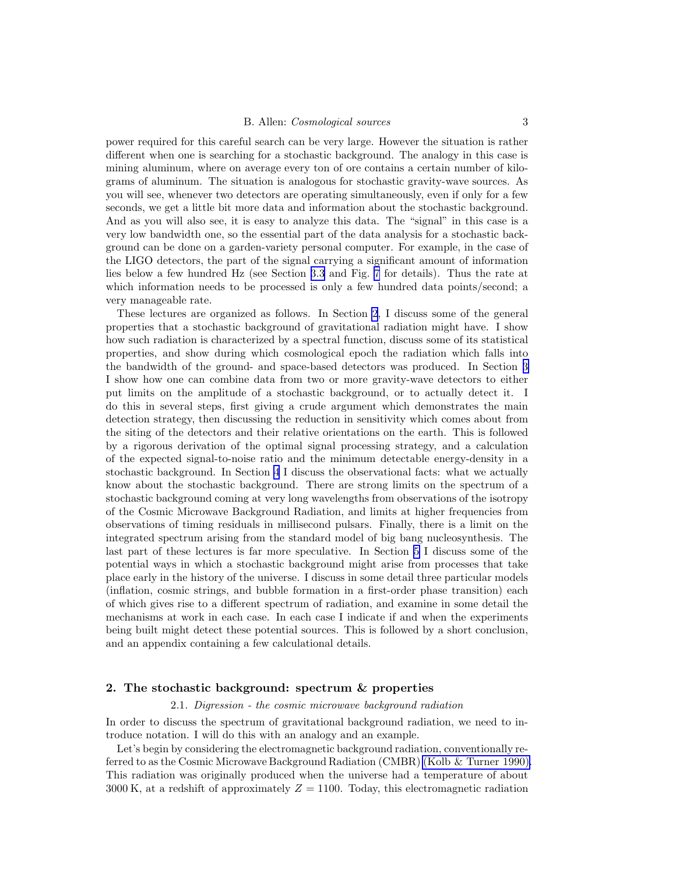<span id="page-2-0"></span>power required for this careful search can be very large. However the situation is rather different when one is searching for a stochastic background. The analogy in this case is mining aluminum, where on average every ton of ore contains a certain number of kilograms of aluminum. The situation is analogous for stochastic gravity-wave sources. As you will see, whenever two detectors are operating simultaneously, even if only for a few seconds, we get a little bit more data and information about the stochastic background. And as you will also see, it is easy to analyze this data. The "signal" in this case is a very low bandwidth one, so the essential part of the data analysis for a stochastic background can be done on a garden-variety personal computer. For example, in the case of the LIGO detectors, the part of the signal carrying a significant amount of information lies below a few hundred Hz (see Section [3.3](#page-13-0) and Fig. [7](#page-17-0) for details). Thus the rate at which information needs to be processed is only a few hundred data points/second; a very manageable rate.

These lectures are organized as follows. In Section 2, I discuss some of the general properties that a stochastic background of gravitational radiation might have. I show how such radiation is characterized by a spectral function, discuss some of its statistical properties, and show during which cosmological epoch the radiation which falls into the bandwidth of the ground- and space-based detectors was produced. In Section [3](#page-9-0) I show how one can combine data from two or more gravity-wave detectors to either put limits on the amplitude of a stochastic background, or to actually detect it. I do this in several steps, first giving a crude argument which demonstrates the main detection strategy, then discussing the reduction in sensitivity which comes about from the siting of the detectors and their relative orientations on the earth. This is followed by a rigorous derivation of the optimal signal processing strategy, and a calculation of the expected signal-to-noise ratio and the minimum detectable energy-density in a stochastic background. In Section [4](#page-19-0) I discuss the observational facts: what we actually know about the stochastic background. There are strong limits on the spectrum of a stochastic background coming at very long wavelengths from observations of the isotropy of the Cosmic Microwave Background Radiation, and limits at higher frequencies from observations of timing residuals in millisecond pulsars. Finally, there is a limit on the integrated spectrum arising from the standard model of big bang nucleosynthesis. The last part of these lectures is far more speculative. In Section [5](#page-23-0) I discuss some of the potential ways in which a stochastic background might arise from processes that take place early in the history of the universe. I discuss in some detail three particular models (inflation, cosmic strings, and bubble formation in a first-order phase transition) each of which gives rise to a different spectrum of radiation, and examine in some detail the mechanisms at work in each case. In each case I indicate if and when the experiments being built might detect these potential sources. This is followed by a short conclusion, and an appendix containing a few calculational details.

#### 2. The stochastic background: spectrum & properties

#### 2.1. Digression - the cosmic microwave background radiation

In order to discuss the spectrum of gravitational background radiation, we need to introduce notation. I will do this with an analogy and an example.

Let's begin by considering the electromagnetic background radiation, conventionally referred to as the Cosmic Microwave Background Radiation (CMBR) [\(Kolb & Turner 1990\).](#page-43-0) This radiation was originally produced when the universe had a temperature of about 3000 K, at a redshift of approximately  $Z = 1100$ . Today, this electromagnetic radiation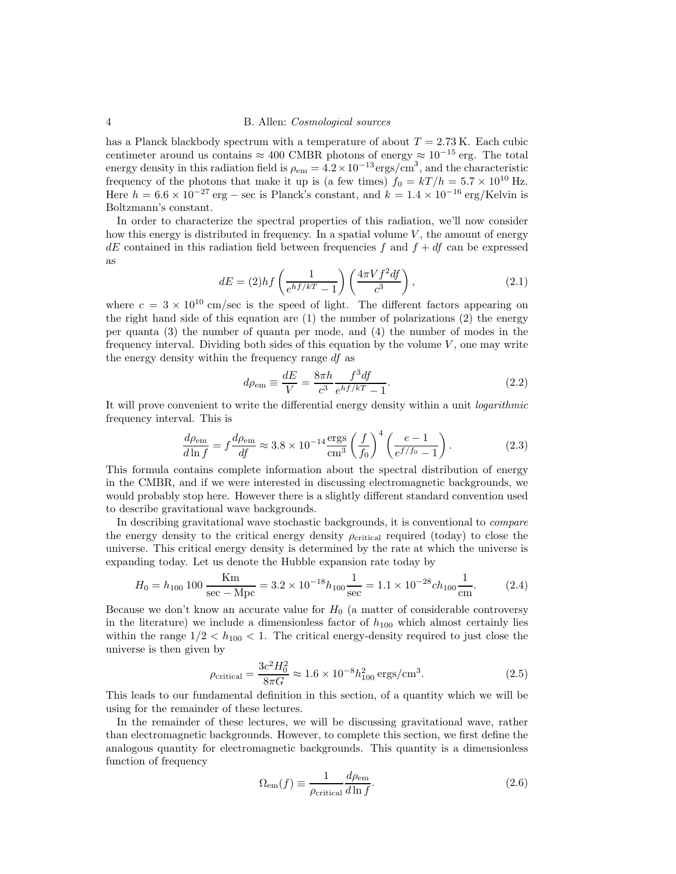<span id="page-3-0"></span>has a Planck blackbody spectrum with a temperature of about  $T = 2.73$  K. Each cubic centimeter around us contains  $\approx 400$  CMBR photons of energy  $\approx 10^{-15}$  erg. The total energy density in this radiation field is  $\rho_{\rm em} = 4.2 \times 10^{-13} \text{ergs/cm}^3$ , and the characteristic frequency of the photons that make it up is (a few times)  $f_0 = kT/h = 5.7 \times 10^{10}$  Hz. Here  $h = 6.6 \times 10^{-27}$  erg – sec is Planck's constant, and  $k = 1.4 \times 10^{-16}$  erg/Kelvin is Boltzmann's constant.

In order to characterize the spectral properties of this radiation, we'll now consider how this energy is distributed in frequency. In a spatial volume  $V$ , the amount of energy  $dE$  contained in this radiation field between frequencies f and  $f + df$  can be expressed as

$$
dE = (2)hf\left(\frac{1}{e^{hf/kT} - 1}\right)\left(\frac{4\pi Vf^2 df}{c^3}\right),\tag{2.1}
$$

where  $c = 3 \times 10^{10}$  cm/sec is the speed of light. The different factors appearing on the right hand side of this equation are  $(1)$  the number of polarizations  $(2)$  the energy per quanta (3) the number of quanta per mode, and (4) the number of modes in the frequency interval. Dividing both sides of this equation by the volume  $V$ , one may write the energy density within the frequency range df as

$$
d\rho_{\rm em} \equiv \frac{dE}{V} = \frac{8\pi h}{c^3} \frac{f^3 df}{e^{hf/kT} - 1}.
$$
\n(2.2)

It will prove convenient to write the differential energy density within a unit *logarithmic* frequency interval. This is

$$
\frac{d\rho_{\rm em}}{d\ln f} = f \frac{d\rho_{\rm em}}{df} \approx 3.8 \times 10^{-14} \frac{\rm ergs}{\rm cm^3} \left(\frac{f}{f_0}\right)^4 \left(\frac{e-1}{e^{f/f_0} - 1}\right). \tag{2.3}
$$

This formula contains complete information about the spectral distribution of energy in the CMBR, and if we were interested in discussing electromagnetic backgrounds, we would probably stop here. However there is a slightly different standard convention used to describe gravitational wave backgrounds.

In describing gravitational wave stochastic backgrounds, it is conventional to compare the energy density to the critical energy density  $\rho_{\text{critical}}$  required (today) to close the universe. This critical energy density is determined by the rate at which the universe is expanding today. Let us denote the Hubble expansion rate today by

$$
H_0 = h_{100} 100 \frac{\text{Km}}{\text{sec} - \text{Mpc}} = 3.2 \times 10^{-18} h_{100} \frac{1}{\text{sec}} = 1.1 \times 10^{-28} ch_{100} \frac{1}{\text{cm}}.
$$
 (2.4)

Because we don't know an accurate value for  $H_0$  (a matter of considerable controversy in the literature) we include a dimensionless factor of  $h_{100}$  which almost certainly lies within the range  $1/2 < h_{100} < 1$ . The critical energy-density required to just close the universe is then given by

$$
\rho_{\text{critical}} = \frac{3c^2 H_0^2}{8\pi G} \approx 1.6 \times 10^{-8} h_{100}^2 \text{ ergs/cm}^3. \tag{2.5}
$$

This leads to our fundamental definition in this section, of a quantity which we will be using for the remainder of these lectures.

In the remainder of these lectures, we will be discussing gravitational wave, rather than electromagnetic backgrounds. However, to complete this section, we first define the analogous quantity for electromagnetic backgrounds. This quantity is a dimensionless function of frequency

$$
\Omega_{\rm em}(f) \equiv \frac{1}{\rho_{\rm critical}} \frac{d\rho_{\rm em}}{d\ln f}.\tag{2.6}
$$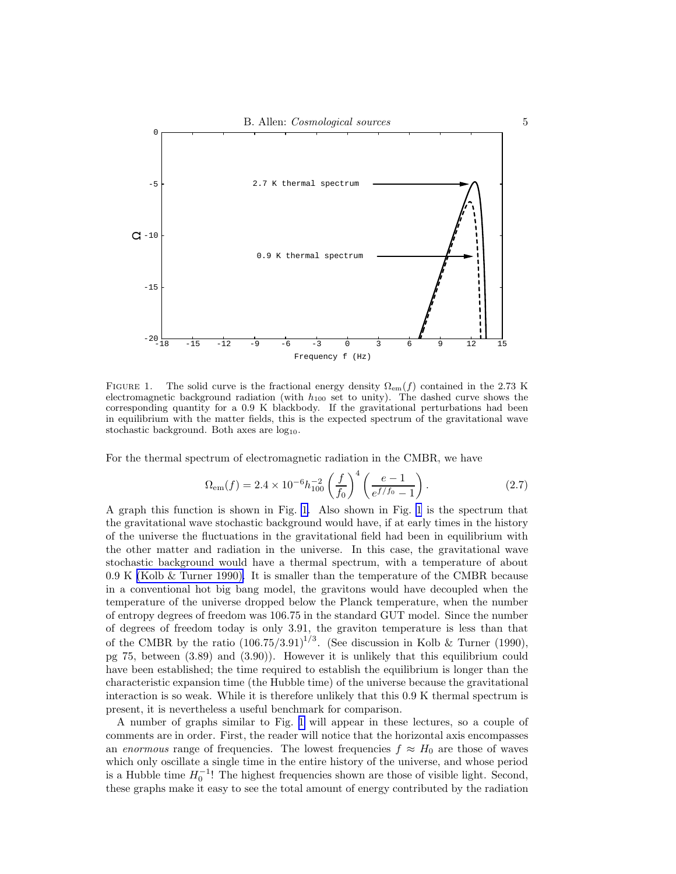<span id="page-4-0"></span>

FIGURE 1. The solid curve is the fractional energy density  $\Omega_{em}(f)$  contained in the 2.73 K electromagnetic background radiation (with  $h_{100}$  set to unity). The dashed curve shows the corresponding quantity for a 0.9 K blackbody. If the gravitational perturbations had been in equilibrium with the matter fields, this is the expected spectrum of the gravitational wave stochastic background. Both axes are  $log_{10}$ .

For the thermal spectrum of electromagnetic radiation in the CMBR, we have

$$
\Omega_{\rm em}(f) = 2.4 \times 10^{-6} h_{100}^{-2} \left(\frac{f}{f_0}\right)^4 \left(\frac{e-1}{e^{f/f_0} - 1}\right). \tag{2.7}
$$

A graph this function is shown in Fig. 1. Also shown in Fig. 1 is the spectrum that the gravitational wave stochastic background would have, if at early times in the history of the universe the fluctuations in the gravitational field had been in equilibrium with the other matter and radiation in the universe. In this case, the gravitational wave stochastic background would have a thermal spectrum, with a temperature of about 0.9 K [\(Kolb & Turner 1990\).](#page-43-0) It is smaller than the temperature of the CMBR because in a conventional hot big bang model, the gravitons would have decoupled when the temperature of the universe dropped below the Planck temperature, when the number of entropy degrees of freedom was 106.75 in the standard GUT model. Since the number of degrees of freedom today is only 3.91, the graviton temperature is less than that of the CMBR by the ratio  $(106.75/3.91)^{1/3}$ . (See discussion in Kolb & Turner (1990), pg 75, between (3.89) and (3.90)). However it is unlikely that this equilibrium could have been established; the time required to establish the equilibrium is longer than the characteristic expansion time (the Hubble time) of the universe because the gravitational interaction is so weak. While it is therefore unlikely that this 0.9 K thermal spectrum is present, it is nevertheless a useful benchmark for comparison.

A number of graphs similar to Fig. 1 will appear in these lectures, so a couple of comments are in order. First, the reader will notice that the horizontal axis encompasses an enormous range of frequencies. The lowest frequencies  $f \approx H_0$  are those of waves which only oscillate a single time in the entire history of the universe, and whose period is a Hubble time  $H_0^{-1}$ ! The highest frequencies shown are those of visible light. Second, these graphs make it easy to see the total amount of energy contributed by the radiation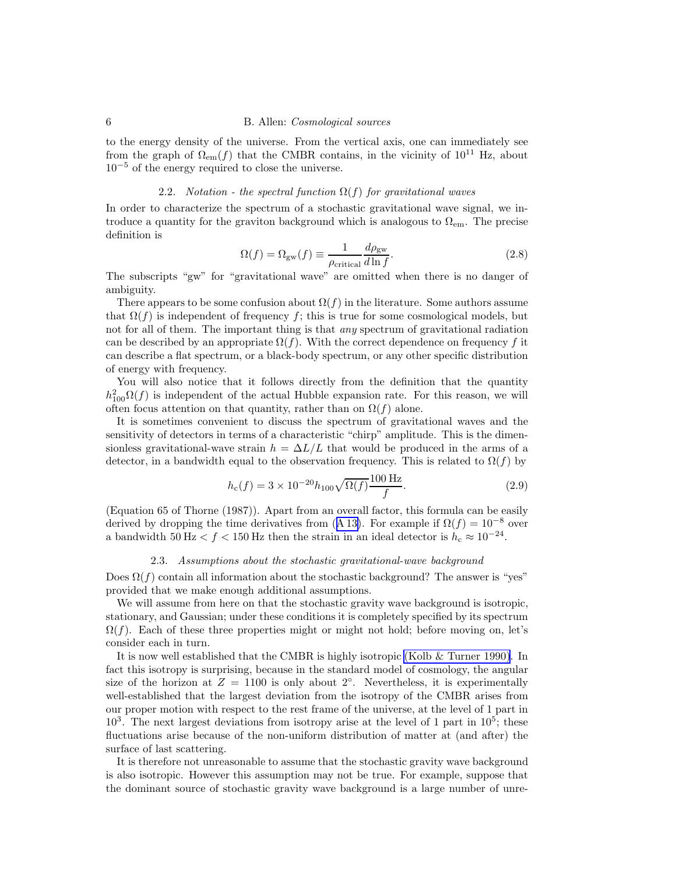to the energy density of the universe. From the vertical axis, one can immediately see from the graph of  $\Omega_{em}(f)$  that the CMBR contains, in the vicinity of  $10^{11}$  Hz, about  $10^{-5}$  of the energy required to close the universe.

# 2.2. Notation - the spectral function  $\Omega(f)$  for gravitational waves

In order to characterize the spectrum of a stochastic gravitational wave signal, we introduce a quantity for the graviton background which is analogous to  $\Omega_{em}$ . The precise definition is

$$
\Omega(f) = \Omega_{\rm gw}(f) \equiv \frac{1}{\rho_{\rm critical}} \frac{d\rho_{\rm gw}}{d\ln f}.
$$
\n(2.8)

The subscripts "gw" for "gravitational wave" are omitted when there is no danger of ambiguity.

There appears to be some confusion about  $\Omega(f)$  in the literature. Some authors assume that  $\Omega(f)$  is independent of frequency f; this is true for some cosmological models, but not for all of them. The important thing is that *any* spectrum of gravitational radiation can be described by an appropriate  $\Omega(f)$ . With the correct dependence on frequency f it can describe a flat spectrum, or a black-body spectrum, or any other specific distribution of energy with frequency.

You will also notice that it follows directly from the definition that the quantity  $h_{100}^2\Omega(f)$  is independent of the actual Hubble expansion rate. For this reason, we will often focus attention on that quantity, rather than on  $\Omega(f)$  alone.

It is sometimes convenient to discuss the spectrum of gravitational waves and the sensitivity of detectors in terms of a characteristic "chirp" amplitude. This is the dimensionless gravitational-wave strain  $h = \Delta L/L$  that would be produced in the arms of a detector, in a bandwidth equal to the observation frequency. This is related to  $\Omega(f)$  by

$$
h_c(f) = 3 \times 10^{-20} h_{100} \sqrt{\Omega(f)} \frac{100 \text{ Hz}}{f}.
$$
 (2.9)

(Equation 65 of Thorne (1987)). Apart from an overall factor, this formula can be easily derived by dropping the time derivatives from ([A 13\)](#page-42-0). For example if  $\Omega(f) = 10^{-8}$  over a bandwidth 50 Hz  $\lt f \lt 150$  Hz then the strain in an ideal detector is  $h_c \approx 10^{-24}$ .

#### 2.3. Assumptions about the stochastic gravitational-wave background

Does  $\Omega(f)$  contain all information about the stochastic background? The answer is "yes" provided that we make enough additional assumptions.

We will assume from here on that the stochastic gravity wave background is isotropic. stationary, and Gaussian; under these conditions it is completely specified by its spectrum  $\Omega(f)$ . Each of these three properties might or might not hold; before moving on, let's consider each in turn.

It is now well established that the CMBR is highly isotropic [\(Kolb & Turner 1990\)](#page-43-0). In fact this isotropy is surprising, because in the standard model of cosmology, the angular size of the horizon at  $Z = 1100$  is only about  $2°$ . Nevertheless, it is experimentally well-established that the largest deviation from the isotropy of the CMBR arises from our proper motion with respect to the rest frame of the universe, at the level of 1 part in  $10<sup>3</sup>$ . The next largest deviations from isotropy arise at the level of 1 part in  $10<sup>5</sup>$ ; these fluctuations arise because of the non-uniform distribution of matter at (and after) the surface of last scattering.

It is therefore not unreasonable to assume that the stochastic gravity wave background is also isotropic. However this assumption may not be true. For example, suppose that the dominant source of stochastic gravity wave background is a large number of unre-

<span id="page-5-0"></span>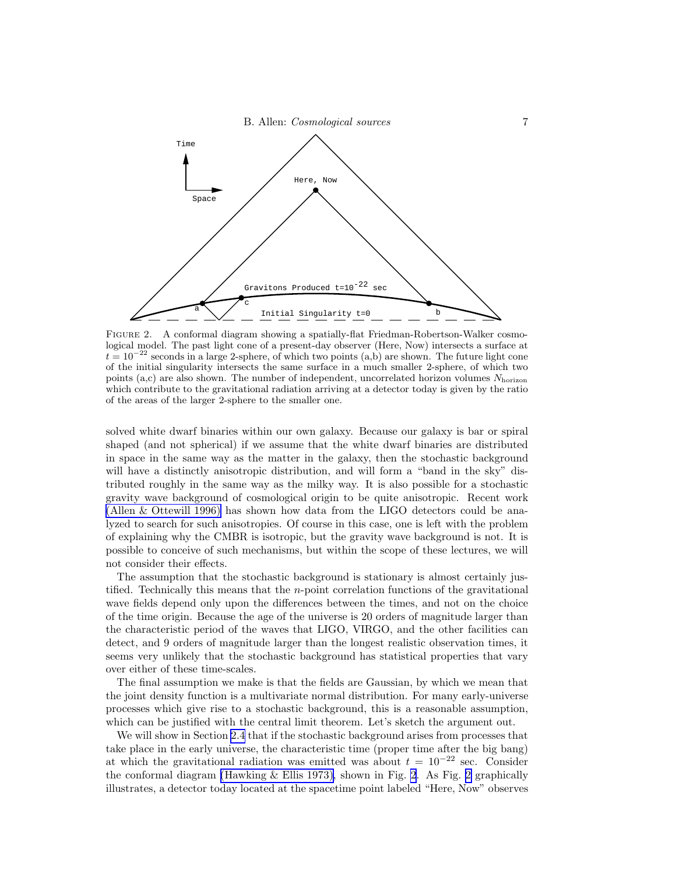<span id="page-6-0"></span>

FIGURE 2. A conformal diagram showing a spatially-flat Friedman-Robertson-Walker cosmological model. The past light cone of a present-day observer (Here, Now) intersects a surface at  $t = 10^{-22}$  seconds in a large 2-sphere, of which two points (a,b) are shown. The future light cone of the initial singularity intersects the same surface in a much smaller 2-sphere, of which two points (a,c) are also shown. The number of independent, uncorrelated horizon volumes  $N_{\text{horizon}}$ which contribute to the gravitational radiation arriving at a detector today is given by the ratio of the areas of the larger 2-sphere to the smaller one.

solved white dwarf binaries within our own galaxy. Because our galaxy is bar or spiral shaped (and not spherical) if we assume that the white dwarf binaries are distributed in space in the same way as the matter in the galaxy, then the stochastic background will have a distinctly anisotropic distribution, and will form a "band in the sky" distributed roughly in the same way as the milky way. It is also possible for a stochastic gravity wave background of cosmological origin to be quite anisotropic. Recent work [\(Allen & Ottewill 1996\)](#page-42-0) has shown how data from the LIGO detectors could be analyzed to search for such anisotropies. Of course in this case, one is left with the problem of explaining why the CMBR is isotropic, but the gravity wave background is not. It is possible to conceive of such mechanisms, but within the scope of these lectures, we will not consider their effects.

The assumption that the stochastic background is stationary is almost certainly justified. Technically this means that the  $n$ -point correlation functions of the gravitational wave fields depend only upon the differences between the times, and not on the choice of the time origin. Because the age of the universe is 20 orders of magnitude larger than the characteristic period of the waves that LIGO, VIRGO, and the other facilities can detect, and 9 orders of magnitude larger than the longest realistic observation times, it seems very unlikely that the stochastic background has statistical properties that vary over either of these time-scales.

The final assumption we make is that the fields are Gaussian, by which we mean that the joint density function is a multivariate normal distribution. For many early-universe processes which give rise to a stochastic background, this is a reasonable assumption, which can be justified with the central limit theorem. Let's sketch the argument out.

We will show in Section [2.4](#page-7-0) that if the stochastic background arises from processes that take place in the early universe, the characteristic time (proper time after the big bang) at which the gravitational radiation was emitted was about  $t = 10^{-22}$  sec. Consider the conformal diagram [\(Hawking & Ellis 1973\),](#page-43-0) shown in Fig. 2. As Fig. 2 graphically illustrates, a detector today located at the spacetime point labeled "Here, Now" observes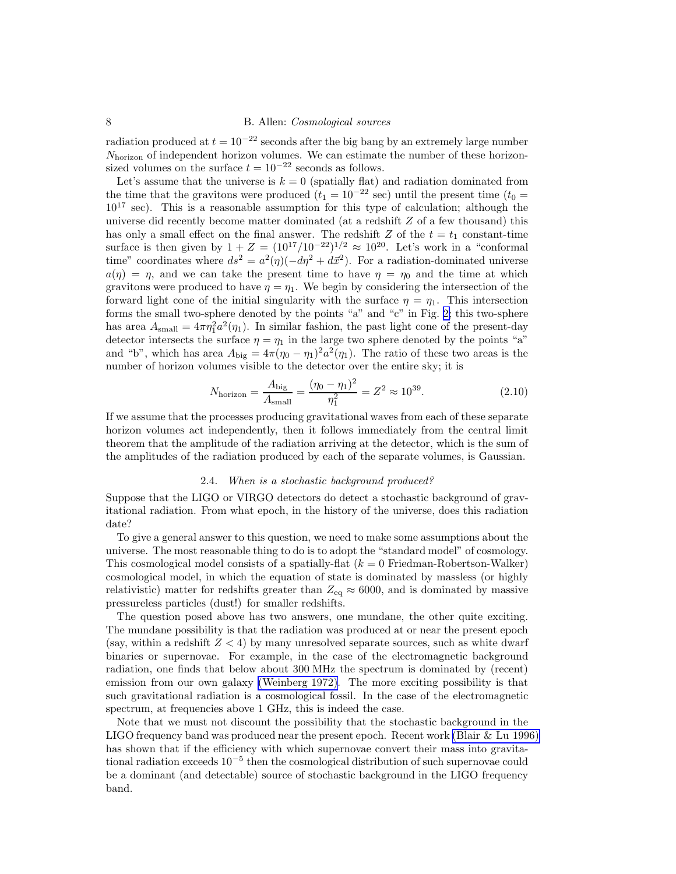<span id="page-7-0"></span>radiation produced at  $t = 10^{-22}$  seconds after the big bang by an extremely large number  $N<sub>horizon</sub>$  of independent horizon volumes. We can estimate the number of these horizonsized volumes on the surface  $t = 10^{-22}$  seconds as follows.

Let's assume that the universe is  $k = 0$  (spatially flat) and radiation dominated from the time that the gravitons were produced  $(t_1 = 10^{-22} \text{ sec})$  until the present time  $(t_0 =$  $10^{17}$  sec). This is a reasonable assumption for this type of calculation; although the universe did recently become matter dominated (at a redshift Z of a few thousand) this has only a small effect on the final answer. The redshift Z of the  $t = t_1$  constant-time surface is then given by  $1 + Z = (10^{17}/10^{-22})^{1/2} \approx 10^{20}$ . Let's work in a "conformal" time" coordinates where  $ds^2 = a^2(\eta)(-d\eta^2 + d\vec{x}^2)$ . For a radiation-dominated universe  $a(\eta) = \eta$ , and we can take the present time to have  $\eta = \eta_0$  and the time at which gravitons were produced to have  $\eta = \eta_1$ . We begin by considering the intersection of the forward light cone of the initial singularity with the surface  $\eta = \eta_1$ . This intersection forms the small two-sphere denoted by the points "a" and "c" in Fig. [2;](#page-6-0) this two-sphere has area  $A_{\text{small}} = 4\pi \eta_1^2 a^2(\eta_1)$ . In similar fashion, the past light cone of the present-day detector intersects the surface  $\eta = \eta_1$  in the large two sphere denoted by the points "a" and "b", which has area  $A_{\text{big}} = 4\pi(\eta_0 - \eta_1)^2 a^2(\eta_1)$ . The ratio of these two areas is the number of horizon volumes visible to the detector over the entire sky; it is

$$
N_{\text{horizon}} = \frac{A_{\text{big}}}{A_{\text{small}}} = \frac{(\eta_0 - \eta_1)^2}{\eta_1^2} = Z^2 \approx 10^{39}.
$$
 (2.10)

If we assume that the processes producing gravitational waves from each of these separate horizon volumes act independently, then it follows immediately from the central limit theorem that the amplitude of the radiation arriving at the detector, which is the sum of the amplitudes of the radiation produced by each of the separate volumes, is Gaussian.

#### 2.4. When is a stochastic background produced?

Suppose that the LIGO or VIRGO detectors do detect a stochastic background of gravitational radiation. From what epoch, in the history of the universe, does this radiation date?

To give a general answer to this question, we need to make some assumptions about the universe. The most reasonable thing to do is to adopt the "standard model" of cosmology. This cosmological model consists of a spatially-flat  $(k = 0 \text{ Friedman-Robertson-Walker})$ cosmological model, in which the equation of state is dominated by massless (or highly relativistic) matter for redshifts greater than  $Z_{eq} \approx 6000$ , and is dominated by massive pressureless particles (dust!) for smaller redshifts.

The question posed above has two answers, one mundane, the other quite exciting. The mundane possibility is that the radiation was produced at or near the present epoch (say, within a redshift  $Z < 4$ ) by many unresolved separate sources, such as white dwarf binaries or supernovae. For example, in the case of the electromagnetic background radiation, one finds that below about 300 MHz the spectrum is dominated by (recent) emission from our own galaxy [\(Weinberg 1972\).](#page-44-0) The more exciting possibility is that such gravitational radiation is a cosmological fossil. In the case of the electromagnetic spectrum, at frequencies above 1 GHz, this is indeed the case.

Note that we must not discount the possibility that the stochastic background in the LIGO frequency band was produced near the present epoch. Recent work [\(Blair & Lu 1996\)](#page-43-0) has shown that if the efficiency with which supernovae convert their mass into gravitational radiation exceeds 10<sup>−</sup><sup>5</sup> then the cosmological distribution of such supernovae could be a dominant (and detectable) source of stochastic background in the LIGO frequency band.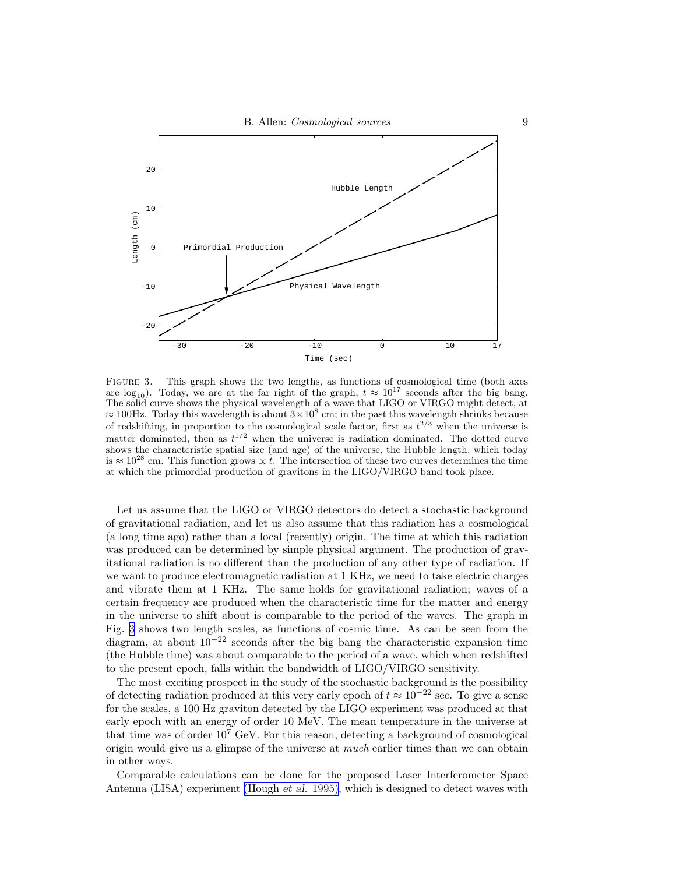

Figure 3. This graph shows the two lengths, as functions of cosmological time (both axes are  $log_{10}$ ). Today, we are at the far right of the graph,  $t \approx 10^{17}$  seconds after the big bang. The solid curve shows the physical wavelength of a wave that LIGO or VIRGO might detect, at  $\approx 100$ Hz. Today this wavelength is about  $3 \times 10^8$  cm; in the past this wavelength shrinks because of redshifting, in proportion to the cosmological scale factor, first as  $t^{2/3}$  when the universe is matter dominated, then as  $t^{1/2}$  when the universe is radiation dominated. The dotted curve shows the characteristic spatial size (and age) of the universe, the Hubble length, which today is  $\approx 10^{28}$  cm. This function grows  $\propto t$ . The intersection of these two curves determines the time at which the primordial production of gravitons in the LIGO/VIRGO band took place.

Let us assume that the LIGO or VIRGO detectors do detect a stochastic background of gravitational radiation, and let us also assume that this radiation has a cosmological (a long time ago) rather than a local (recently) origin. The time at which this radiation was produced can be determined by simple physical argument. The production of gravitational radiation is no different than the production of any other type of radiation. If we want to produce electromagnetic radiation at 1 KHz, we need to take electric charges and vibrate them at 1 KHz. The same holds for gravitational radiation; waves of a certain frequency are produced when the characteristic time for the matter and energy in the universe to shift about is comparable to the period of the waves. The graph in Fig. 3 shows two length scales, as functions of cosmic time. As can be seen from the diagram, at about  $10^{-22}$  seconds after the big bang the characteristic expansion time (the Hubble time) was about comparable to the period of a wave, which when redshifted to the present epoch, falls within the bandwidth of LIGO/VIRGO sensitivity.

The most exciting prospect in the study of the stochastic background is the possibility of detecting radiation produced at this very early epoch of  $t \approx 10^{-22}$  sec. To give a sense for the scales, a 100 Hz graviton detected by the LIGO experiment was produced at that early epoch with an energy of order 10 MeV. The mean temperature in the universe at that time was of order  $10^7$  GeV. For this reason, detecting a background of cosmological origin would give us a glimpse of the universe at *much* earlier times than we can obtain in other ways.

Comparable calculations can be done for the proposed Laser Interferometer Space Antenna (LISA) experiment [\(Hough](#page-43-0) et al. 1995), which is designed to detect waves with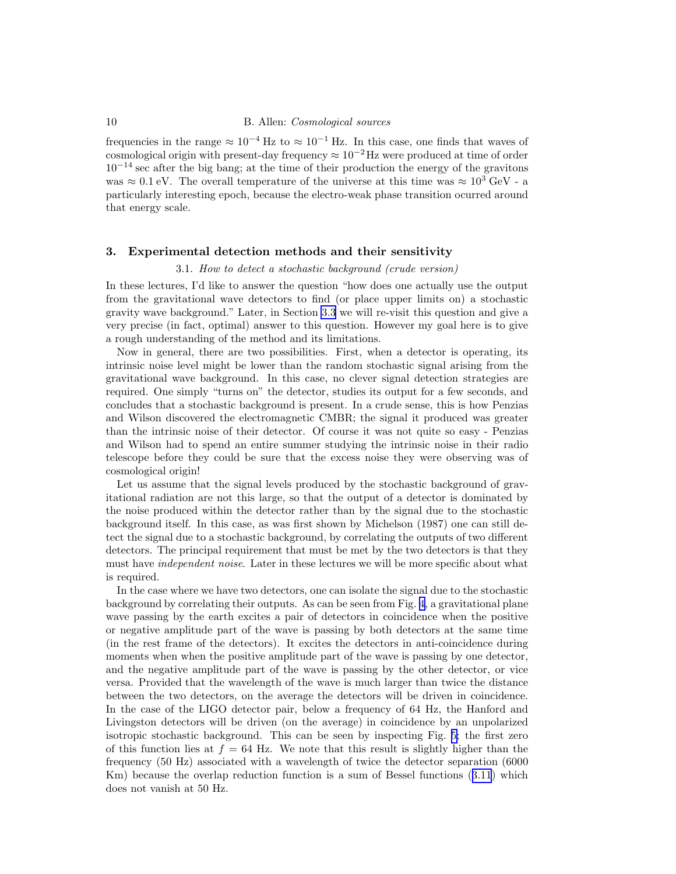<span id="page-9-0"></span>frequencies in the range  $\approx 10^{-4}$  Hz to  $\approx 10^{-1}$  Hz. In this case, one finds that waves of cosmological origin with present-day frequency  $\approx 10^{-2}$  Hz were produced at time of order  $10^{-14}$  sec after the big bang; at the time of their production the energy of the gravitons was  $\approx 0.1$  eV. The overall temperature of the universe at this time was  $\approx 10^3$  GeV - a particularly interesting epoch, because the electro-weak phase transition ocurred around that energy scale.

## 3. Experimental detection methods and their sensitivity

# 3.1. How to detect a stochastic background (crude version)

In these lectures, I'd like to answer the question "how does one actually use the output from the gravitational wave detectors to find (or place upper limits on) a stochastic gravity wave background." Later, in Section [3.3](#page-13-0) we will re-visit this question and give a very precise (in fact, optimal) answer to this question. However my goal here is to give a rough understanding of the method and its limitations.

Now in general, there are two possibilities. First, when a detector is operating, its intrinsic noise level might be lower than the random stochastic signal arising from the gravitational wave background. In this case, no clever signal detection strategies are required. One simply "turns on" the detector, studies its output for a few seconds, and concludes that a stochastic background is present. In a crude sense, this is how Penzias and Wilson discovered the electromagnetic CMBR; the signal it produced was greater than the intrinsic noise of their detector. Of course it was not quite so easy - Penzias and Wilson had to spend an entire summer studying the intrinsic noise in their radio telescope before they could be sure that the excess noise they were observing was of cosmological origin!

Let us assume that the signal levels produced by the stochastic background of gravitational radiation are not this large, so that the output of a detector is dominated by the noise produced within the detector rather than by the signal due to the stochastic background itself. In this case, as was first shown by Michelson (1987) one can still detect the signal due to a stochastic background, by correlating the outputs of two different detectors. The principal requirement that must be met by the two detectors is that they must have independent noise. Later in these lectures we will be more specific about what is required.

In the case where we have two detectors, one can isolate the signal due to the stochastic background by correlating their outputs. As can be seen from Fig. [4,](#page-10-0) a gravitational plane wave passing by the earth excites a pair of detectors in coincidence when the positive or negative amplitude part of the wave is passing by both detectors at the same time (in the rest frame of the detectors). It excites the detectors in anti-coincidence during moments when when the positive amplitude part of the wave is passing by one detector, and the negative amplitude part of the wave is passing by the other detector, or vice versa. Provided that the wavelength of the wave is much larger than twice the distance between the two detectors, on the average the detectors will be driven in coincidence. In the case of the LIGO detector pair, below a frequency of 64 Hz, the Hanford and Livingston detectors will be driven (on the average) in coincidence by an unpolarized isotropic stochastic background. This can be seen by inspecting Fig. [5;](#page-12-0) the first zero of this function lies at  $f = 64$  Hz. We note that this result is slightly higher than the frequency (50 Hz) associated with a wavelength of twice the detector separation (6000 Km) because the overlap reduction function is a sum of Bessel functions ([3.11](#page-13-0)) which does not vanish at 50 Hz.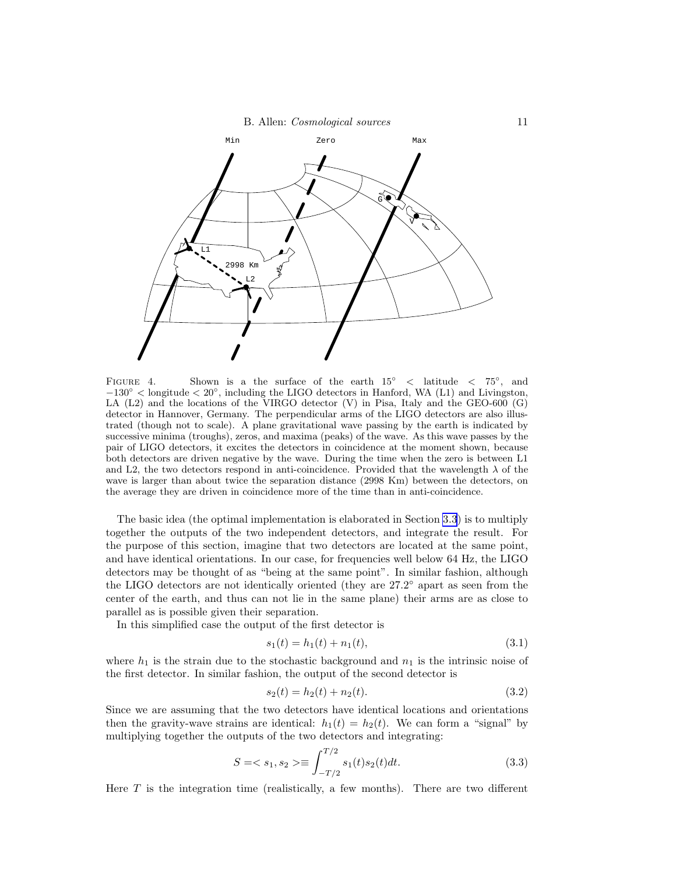<span id="page-10-0"></span>

FIGURE 4. Shown is a the surface of the earth  $15^{\circ}$  < latitude < 75°, and  $-130°$  < longitude < 20°, including the LIGO detectors in Hanford, WA (L1) and Livingston, LA (L2) and the locations of the VIRGO detector (V) in Pisa, Italy and the GEO-600 (G) detector in Hannover, Germany. The perpendicular arms of the LIGO detectors are also illustrated (though not to scale). A plane gravitational wave passing by the earth is indicated by successive minima (troughs), zeros, and maxima (peaks) of the wave. As this wave passes by the pair of LIGO detectors, it excites the detectors in coincidence at the moment shown, because both detectors are driven negative by the wave. During the time when the zero is between L1 and L2, the two detectors respond in anti-coincidence. Provided that the wavelength  $\lambda$  of the wave is larger than about twice the separation distance (2998 Km) between the detectors, on the average they are driven in coincidence more of the time than in anti-coincidence.

The basic idea (the optimal implementation is elaborated in Section [3.3](#page-13-0)) is to multiply together the outputs of the two independent detectors, and integrate the result. For the purpose of this section, imagine that two detectors are located at the same point, and have identical orientations. In our case, for frequencies well below 64 Hz, the LIGO detectors may be thought of as "being at the same point". In similar fashion, although the LIGO detectors are not identically oriented (they are  $27.2^{\circ}$  apart as seen from the center of the earth, and thus can not lie in the same plane) their arms are as close to parallel as is possible given their separation.

In this simplified case the output of the first detector is

$$
s_1(t) = h_1(t) + n_1(t),
$$
\n(3.1)

where  $h_1$  is the strain due to the stochastic background and  $n_1$  is the intrinsic noise of the first detector. In similar fashion, the output of the second detector is

$$
s_2(t) = h_2(t) + n_2(t). \tag{3.2}
$$

Since we are assuming that the two detectors have identical locations and orientations then the gravity-wave strains are identical:  $h_1(t) = h_2(t)$ . We can form a "signal" by multiplying together the outputs of the two detectors and integrating:

$$
S = \langle s_1, s_2 \rangle \equiv \int_{-T/2}^{T/2} s_1(t) s_2(t) dt.
$$
 (3.3)

Here  $T$  is the integration time (realistically, a few months). There are two different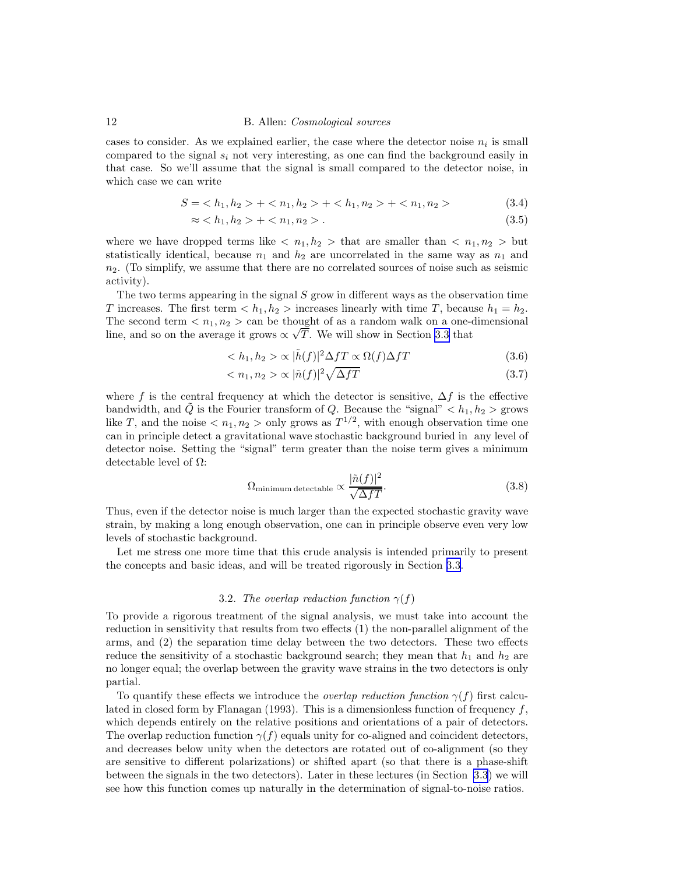<span id="page-11-0"></span>cases to consider. As we explained earlier, the case where the detector noise  $n_i$  is small compared to the signal  $s_i$  not very interesting, as one can find the background easily in that case. So we'll assume that the signal is small compared to the detector noise, in which case we can write

$$
S = \langle h_1, h_2 \rangle + \langle n_1, h_2 \rangle + \langle h_1, n_2 \rangle + \langle n_1, n_2 \rangle \tag{3.4}
$$

$$
\approx h_1, h_2 > + \langle n_1, n_2 \rangle. \tag{3.5}
$$

where we have dropped terms like  $\langle n_1, h_2 \rangle$  that are smaller than  $\langle n_1, n_2 \rangle$  but statistically identical, because  $n_1$  and  $h_2$  are uncorrelated in the same way as  $n_1$  and  $n<sub>2</sub>$ . (To simplify, we assume that there are no correlated sources of noise such as seismic activity).

The two terms appearing in the signal S grow in different ways as the observation time T increases. The first term  $\langle h_1, h_2 \rangle$  increases linearly with time T, because  $h_1 = h_2$ . The second term  $\langle n_1, n_2 \rangle$  can be thought of as a random walk on a one-dimensional line, and so on the average it grows  $\propto \sqrt{T}$ . We will show in Section [3.3](#page-13-0) that

$$
\langle h_1, h_2 \rangle \propto |\tilde{h}(f)|^2 \Delta f T \propto \Omega(f) \Delta f T \tag{3.6}
$$

$$
\langle n_1, n_2 \rangle \propto |\tilde{n}(f)|^2 \sqrt{\Delta f T} \tag{3.7}
$$

where f is the central frequency at which the detector is sensitive,  $\Delta f$  is the effective bandwidth, and  $\tilde{Q}$  is the Fourier transform of Q. Because the "signal"  $\langle h_1, h_2 \rangle$  grows like T, and the noise  $\langle n_1, n_2 \rangle$  only grows as  $T^{1/2}$ , with enough observation time one can in principle detect a gravitational wave stochastic background buried in any level of detector noise. Setting the "signal" term greater than the noise term gives a minimum detectable level of  $\Omega$ :

$$
\Omega_{\text{minimum detectable}} \propto \frac{|\tilde{n}(f)|^2}{\sqrt{\Delta fT}}.\tag{3.8}
$$

Thus, even if the detector noise is much larger than the expected stochastic gravity wave strain, by making a long enough observation, one can in principle observe even very low levels of stochastic background.

Let me stress one more time that this crude analysis is intended primarily to present the concepts and basic ideas, and will be treated rigorously in Section [3.3](#page-13-0).

#### 3.2. The overlap reduction function  $\gamma(f)$

To provide a rigorous treatment of the signal analysis, we must take into account the reduction in sensitivity that results from two effects (1) the non-parallel alignment of the arms, and (2) the separation time delay between the two detectors. These two effects reduce the sensitivity of a stochastic background search; they mean that  $h_1$  and  $h_2$  are no longer equal; the overlap between the gravity wave strains in the two detectors is only partial.

To quantify these effects we introduce the *overlap reduction function*  $\gamma(f)$  first calculated in closed form by Flanagan (1993). This is a dimensionless function of frequency  $f$ , which depends entirely on the relative positions and orientations of a pair of detectors. The overlap reduction function  $\gamma(f)$  equals unity for co-aligned and coincident detectors, and decreases below unity when the detectors are rotated out of co-alignment (so they are sensitive to different polarizations) or shifted apart (so that there is a phase-shift between the signals in the two detectors). Later in these lectures (in Section [3.3](#page-13-0)) we will see how this function comes up naturally in the determination of signal-to-noise ratios.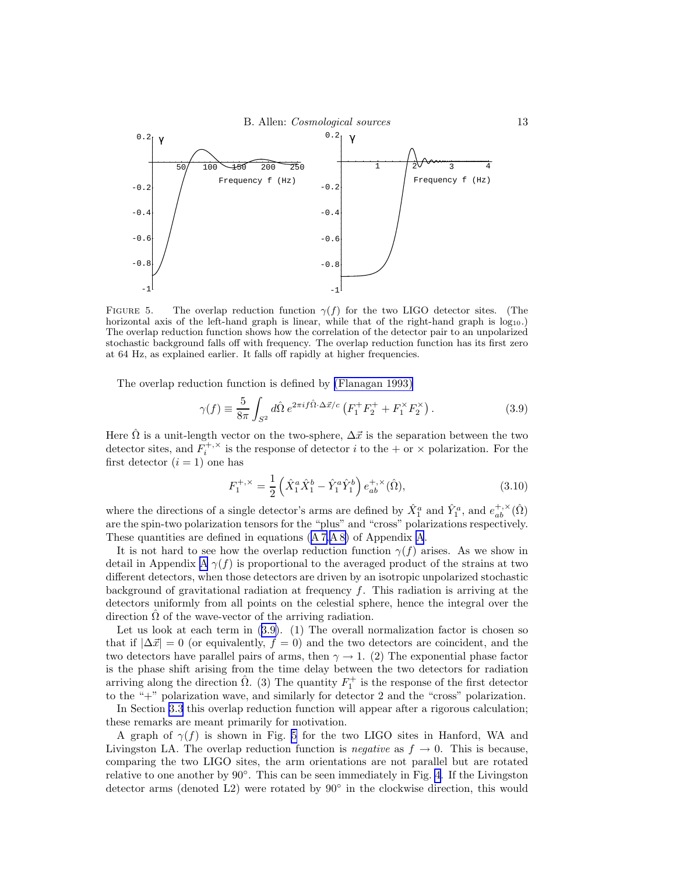<span id="page-12-0"></span>

FIGURE 5. The overlap reduction function  $\gamma(f)$  for the two LIGO detector sites. (The horizontal axis of the left-hand graph is linear, while that of the right-hand graph is  $log_{10}$ .) The overlap reduction function shows how the correlation of the detector pair to an unpolarized stochastic background falls off with frequency. The overlap reduction function has its first zero at 64 Hz, as explained earlier. It falls off rapidly at higher frequencies.

The overlap reduction function is defined by [\(Flanagan 1993\)](#page-43-0)

$$
\gamma(f) \equiv \frac{5}{8\pi} \int_{S^2} d\hat{\Omega} \, e^{2\pi i f \hat{\Omega} \cdot \Delta \vec{x}/c} \left( F_1^+ F_2^+ + F_1^\times F_2^\times \right). \tag{3.9}
$$

Here  $\hat{\Omega}$  is a unit-length vector on the two-sphere,  $\Delta \vec{x}$  is the separation between the two detector sites, and  $F_i^{+,\times}$  is the response of detector i to the + or  $\times$  polarization. For the first detector  $(i = 1)$  one has

$$
F_1^{+,\times} = \frac{1}{2} \left( \hat{X}_1^a \hat{X}_1^b - \hat{Y}_1^a \hat{Y}_1^b \right) e_{ab}^{+,\times} (\hat{\Omega}), \tag{3.10}
$$

where the directions of a single detector's arms are defined by  $\hat{X}_1^a$  and  $\hat{Y}_1^a$ , and  $e_{ab}^{+,\times}(\hat{\Omega})$ are the spin-two polarization tensors for the "plus" and "cross" polarizations respectively. These quantities are defined in equations ([A 7,A 8\)](#page-41-0) of Appendix [A](#page-41-0).

It is not hard to see how the overlap reduction function  $\gamma(f)$  arises. As we show in detail in [A](#page-41-0)ppendix A  $\gamma(f)$  is proportional to the averaged product of the strains at two different detectors, when those detectors are driven by an isotropic unpolarized stochastic background of gravitational radiation at frequency  $f$ . This radiation is arriving at the detectors uniformly from all points on the celestial sphere, hence the integral over the direction  $\Omega$  of the wave-vector of the arriving radiation.

Let us look at each term in (3.9). (1) The overall normalization factor is chosen so that if  $|\Delta \vec{x}| = 0$  (or equivalently,  $f = 0$ ) and the two detectors are coincident, and the two detectors have parallel pairs of arms, then  $\gamma \rightarrow 1$ . (2) The exponential phase factor is the phase shift arising from the time delay between the two detectors for radiation arriving along the direction  $\hat{\Omega}$ . (3) The quantity  $F_1^+$  is the response of the first detector to the "+" polarization wave, and similarly for detector 2 and the "cross" polarization.

In Section [3.3](#page-13-0) this overlap reduction function will appear after a rigorous calculation; these remarks are meant primarily for motivation.

A graph of  $\gamma(f)$  is shown in Fig. 5 for the two LIGO sites in Hanford, WA and Livingston LA. The overlap reduction function is *negative* as  $f \to 0$ . This is because, comparing the two LIGO sites, the arm orientations are not parallel but are rotated relative to one another by 90◦ . This can be seen immediately in Fig. [4](#page-10-0). If the Livingston detector arms (denoted L2) were rotated by 90◦ in the clockwise direction, this would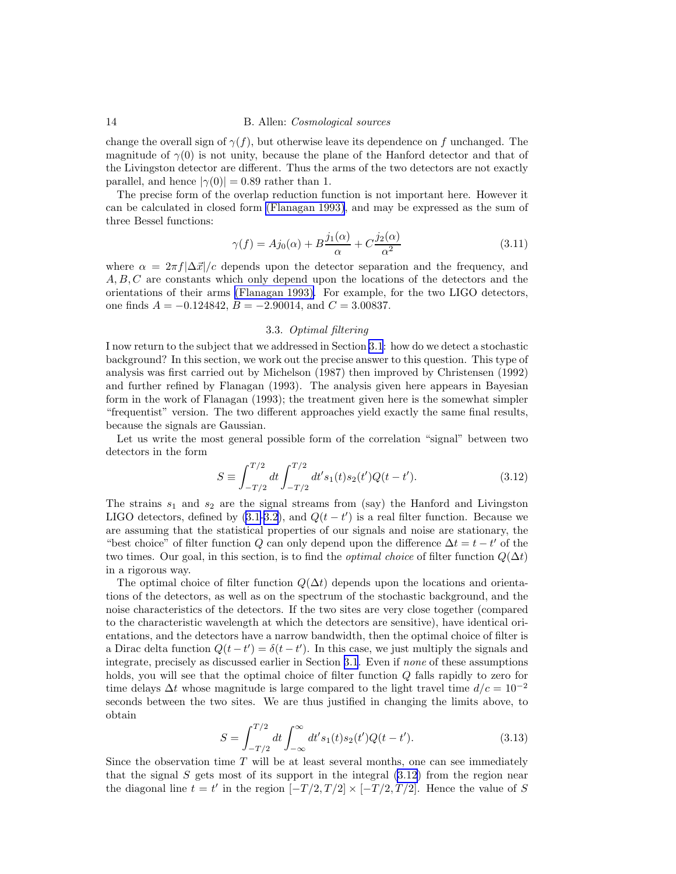<span id="page-13-0"></span>change the overall sign of  $\gamma(f)$ , but otherwise leave its dependence on f unchanged. The magnitude of  $\gamma(0)$  is not unity, because the plane of the Hanford detector and that of the Livingston detector are different. Thus the arms of the two detectors are not exactly parallel, and hence  $|\gamma(0)| = 0.89$  rather than 1.

The precise form of the overlap reduction function is not important here. However it can be calculated in closed form [\(Flanagan 1993\)](#page-43-0), and may be expressed as the sum of three Bessel functions:

$$
\gamma(f) = Aj_0(\alpha) + B\frac{j_1(\alpha)}{\alpha} + C\frac{j_2(\alpha)}{\alpha^2}
$$
\n(3.11)

where  $\alpha = 2\pi f |\Delta \vec{x}|/c$  depends upon the detector separation and the frequency, and A, B, C are constants which only depend upon the locations of the detectors and the orientations of their arms [\(Flanagan 1993\).](#page-43-0) For example, for the two LIGO detectors, one finds  $A = -0.124842$ ,  $B = -2.90014$ , and  $C = 3.00837$ .

#### 3.3. Optimal filtering

I now return to the subject that we addressed in Section [3.1](#page-9-0): how do we detect a stochastic background? In this section, we work out the precise answer to this question. This type of analysis was first carried out by Michelson (1987) then improved by Christensen (1992) and further refined by Flanagan (1993). The analysis given here appears in Bayesian form in the work of Flanagan (1993); the treatment given here is the somewhat simpler "frequentist" version. The two different approaches yield exactly the same final results, because the signals are Gaussian.

Let us write the most general possible form of the correlation "signal" between two detectors in the form

$$
S \equiv \int_{-T/2}^{T/2} dt \int_{-T/2}^{T/2} dt' s_1(t) s_2(t') Q(t - t'). \tag{3.12}
$$

The strains  $s_1$  and  $s_2$  are the signal streams from (say) the Hanford and Livingston LIGO detectors, defined by  $(3.1-3.2)$  $(3.1-3.2)$ , and  $Q(t-t')$  is a real filter function. Because we are assuming that the statistical properties of our signals and noise are stationary, the "best choice" of filter function Q can only depend upon the difference  $\Delta t = t - t'$  of the two times. Our goal, in this section, is to find the *optimal choice* of filter function  $Q(\Delta t)$ in a rigorous way.

The optimal choice of filter function  $Q(\Delta t)$  depends upon the locations and orientations of the detectors, as well as on the spectrum of the stochastic background, and the noise characteristics of the detectors. If the two sites are very close together (compared to the characteristic wavelength at which the detectors are sensitive), have identical orientations, and the detectors have a narrow bandwidth, then the optimal choice of filter is a Dirac delta function  $Q(t-t') = \delta(t-t')$ . In this case, we just multiply the signals and integrate, precisely as discussed earlier in Section [3.1](#page-9-0). Even if none of these assumptions holds, you will see that the optimal choice of filter function Q falls rapidly to zero for time delays  $\Delta t$  whose magnitude is large compared to the light travel time  $d/c = 10^{-2}$ seconds between the two sites. We are thus justified in changing the limits above, to obtain

$$
S = \int_{-T/2}^{T/2} dt \int_{-\infty}^{\infty} dt' s_1(t) s_2(t') Q(t - t').
$$
 (3.13)

Since the observation time  $T$  will be at least several months, one can see immediately that the signal S gets most of its support in the integral  $(3.12)$  from the region near the diagonal line  $t = t'$  in the region  $[-T/2, T/2] \times [-T/2, T/2]$ . Hence the value of S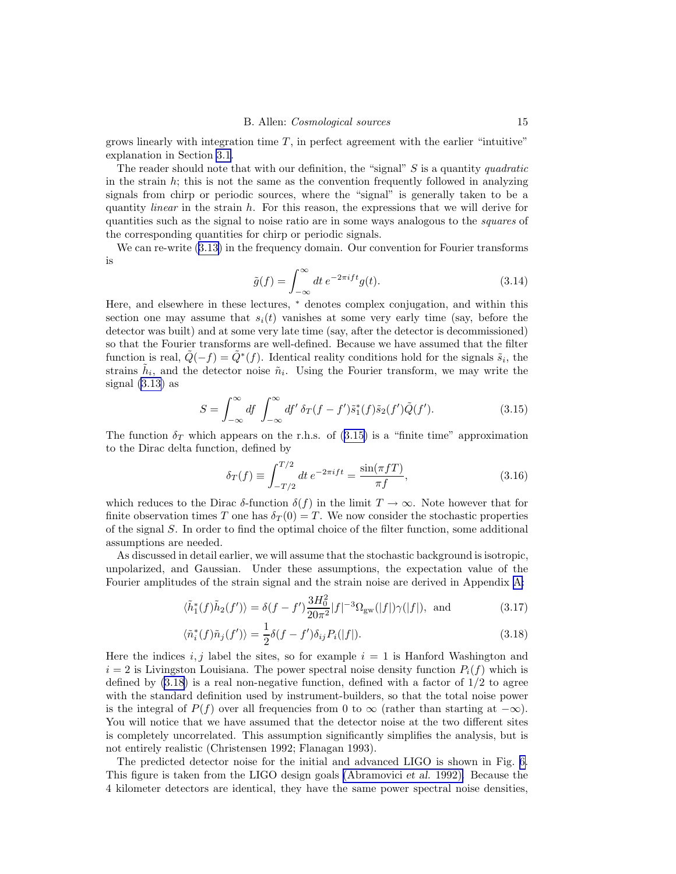<span id="page-14-0"></span>grows linearly with integration time  $T$ , in perfect agreement with the earlier "intuitive" explanation in Section [3.1](#page-9-0).

The reader should note that with our definition, the "signal"  $S$  is a quantity quadratic in the strain  $h$ ; this is not the same as the convention frequently followed in analyzing signals from chirp or periodic sources, where the "signal" is generally taken to be a quantity *linear* in the strain  $h$ . For this reason, the expressions that we will derive for quantities such as the signal to noise ratio are in some ways analogous to the squares of the corresponding quantities for chirp or periodic signals.

We can re-write [\(3.13\)](#page-13-0) in the frequency domain. Our convention for Fourier transforms is

$$
\tilde{g}(f) = \int_{-\infty}^{\infty} dt \, e^{-2\pi i f t} g(t). \tag{3.14}
$$

Here, and elsewhere in these lectures, <sup>∗</sup> denotes complex conjugation, and within this section one may assume that  $s_i(t)$  vanishes at some very early time (say, before the detector was built) and at some very late time (say, after the detector is decommissioned) so that the Fourier transforms are well-defined. Because we have assumed that the filter function is real,  $\tilde{Q}(-f) = \tilde{Q}^*(f)$ . Identical reality conditions hold for the signals  $\tilde{s}_i$ , the strains  $\tilde{h}_i$ , and the detector noise  $\tilde{n}_i$ . Using the Fourier transform, we may write the signal [\(3.13\)](#page-13-0) as

$$
S = \int_{-\infty}^{\infty} df \int_{-\infty}^{\infty} df' \, \delta_T(f - f') \tilde{s}_1^*(f) \tilde{s}_2(f') \tilde{Q}(f'). \tag{3.15}
$$

The function  $\delta_T$  which appears on the r.h.s. of (3.15) is a "finite time" approximation to the Dirac delta function, defined by

$$
\delta_T(f) \equiv \int_{-T/2}^{T/2} dt \, e^{-2\pi i f t} = \frac{\sin(\pi f T)}{\pi f},\tag{3.16}
$$

which reduces to the Dirac  $\delta$ -function  $\delta(f)$  in the limit  $T \to \infty$ . Note however that for finite observation times T one has  $\delta_T(0) = T$ . We now consider the stochastic properties of the signal S. In order to find the optimal choice of the filter function, some additional assumptions are needed.

As discussed in detail earlier, we will assume that the stochastic background is isotropic, unpolarized, and Gaussian. Under these assumptions, the expectation value of the Fourier amplitudes of the strain signal and the strain noise are derived in Appendix [A:](#page-41-0)

$$
\langle \tilde{h}_1^*(f)\tilde{h}_2(f')\rangle = \delta(f - f')\frac{3H_0^2}{20\pi^2}|f|^{-3}\Omega_{\rm gw}(|f|)\gamma(|f|), \text{ and } (3.17)
$$

$$
\langle \tilde{n}_i^*(f)\tilde{n}_j(f')\rangle = \frac{1}{2}\delta(f - f')\delta_{ij}P_i(|f|). \tag{3.18}
$$

Here the indices i, j label the sites, so for example  $i = 1$  is Hanford Washington and  $i = 2$  is Livingston Louisiana. The power spectral noise density function  $P_i(f)$  which is defined by  $(3.18)$  is a real non-negative function, defined with a factor of  $1/2$  to agree with the standard definition used by instrument-builders, so that the total noise power is the integral of  $P(f)$  over all frequencies from 0 to  $\infty$  (rather than starting at  $-\infty$ ). You will notice that we have assumed that the detector noise at the two different sites is completely uncorrelated. This assumption significantly simplifies the analysis, but is not entirely realistic (Christensen 1992; Flanagan 1993).

The predicted detector noise for the initial and advanced LIGO is shown in Fig. [6.](#page-15-0) This figure is taken from the LIGO design goals [\(Abramovici](#page-42-0) et al. 1992). Because the 4 kilometer detectors are identical, they have the same power spectral noise densities,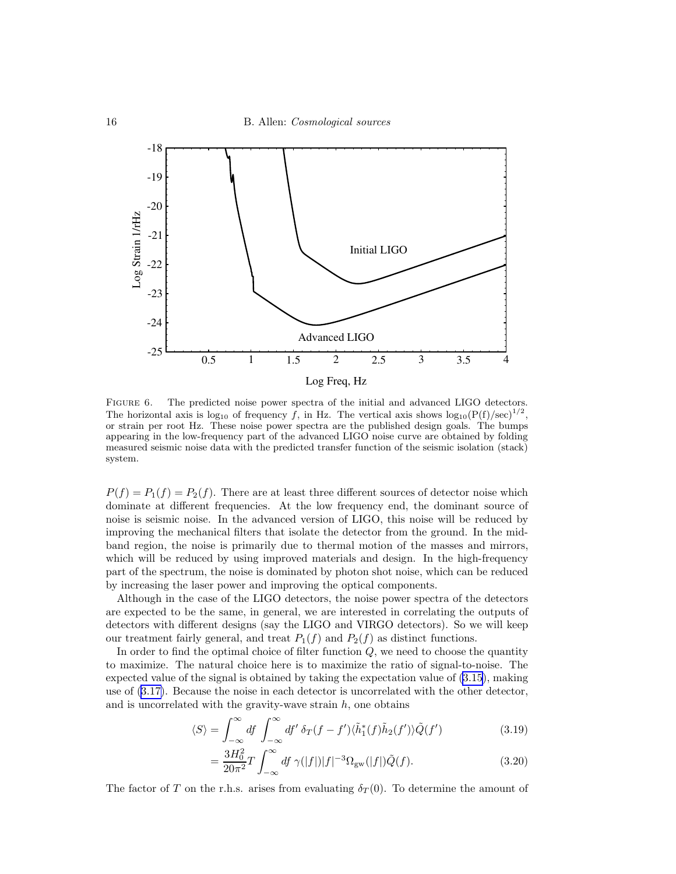<span id="page-15-0"></span>

Log Freq, Hz

FIGURE 6. The predicted noise power spectra of the initial and advanced LIGO detectors. The horizontal axis is log<sub>10</sub> of frequency f, in Hz. The vertical axis shows  $log_{10}(P(f)/sec)^{1/2}$ , or strain per root Hz. These noise power spectra are the published design goals. The bumps appearing in the low-frequency part of the advanced LIGO noise curve are obtained by folding measured seismic noise data with the predicted transfer function of the seismic isolation (stack) system.

 $P(f) = P_1(f) = P_2(f)$ . There are at least three different sources of detector noise which dominate at different frequencies. At the low frequency end, the dominant source of noise is seismic noise. In the advanced version of LIGO, this noise will be reduced by improving the mechanical filters that isolate the detector from the ground. In the midband region, the noise is primarily due to thermal motion of the masses and mirrors, which will be reduced by using improved materials and design. In the high-frequency part of the spectrum, the noise is dominated by photon shot noise, which can be reduced by increasing the laser power and improving the optical components.

Although in the case of the LIGO detectors, the noise power spectra of the detectors are expected to be the same, in general, we are interested in correlating the outputs of detectors with different designs (say the LIGO and VIRGO detectors). So we will keep our treatment fairly general, and treat  $P_1(f)$  and  $P_2(f)$  as distinct functions.

In order to find the optimal choice of filter function  $Q$ , we need to choose the quantity to maximize. The natural choice here is to maximize the ratio of signal-to-noise. The expected value of the signal is obtained by taking the expectation value of [\(3.15](#page-14-0)), making use of ([3.17\)](#page-14-0). Because the noise in each detector is uncorrelated with the other detector, and is uncorrelated with the gravity-wave strain  $h$ , one obtains

$$
\langle S \rangle = \int_{-\infty}^{\infty} df \int_{-\infty}^{\infty} df' \, \delta_T(f - f') \langle \tilde{h}_1^*(f) \tilde{h}_2(f') \rangle \tilde{Q}(f')
$$
 (3.19)

$$
=\frac{3H_0^2}{20\pi^2}T\int_{-\infty}^{\infty}df\ \gamma(|f|)|f|^{-3}\Omega_{\rm gw}(|f|)\tilde{Q}(f). \tag{3.20}
$$

The factor of T on the r.h.s. arises from evaluating  $\delta_T(0)$ . To determine the amount of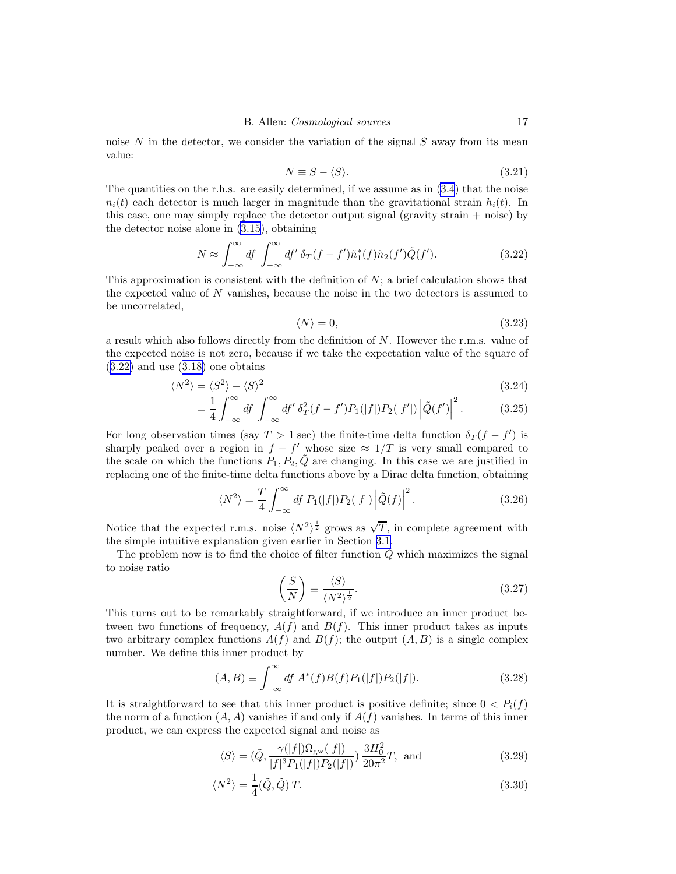noise  $N$  in the detector, we consider the variation of the signal  $S$  away from its mean value:

$$
N \equiv S - \langle S \rangle. \tag{3.21}
$$

The quantities on the r.h.s. are easily determined, if we assume as in  $(3.4)$  $(3.4)$  that the noise  $n_i(t)$  each detector is much larger in magnitude than the gravitational strain  $h_i(t)$ . In this case, one may simply replace the detector output signal (gravity strain + noise) by the detector noise alone in [\(3.15](#page-14-0)), obtaining

$$
N \approx \int_{-\infty}^{\infty} df \int_{-\infty}^{\infty} df' \, \delta_T(f - f') \tilde{n}_1^*(f) \tilde{n}_2(f') \tilde{Q}(f'). \tag{3.22}
$$

This approximation is consistent with the definition of  $N$ ; a brief calculation shows that the expected value of  $N$  vanishes, because the noise in the two detectors is assumed to be uncorrelated,

$$
\langle N \rangle = 0,\tag{3.23}
$$

a result which also follows directly from the definition of  $N$ . However the r.m.s. value of the expected noise is not zero, because if we take the expectation value of the square of  $(3.22)$  and use  $(3.18)$  $(3.18)$  one obtains

$$
\langle N^2 \rangle = \langle S^2 \rangle - \langle S \rangle^2 \tag{3.24}
$$

$$
= \frac{1}{4} \int_{-\infty}^{\infty} df \int_{-\infty}^{\infty} df' \, \delta_T^2(f - f') P_1(|f|) P_2(|f'|) \left| \tilde{Q}(f') \right|^2. \tag{3.25}
$$

For long observation times (say  $T > 1$  sec) the finite-time delta function  $\delta_T(f - f')$  is sharply peaked over a region in  $f - f'$  whose size  $\approx 1/T$  is very small compared to the scale on which the functions  $P_1, P_2, \tilde{Q}$  are changing. In this case we are justified in replacing one of the finite-time delta functions above by a Dirac delta function, obtaining

$$
\langle N^2 \rangle = \frac{T}{4} \int_{-\infty}^{\infty} df P_1(|f|) P_2(|f|) |\tilde{Q}(f)|^2.
$$
 (3.26)

Notice that the expected r.m.s. noise  $\langle N^2 \rangle^{\frac{1}{2}}$  grows as  $\sqrt{T}$ , in complete agreement with the simple intuitive explanation given earlier in Section [3.1.](#page-9-0)

The problem now is to find the choice of filter function  $\tilde{Q}$  which maximizes the signal to noise ratio

$$
\left(\frac{S}{N}\right) \equiv \frac{\langle S \rangle}{\langle N^2 \rangle^{\frac{1}{2}}}.\tag{3.27}
$$

This turns out to be remarkably straightforward, if we introduce an inner product between two functions of frequency,  $A(f)$  and  $B(f)$ . This inner product takes as inputs two arbitrary complex functions  $A(f)$  and  $B(f)$ ; the output  $(A, B)$  is a single complex number. We define this inner product by

$$
(A, B) \equiv \int_{-\infty}^{\infty} df \, A^*(f) B(f) P_1(|f|) P_2(|f|). \tag{3.28}
$$

It is straightforward to see that this inner product is positive definite; since  $0 < P_i(f)$ the norm of a function  $(A, A)$  vanishes if and only if  $A(f)$  vanishes. In terms of this inner product, we can express the expected signal and noise as

$$
\langle S \rangle = (\tilde{Q}, \frac{\gamma(|f|)\Omega_{\text{gw}}(|f|)}{|f|^3 P_1(|f|) P_2(|f|)}) \frac{3H_0^2}{20\pi^2} T, \text{ and } (3.29)
$$

$$
\langle N^2 \rangle = \frac{1}{4} (\tilde{Q}, \tilde{Q}) T. \tag{3.30}
$$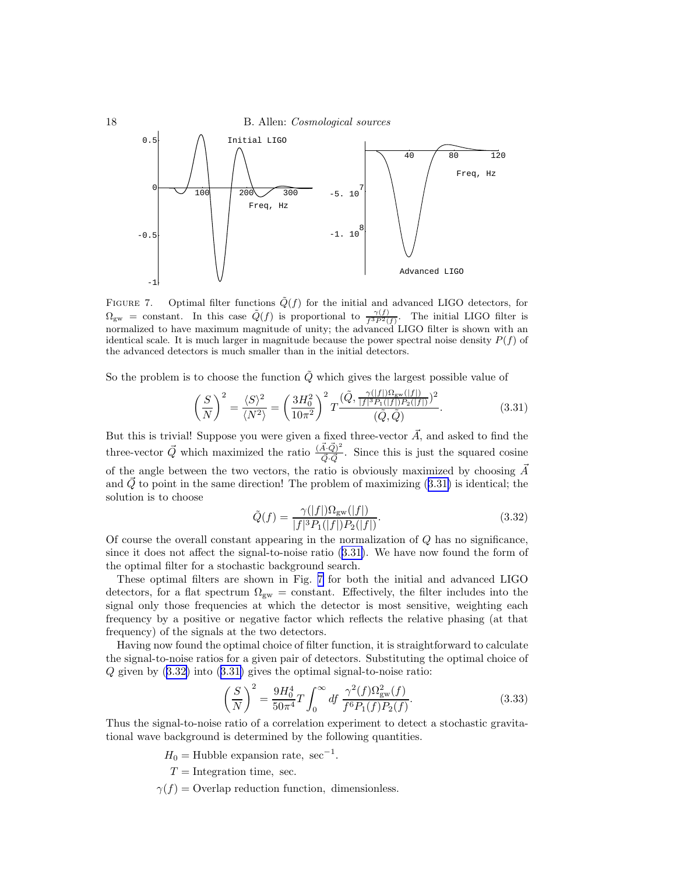<span id="page-17-0"></span>

FIGURE 7. Optimal filter functions  $\tilde{Q}(f)$  for the initial and advanced LIGO detectors, for  $\Omega_{\rm gw}$  = constant. In this case  $\tilde{Q}(f)$  is proportional to  $\frac{\gamma(f)}{f^{3}P^{2}(f)}$ . The initial LIGO filter is normalized to have maximum magnitude of unity; the advanced LIGO filter is shown with an identical scale. It is much larger in magnitude because the power spectral noise density  $P(f)$  of the advanced detectors is much smaller than in the initial detectors.

So the problem is to choose the function  $\tilde{Q}$  which gives the largest possible value of

$$
\left(\frac{S}{N}\right)^2 = \frac{\langle S \rangle^2}{\langle N^2 \rangle} = \left(\frac{3H_0^2}{10\pi^2}\right)^2 T \frac{(\tilde{Q}, \frac{\gamma(|f|)\Omega_{\rm gw}(|f|)}{|f|^3 P_1(|f|) P_2(|f|)})^2}{(\tilde{Q}, \tilde{Q})}.
$$
(3.31)

But this is trivial! Suppose you were given a fixed three-vector  $\vec{A}$ , and asked to find the three-vector  $\vec{Q}$  which maximized the ratio  $\frac{(\vec{A}\cdot\vec{Q})^2}{\vec{Q} \cdot \vec{Q}}$  $\frac{A \cdot Q}{\vec{Q} \cdot \vec{Q}}$ . Since this is just the squared cosine of the angle between the two vectors, the ratio is obviously maximized by choosing  $\vec{A}$ and  $\overline{Q}$  to point in the same direction! The problem of maximizing  $(3.31)$  is identical; the solution is to choose

$$
\tilde{Q}(f) = \frac{\gamma(|f|)\Omega_{\rm gw}(|f|)}{|f|^3 P_1(|f|) P_2(|f|)}.
$$
\n(3.32)

Of course the overall constant appearing in the normalization of  $Q$  has no significance, since it does not affect the signal-to-noise ratio (3.31). We have now found the form of the optimal filter for a stochastic background search.

These optimal filters are shown in Fig. 7 for both the initial and advanced LIGO detectors, for a flat spectrum  $\Omega_{\rm gw}$  = constant. Effectively, the filter includes into the signal only those frequencies at which the detector is most sensitive, weighting each frequency by a positive or negative factor which reflects the relative phasing (at that frequency) of the signals at the two detectors.

Having now found the optimal choice of filter function, it is straightforward to calculate the signal-to-noise ratios for a given pair of detectors. Substituting the optimal choice of  $Q$  given by  $(3.32)$  into  $(3.31)$  gives the optimal signal-to-noise ratio:

$$
\left(\frac{S}{N}\right)^2 = \frac{9H_0^4}{50\pi^4}T\int_0^\infty df \frac{\gamma^2(f)\Omega_{\rm gw}^2(f)}{f^6P_1(f)P_2(f)}.
$$
\n(3.33)

Thus the signal-to-noise ratio of a correlation experiment to detect a stochastic gravitational wave background is determined by the following quantities.

 $H_0 =$ Hubble expansion rate, sec<sup>-1</sup>.

 $T =$ Integration time, sec.

 $\gamma(f)$  = Overlap reduction function, dimensionless.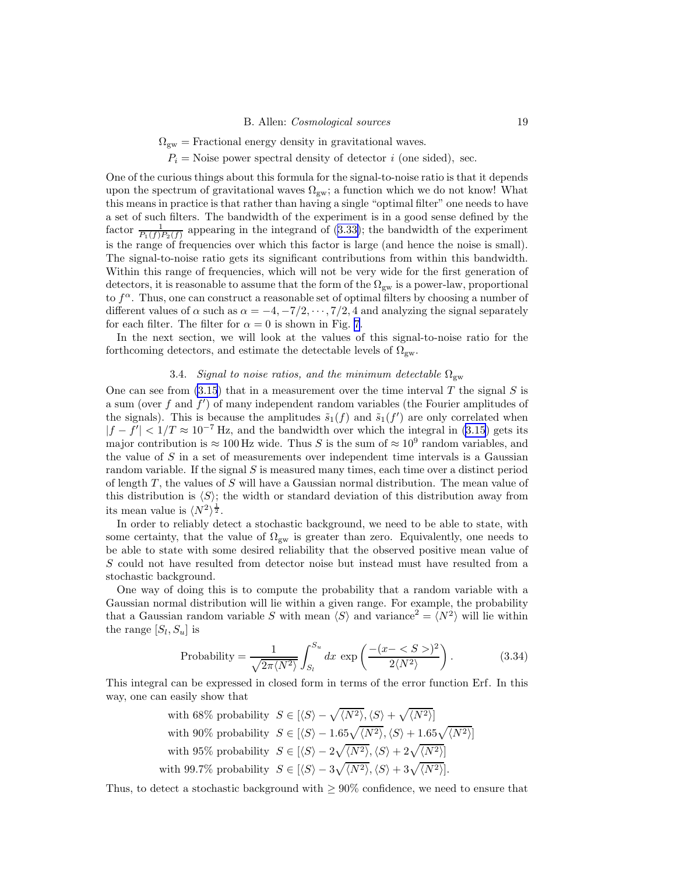$\Omega_{\rm gw} =$  Fractional energy density in gravitational waves.

 $P_i$  = Noise power spectral density of detector *i* (one sided), sec.

One of the curious things about this formula for the signal-to-noise ratio is that it depends upon the spectrum of gravitational waves  $\Omega_{\rm gw}$ ; a function which we do not know! What this means in practice is that rather than having a single "optimal filter" one needs to have a set of such filters. The bandwidth of the experiment is in a good sense defined by the factor  $\frac{1}{P_1(f)P_2(f)}$  appearing in the integrand of ([3.33\)](#page-17-0); the bandwidth of the experiment is the range of frequencies over which this factor is large (and hence the noise is small). The signal-to-noise ratio gets its significant contributions from within this bandwidth. Within this range of frequencies, which will not be very wide for the first generation of detectors, it is reasonable to assume that the form of the  $\Omega_{\rm gw}$  is a power-law, proportional to  $f^{\alpha}$ . Thus, one can construct a reasonable set of optimal filters by choosing a number of different values of  $\alpha$  such as  $\alpha = -4, -7/2, \cdots, 7/2, 4$  and analyzing the signal separately for each filter. The filter for  $\alpha = 0$  is shown in Fig. [7](#page-17-0).

In the next section, we will look at the values of this signal-to-noise ratio for the forthcoming detectors, and estimate the detectable levels of  $\Omega_{gw}$ .

## 3.4. Signal to noise ratios, and the minimum detectable  $\Omega_{\rm gw}$

One can see from  $(3.15)$  $(3.15)$  that in a measurement over the time interval T the signal S is a sum (over  $f$  and  $f'$ ) of many independent random variables (the Fourier amplitudes of the signals). This is because the amplitudes  $\tilde{s}_1(f)$  and  $\tilde{s}_1(f')$  are only correlated when  $|f - f'| < 1/T \approx 10^{-7}$  Hz, and the bandwidth over which the integral in [\(3.15\)](#page-14-0) gets its major contribution is  $\approx 100$  Hz wide. Thus S is the sum of  $\approx 10^9$  random variables, and the value of  $S$  in a set of measurements over independent time intervals is a Gaussian random variable. If the signal  $S$  is measured many times, each time over a distinct period of length  $T$ , the values of S will have a Gaussian normal distribution. The mean value of this distribution is  $\langle S \rangle$ ; the width or standard deviation of this distribution away from its mean value is  $\langle N^2 \rangle^{\frac{1}{2}}$ .

In order to reliably detect a stochastic background, we need to be able to state, with some certainty, that the value of  $\Omega_{\rm gw}$  is greater than zero. Equivalently, one needs to be able to state with some desired reliability that the observed positive mean value of S could not have resulted from detector noise but instead must have resulted from a stochastic background.

One way of doing this is to compute the probability that a random variable with a Gaussian normal distribution will lie within a given range. For example, the probability that a Gaussian random variable S with mean  $\langle S \rangle$  and variance<sup>2</sup> =  $\langle N^2 \rangle$  will lie within the range  $[S_l, S_u]$  is

Probability = 
$$
\frac{1}{\sqrt{2\pi \langle N^2 \rangle}} \int_{S_l}^{S_u} dx \exp\left(\frac{-(x - \langle S \rangle)^2}{2\langle N^2 \rangle}\right).
$$
 (3.34)

This integral can be expressed in closed form in terms of the error function Erf. In this way, one can easily show that

> with 68% probability  $S \in \left[ \langle S \rangle - \sqrt{\langle N^2 \rangle}, \langle S \rangle + \sqrt{\langle N^2 \rangle} \right]$ with 90% probability  $S \in \left[ \langle S \rangle - 1.65\sqrt{\langle N^2 \rangle}, \langle S \rangle + 1.65\sqrt{\langle N^2 \rangle} \right]$ with 95% probability  $S \in \left[ \langle S \rangle - 2\sqrt{\langle N^2 \rangle}, \langle S \rangle + 2\sqrt{\langle N^2 \rangle} \right]$ with 99.7% probability  $S \in \left[ \langle S \rangle - 3\sqrt{\langle N^2 \rangle}, \langle S \rangle + 3\sqrt{\langle N^2 \rangle} \right]$ .

Thus, to detect a stochastic background with  $\geq 90\%$  confidence, we need to ensure that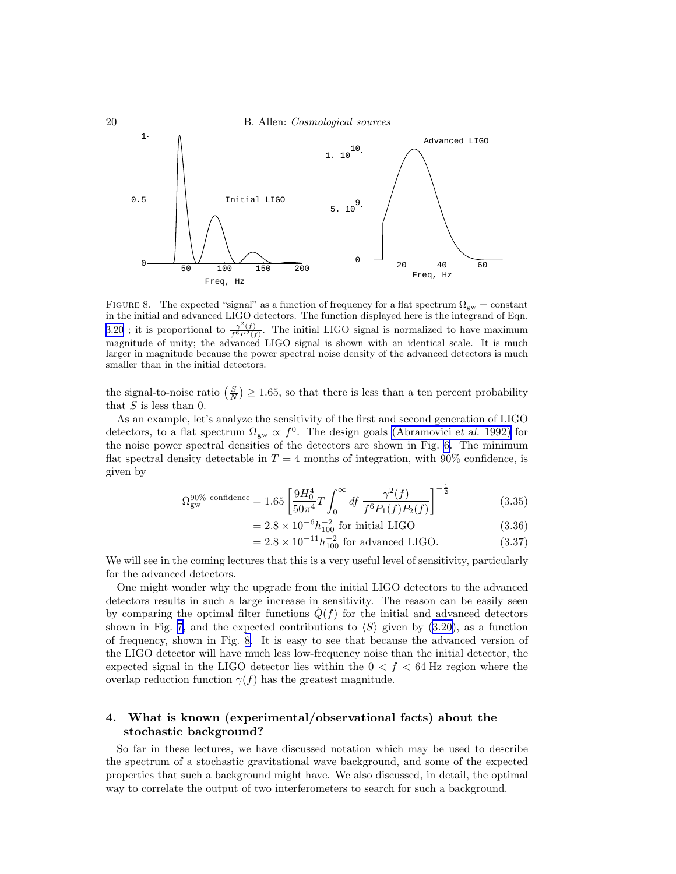<span id="page-19-0"></span>

FIGURE 8. The expected "signal" as a function of frequency for a flat spectrum  $\Omega_{\rm gw} = \text{constant}$ in the initial and advanced LIGO detectors. The function displayed here is the integrand of Eqn. [3.20](#page-15-0); it is proportional to  $\frac{\gamma^2(f)}{f^6P^2(f)}$ . The initial LIGO signal is normalized to have maximum magnitude of unity; the advanced LIGO signal is shown with an identical scale. It is much larger in magnitude because the power spectral noise density of the advanced detectors is much smaller than in the initial detectors.

the signal-to-noise ratio  $\left(\frac{S}{N}\right) \ge 1.65$ , so that there is less than a ten percent probability that  $S$  is less than 0.

As an example, let's analyze the sensitivity of the first and second generation of LIGO detectors, to a flat spectrum  $\Omega_{\rm gw} \propto f^0$ . The design goals [\(Abramovici](#page-42-0) *et al.* 1992) for the noise power spectral densities of the detectors are shown in Fig. [6](#page-15-0). The minimum flat spectral density detectable in  $T = 4$  months of integration, with 90% confidence, is given by

$$
\Omega_{\rm gw}^{90\% \text{ confidence}} = 1.65 \left[ \frac{9H_0^4}{50\pi^4} T \int_0^\infty df \frac{\gamma^2(f)}{f^6 P_1(f) P_2(f)} \right]^{-\frac{1}{2}} \tag{3.35}
$$

$$
= 2.8 \times 10^{-6} h_{100}^{-2} \text{ for initial LIGO} \tag{3.36}
$$

$$
= 2.8 \times 10^{-11} h_{100}^{-2} \text{ for advanced LIGO.}
$$
 (3.37)

We will see in the coming lectures that this is a very useful level of sensitivity, particularly for the advanced detectors.

One might wonder why the upgrade from the initial LIGO detectors to the advanced detectors results in such a large increase in sensitivity. The reason can be easily seen by comparing the optimal filter functions  $Q(f)$  for the initial and advanced detectors shown in Fig. [7,](#page-17-0) and the expected contributions to  $\langle S \rangle$  given by ([3.20\)](#page-15-0), as a function of frequency, shown in Fig. 8. It is easy to see that because the advanced version of the LIGO detector will have much less low-frequency noise than the initial detector, the expected signal in the LIGO detector lies within the  $0 < f < 64$  Hz region where the overlap reduction function  $\gamma(f)$  has the greatest magnitude.

# 4. What is known (experimental/observational facts) about the stochastic background?

So far in these lectures, we have discussed notation which may be used to describe the spectrum of a stochastic gravitational wave background, and some of the expected properties that such a background might have. We also discussed, in detail, the optimal way to correlate the output of two interferometers to search for such a background.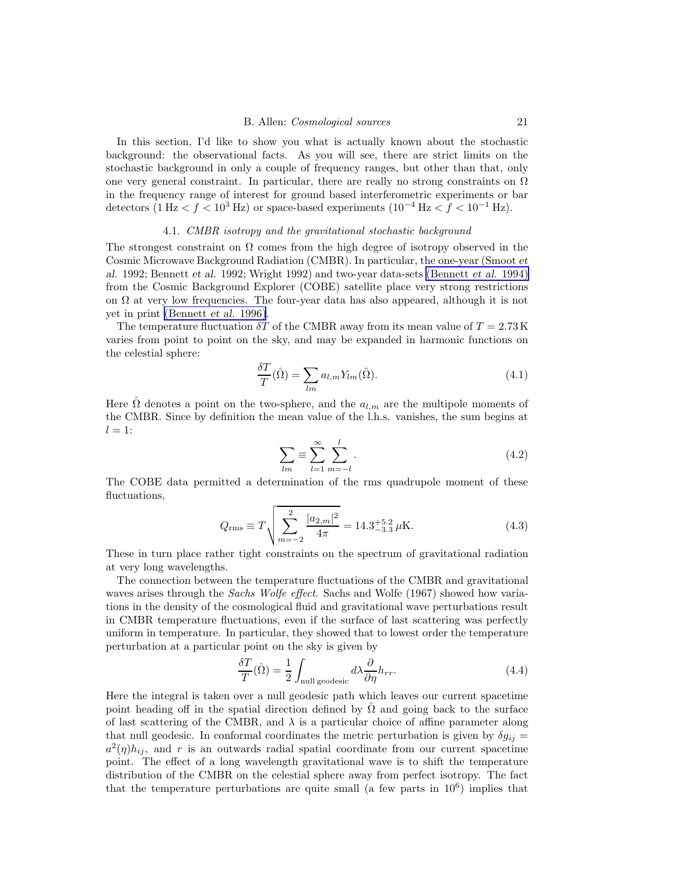<span id="page-20-0"></span>In this section, I'd like to show you what is actually known about the stochastic background: the observational facts. As you will see, there are strict limits on the stochastic background in only a couple of frequency ranges, but other than that, only one very general constraint. In particular, there are really no strong constraints on  $\Omega$ in the frequency range of interest for ground based interferometric experiments or bar detectors (1 Hz <  $f$  < 10<sup>3</sup> Hz) or space-based experiments (10<sup>-4</sup> Hz <  $f$  < 10<sup>-1</sup> Hz).

## 4.1. CMBR isotropy and the gravitational stochastic background

The strongest constraint on  $\Omega$  comes from the high degree of isotropy observed in the Cosmic Microwave Background Radiation (CMBR). In particular, the one-year (Smoot et al. 1992; Bennett et al. 1992; Wright 1992) and two-year data-sets [\(Bennett](#page-42-0) et al. 1994) from the Cosmic Background Explorer (COBE) satellite place very strong restrictions on  $\Omega$  at very low frequencies. The four-year data has also appeared, although it is not yet in print [\(Bennett](#page-43-0) et al. 1996).

The temperature fluctuation  $\delta T$  of the CMBR away from its mean value of  $T = 2.73 \text{ K}$ varies from point to point on the sky, and may be expanded in harmonic functions on the celestial sphere:

$$
\frac{\delta T}{T}(\hat{\Omega}) = \sum_{lm} a_{l,m} Y_{lm}(\hat{\Omega}).
$$
\n(4.1)

Here  $\hat{\Omega}$  denotes a point on the two-sphere, and the  $a_{l,m}$  are the multipole moments of the CMBR. Since by definition the mean value of the l.h.s. vanishes, the sum begins at  $l = 1$ :

$$
\sum_{lm} \equiv \sum_{l=1}^{\infty} \sum_{m=-l}^{l}.
$$
\n(4.2)

The COBE data permitted a determination of the rms quadrupole moment of these fluctuations,

$$
Q_{\rm rms} \equiv T \sqrt{\sum_{m=-2}^{2} \frac{|a_{2,m}|^2}{4\pi}} = 14.3^{+5.2}_{-3.3} \,\mu\text{K}.\tag{4.3}
$$

These in turn place rather tight constraints on the spectrum of gravitational radiation at very long wavelengths.

The connection between the temperature fluctuations of the CMBR and gravitational waves arises through the *Sachs Wolfe effect*. Sachs and Wolfe (1967) showed how variations in the density of the cosmological fluid and gravitational wave perturbations result in CMBR temperature fluctuations, even if the surface of last scattering was perfectly uniform in temperature. In particular, they showed that to lowest order the temperature perturbation at a particular point on the sky is given by

$$
\frac{\delta T}{T}(\hat{\Omega}) = \frac{1}{2} \int_{\text{null geodesic}} d\lambda \frac{\partial}{\partial \eta} h_{rr}.
$$
\n(4.4)

Here the integral is taken over a null geodesic path which leaves our current spacetime point heading off in the spatial direction defined by  $\hat{\Omega}$  and going back to the surface of last scattering of the CMBR, and  $\lambda$  is a particular choice of affine parameter along that null geodesic. In conformal coordinates the metric perturbation is given by  $\delta g_{ij} =$  $a^2(\eta)h_{ij}$ , and r is an outwards radial spatial coordinate from our current spacetime point. The effect of a long wavelength gravitational wave is to shift the temperature distribution of the CMBR on the celestial sphere away from perfect isotropy. The fact that the temperature perturbations are quite small (a few parts in  $10<sup>6</sup>$ ) implies that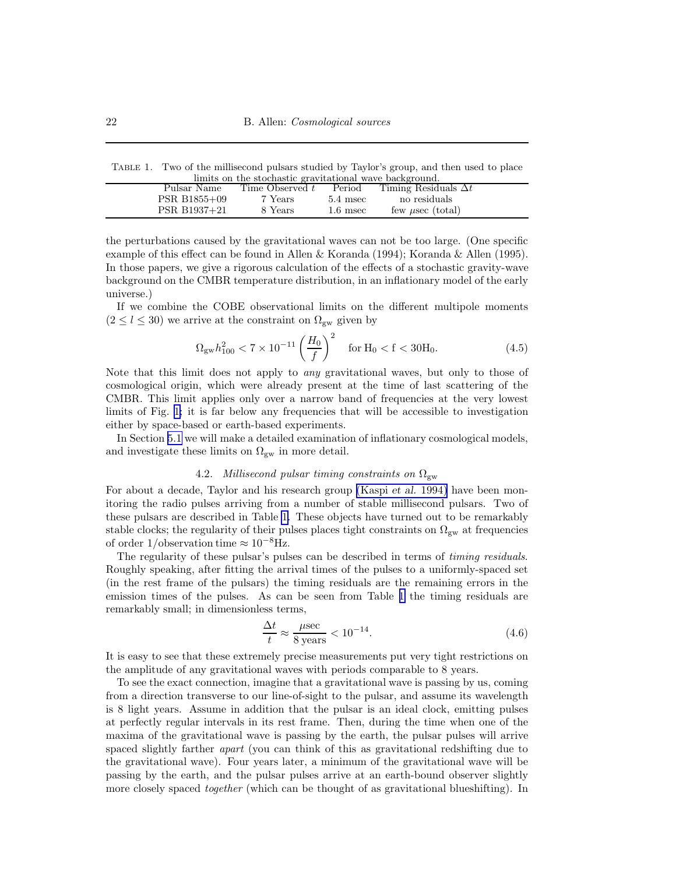<span id="page-21-0"></span>Table 1. Two of the millisecond pulsars studied by Taylor's group, and then used to place limits on the stochastic gravitational wave background.

| minus on the stochastic gravitational wave background. |              |                 |            |                             |  |  |  |  |
|--------------------------------------------------------|--------------|-----------------|------------|-----------------------------|--|--|--|--|
|                                                        | Pulsar Name  | Time Observed t | Period     | Timing Residuals $\Delta t$ |  |  |  |  |
|                                                        | PSR B1855+09 | 7 Years         | $5.4$ msec | no residuals                |  |  |  |  |
|                                                        | PSR B1937+21 | 8 Years         | $1.6$ msec | few $\mu$ sec (total)       |  |  |  |  |
|                                                        |              |                 |            |                             |  |  |  |  |

the perturbations caused by the gravitational waves can not be too large. (One specific example of this effect can be found in Allen & Koranda (1994); Koranda & Allen (1995). In those papers, we give a rigorous calculation of the effects of a stochastic gravity-wave background on the CMBR temperature distribution, in an inflationary model of the early universe.)

If we combine the COBE observational limits on the different multipole moments  $(2 \leq l \leq 30)$  we arrive at the constraint on  $\Omega_{\rm gw}$  given by

$$
\Omega_{\rm gw} h_{100}^2 < 7 \times 10^{-11} \left(\frac{H_0}{f}\right)^2 \quad \text{for } H_0 < f < 30H_0. \tag{4.5}
$$

Note that this limit does not apply to *any* gravitational waves, but only to those of cosmological origin, which were already present at the time of last scattering of the CMBR. This limit applies only over a narrow band of frequencies at the very lowest limits of Fig. [1;](#page-4-0) it is far below any frequencies that will be accessible to investigation either by space-based or earth-based experiments.

In Section [5.1](#page-24-0) we will make a detailed examination of inflationary cosmological models, and investigate these limits on  $\Omega_{gw}$  in more detail.

# 4.2. Millisecond pulsar timing constraints on  $\Omega_{\rm gw}$

For about a decade, Taylor and his research group [\(Kaspi](#page-43-0) et al. 1994) have been monitoring the radio pulses arriving from a number of stable millisecond pulsars. Two of these pulsars are described in Table 1. These objects have turned out to be remarkably stable clocks; the regularity of their pulses places tight constraints on  $\Omega_{\rm gw}$  at frequencies of order 1/observation time  $\approx 10^{-8}$ Hz.

The regularity of these pulsar's pulses can be described in terms of *timing residuals*. Roughly speaking, after fitting the arrival times of the pulses to a uniformly-spaced set (in the rest frame of the pulsars) the timing residuals are the remaining errors in the emission times of the pulses. As can be seen from Table 1 the timing residuals are remarkably small; in dimensionless terms,

$$
\frac{\Delta t}{t} \approx \frac{\mu \sec}{8 \text{ years}} < 10^{-14}.\tag{4.6}
$$

It is easy to see that these extremely precise measurements put very tight restrictions on the amplitude of any gravitational waves with periods comparable to 8 years.

To see the exact connection, imagine that a gravitational wave is passing by us, coming from a direction transverse to our line-of-sight to the pulsar, and assume its wavelength is 8 light years. Assume in addition that the pulsar is an ideal clock, emitting pulses at perfectly regular intervals in its rest frame. Then, during the time when one of the maxima of the gravitational wave is passing by the earth, the pulsar pulses will arrive spaced slightly farther *apart* (you can think of this as gravitational redshifting due to the gravitational wave). Four years later, a minimum of the gravitational wave will be passing by the earth, and the pulsar pulses arrive at an earth-bound observer slightly more closely spaced *together* (which can be thought of as gravitational blueshifting). In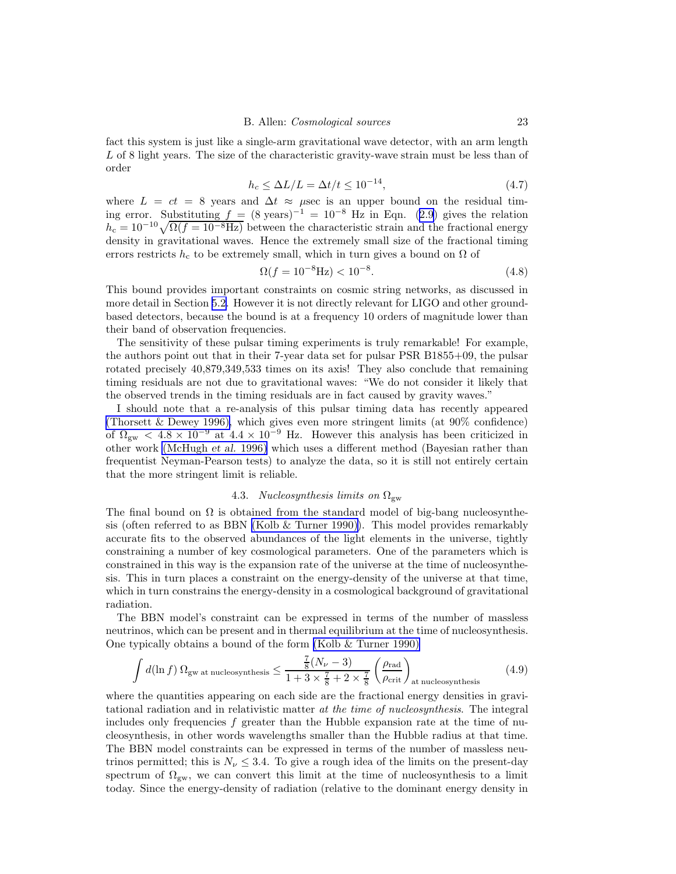fact this system is just like a single-arm gravitational wave detector, with an arm length L of 8 light years. The size of the characteristic gravity-wave strain must be less than of order

$$
h_c \le \Delta L/L = \Delta t/t \le 10^{-14},\tag{4.7}
$$

where  $L = ct = 8$  years and  $\Delta t \approx \mu$ sec is an upper bound on the residual timing error. Substituting  $f = (8 \text{ years})^{-1} = 10^{-8} \text{ Hz}$  in Eqn. [\(2.9\)](#page-5-0) gives the relation  $h_c = 10^{-10} \sqrt{\Omega(f = 10^{-8} \text{Hz})}$  between the characteristic strain and the fractional energy density in gravitational waves. Hence the extremely small size of the fractional timing errors restricts  $h_c$  to be extremely small, which in turn gives a bound on  $\Omega$  of

$$
\Omega(f = 10^{-8} \text{Hz}) < 10^{-8}.\tag{4.8}
$$

This bound provides important constraints on cosmic string networks, as discussed in more detail in Section [5.2.](#page-31-0) However it is not directly relevant for LIGO and other groundbased detectors, because the bound is at a frequency 10 orders of magnitude lower than their band of observation frequencies.

The sensitivity of these pulsar timing experiments is truly remarkable! For example, the authors point out that in their 7-year data set for pulsar PSR B1855+09, the pulsar rotated precisely 40,879,349,533 times on its axis! They also conclude that remaining timing residuals are not due to gravitational waves: "We do not consider it likely that the observed trends in the timing residuals are in fact caused by gravity waves."

I should note that a re-analysis of this pulsar timing data has recently appeared [\(Thorsett & Dewey 1996\),](#page-44-0) which gives even more stringent limits (at 90% confidence) of  $\Omega_{\rm gw}$  < 4.8 × 10<sup>-9</sup> at 4.4 × 10<sup>-9</sup> Hz. However this analysis has been criticized in other work [\(McHugh](#page-43-0) et al. 1996) which uses a different method (Bayesian rather than frequentist Neyman-Pearson tests) to analyze the data, so it is still not entirely certain that the more stringent limit is reliable.

# 4.3. Nucleosynthesis limits on  $\Omega_{\rm gw}$

The final bound on  $\Omega$  is obtained from the standard model of big-bang nucleosynthesis (often referred to as BBN [\(Kolb & Turner 1990\)](#page-43-0)). This model provides remarkably accurate fits to the observed abundances of the light elements in the universe, tightly constraining a number of key cosmological parameters. One of the parameters which is constrained in this way is the expansion rate of the universe at the time of nucleosynthesis. This in turn places a constraint on the energy-density of the universe at that time, which in turn constrains the energy-density in a cosmological background of gravitational radiation.

The BBN model's constraint can be expressed in terms of the number of massless neutrinos, which can be present and in thermal equilibrium at the time of nucleosynthesis. One typically obtains a bound of the form [\(Kolb & Turner 1990\)](#page-43-0)

$$
\int d(\ln f) \, \Omega_{\text{gw at nucleosynthesis}} \le \frac{\frac{7}{8}(N_{\nu} - 3)}{1 + 3 \times \frac{7}{8} + 2 \times \frac{7}{8}} \left(\frac{\rho_{\text{rad}}}{\rho_{\text{crit}}}\right)_{\text{at nucleosynthesis}} \tag{4.9}
$$

where the quantities appearing on each side are the fractional energy densities in gravitational radiation and in relativistic matter at the time of nucleosynthesis. The integral includes only frequencies  $f$  greater than the Hubble expansion rate at the time of nucleosynthesis, in other words wavelengths smaller than the Hubble radius at that time. The BBN model constraints can be expressed in terms of the number of massless neutrinos permitted; this is  $N_{\nu} \leq 3.4$ . To give a rough idea of the limits on the present-day spectrum of  $\Omega_{\rm gw}$ , we can convert this limit at the time of nucleosynthesis to a limit today. Since the energy-density of radiation (relative to the dominant energy density in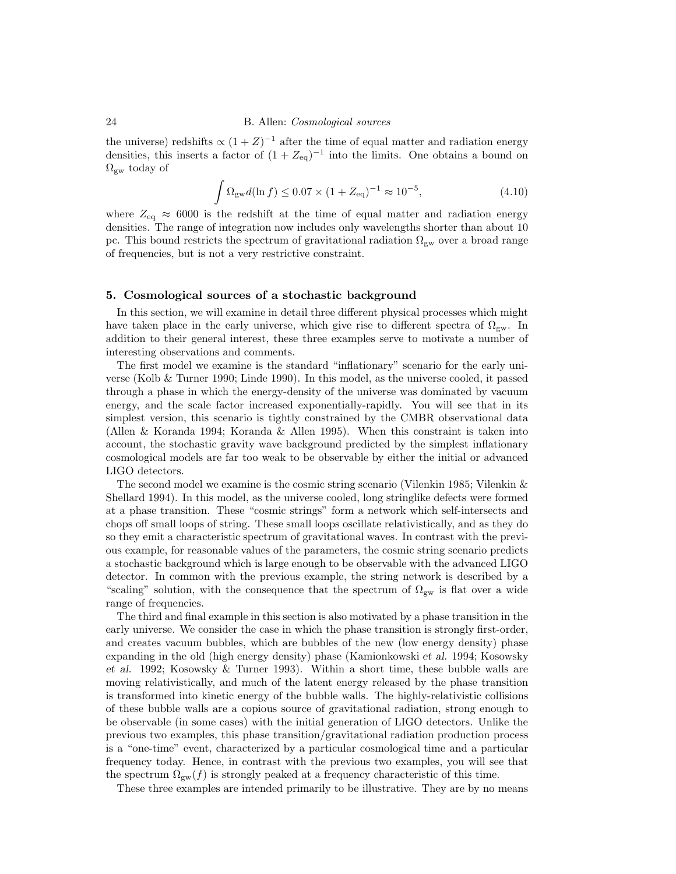<span id="page-23-0"></span>the universe) redshifts  $\propto (1+Z)^{-1}$  after the time of equal matter and radiation energy densities, this inserts a factor of  $(1 + Z_{eq})^{-1}$  into the limits. One obtains a bound on  $\Omega_{\rm gw}$  today of

$$
\int \Omega_{\rm gw} d(\ln f) \le 0.07 \times (1 + Z_{\rm eq})^{-1} \approx 10^{-5},\tag{4.10}
$$

where  $Z_{eq} \approx 6000$  is the redshift at the time of equal matter and radiation energy densities. The range of integration now includes only wavelengths shorter than about 10 pc. This bound restricts the spectrum of gravitational radiation  $\Omega_{\rm gw}$  over a broad range of frequencies, but is not a very restrictive constraint.

## 5. Cosmological sources of a stochastic background

In this section, we will examine in detail three different physical processes which might have taken place in the early universe, which give rise to different spectra of  $\Omega_{\rm gw}$ . In addition to their general interest, these three examples serve to motivate a number of interesting observations and comments.

The first model we examine is the standard "inflationary" scenario for the early universe (Kolb & Turner 1990; Linde 1990). In this model, as the universe cooled, it passed through a phase in which the energy-density of the universe was dominated by vacuum energy, and the scale factor increased exponentially-rapidly. You will see that in its simplest version, this scenario is tightly constrained by the CMBR observational data (Allen & Koranda 1994; Koranda & Allen 1995). When this constraint is taken into account, the stochastic gravity wave background predicted by the simplest inflationary cosmological models are far too weak to be observable by either the initial or advanced LIGO detectors.

The second model we examine is the cosmic string scenario (Vilenkin 1985; Vilenkin & Shellard 1994). In this model, as the universe cooled, long stringlike defects were formed at a phase transition. These "cosmic strings" form a network which self-intersects and chops off small loops of string. These small loops oscillate relativistically, and as they do so they emit a characteristic spectrum of gravitational waves. In contrast with the previous example, for reasonable values of the parameters, the cosmic string scenario predicts a stochastic background which is large enough to be observable with the advanced LIGO detector. In common with the previous example, the string network is described by a "scaling" solution, with the consequence that the spectrum of  $\Omega_{\rm gw}$  is flat over a wide range of frequencies.

The third and final example in this section is also motivated by a phase transition in the early universe. We consider the case in which the phase transition is strongly first-order, and creates vacuum bubbles, which are bubbles of the new (low energy density) phase expanding in the old (high energy density) phase (Kamionkowski et al. 1994; Kosowsky et al. 1992; Kosowsky & Turner 1993). Within a short time, these bubble walls are moving relativistically, and much of the latent energy released by the phase transition is transformed into kinetic energy of the bubble walls. The highly-relativistic collisions of these bubble walls are a copious source of gravitational radiation, strong enough to be observable (in some cases) with the initial generation of LIGO detectors. Unlike the previous two examples, this phase transition/gravitational radiation production process is a "one-time" event, characterized by a particular cosmological time and a particular frequency today. Hence, in contrast with the previous two examples, you will see that the spectrum  $\Omega_{gw}(f)$  is strongly peaked at a frequency characteristic of this time.

These three examples are intended primarily to be illustrative. They are by no means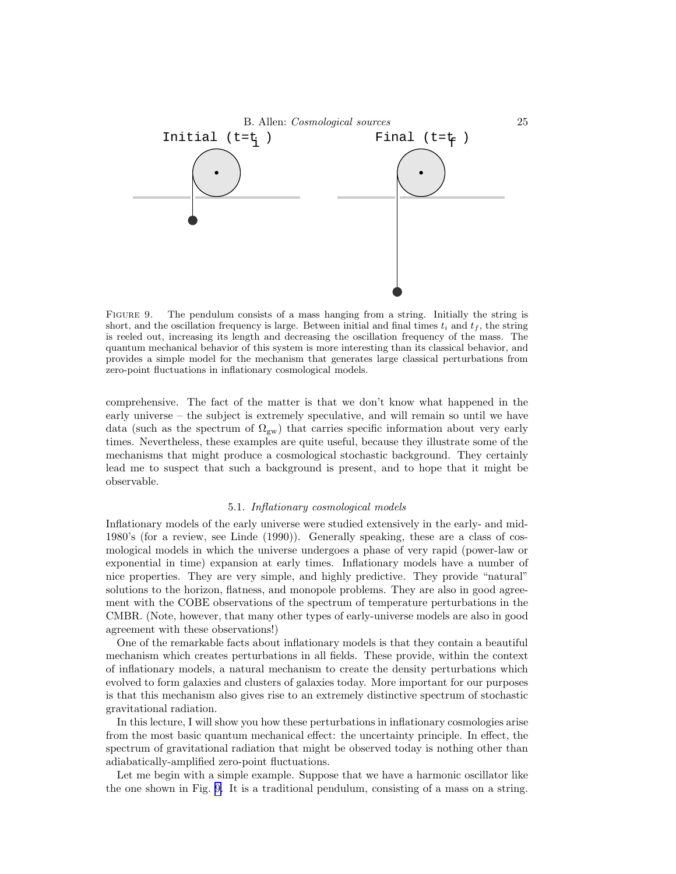<span id="page-24-0"></span>

FIGURE 9. The pendulum consists of a mass hanging from a string. Initially the string is short, and the oscillation frequency is large. Between initial and final times  $t_i$  and  $t_f$ , the string is reeled out, increasing its length and decreasing the oscillation frequency of the mass. The quantum mechanical behavior of this system is more interesting than its classical behavior, and provides a simple model for the mechanism that generates large classical perturbations from zero-point fluctuations in inflationary cosmological models.

comprehensive. The fact of the matter is that we don't know what happened in the early universe – the subject is extremely speculative, and will remain so until we have data (such as the spectrum of  $\Omega_{\rm gw}$ ) that carries specific information about very early times. Nevertheless, these examples are quite useful, because they illustrate some of the mechanisms that might produce a cosmological stochastic background. They certainly lead me to suspect that such a background is present, and to hope that it might be observable.

## 5.1. Inflationary cosmological models

Inflationary models of the early universe were studied extensively in the early- and mid-1980's (for a review, see Linde (1990)). Generally speaking, these are a class of cosmological models in which the universe undergoes a phase of very rapid (power-law or exponential in time) expansion at early times. Inflationary models have a number of nice properties. They are very simple, and highly predictive. They provide "natural" solutions to the horizon, flatness, and monopole problems. They are also in good agreement with the COBE observations of the spectrum of temperature perturbations in the CMBR. (Note, however, that many other types of early-universe models are also in good agreement with these observations!)

One of the remarkable facts about inflationary models is that they contain a beautiful mechanism which creates perturbations in all fields. These provide, within the context of inflationary models, a natural mechanism to create the density perturbations which evolved to form galaxies and clusters of galaxies today. More important for our purposes is that this mechanism also gives rise to an extremely distinctive spectrum of stochastic gravitational radiation.

In this lecture, I will show you how these perturbations in inflationary cosmologies arise from the most basic quantum mechanical effect: the uncertainty principle. In effect, the spectrum of gravitational radiation that might be observed today is nothing other than adiabatically-amplified zero-point fluctuations.

Let me begin with a simple example. Suppose that we have a harmonic oscillator like the one shown in Fig. 9. It is a traditional pendulum, consisting of a mass on a string.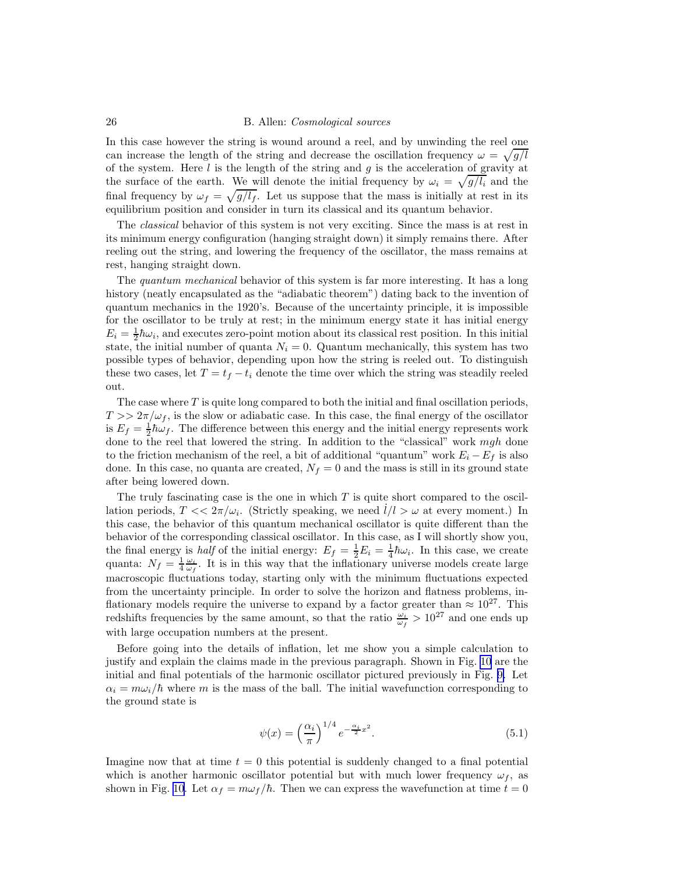In this case however the string is wound around a reel, and by unwinding the reel one can increase the length of the string and decrease the oscillation frequency  $\omega = \sqrt{g/l}$ of the system. Here  $l$  is the length of the string and  $g$  is the acceleration of gravity at the surface of the earth. We will denote the initial frequency by  $\omega_i = \sqrt{g/l_i}$  and the final frequency by  $\omega_f = \sqrt{g/l_f}$ . Let us suppose that the mass is initially at rest in its equilibrium position and consider in turn its classical and its quantum behavior.

The classical behavior of this system is not very exciting. Since the mass is at rest in its minimum energy configuration (hanging straight down) it simply remains there. After reeling out the string, and lowering the frequency of the oscillator, the mass remains at rest, hanging straight down.

The quantum mechanical behavior of this system is far more interesting. It has a long history (neatly encapsulated as the "adiabatic theorem") dating back to the invention of quantum mechanics in the 1920's. Because of the uncertainty principle, it is impossible for the oscillator to be truly at rest; in the minimum energy state it has initial energy  $E_i = \frac{1}{2}\hbar\omega_i$ , and executes zero-point motion about its classical rest position. In this initial state, the initial number of quanta  $N_i = 0$ . Quantum mechanically, this system has two possible types of behavior, depending upon how the string is reeled out. To distinguish these two cases, let  $T = t_f - t_i$  denote the time over which the string was steadily reeled out.

The case where  $T$  is quite long compared to both the initial and final oscillation periods,  $T >> 2\pi/\omega_f$ , is the slow or adiabatic case. In this case, the final energy of the oscillator is  $E_f = \frac{1}{2}\hbar\omega_f$ . The difference between this energy and the initial energy represents work done to the reel that lowered the string. In addition to the "classical" work mgh done to the friction mechanism of the reel, a bit of additional "quantum" work  $E_i - E_f$  is also done. In this case, no quanta are created,  $N_f = 0$  and the mass is still in its ground state after being lowered down.

The truly fascinating case is the one in which  $T$  is quite short compared to the oscillation periods,  $T \ll 2\pi/\omega_i$ . (Strictly speaking, we need  $l/l > \omega$  at every moment.) In this case, the behavior of this quantum mechanical oscillator is quite different than the behavior of the corresponding classical oscillator. In this case, as I will shortly show you, the final energy is *half* of the initial energy:  $E_f = \frac{1}{2}E_i = \frac{1}{4}\hbar\omega_i$ . In this case, we create quanta:  $N_f = \frac{1}{4} \frac{\omega_i}{\omega_f}$ . It is in this way that the inflationary universe models create large macroscopic fluctuations today, starting only with the minimum fluctuations expected from the uncertainty principle. In order to solve the horizon and flatness problems, inflationary models require the universe to expand by a factor greater than  $\approx 10^{27}$ . This redshifts frequencies by the same amount, so that the ratio  $\frac{\omega_i}{\omega_f} > 10^{27}$  and one ends up with large occupation numbers at the present.

Before going into the details of inflation, let me show you a simple calculation to justify and explain the claims made in the previous paragraph. Shown in Fig. [10](#page-26-0) are the initial and final potentials of the harmonic oscillator pictured previously in Fig. [9.](#page-24-0) Let  $\alpha_i = m\omega_i/\hbar$  where m is the mass of the ball. The initial wavefunction corresponding to the ground state is

$$
\psi(x) = \left(\frac{\alpha_i}{\pi}\right)^{1/4} e^{-\frac{\alpha_i}{2}x^2}.\tag{5.1}
$$

Imagine now that at time  $t = 0$  this potential is suddenly changed to a final potential which is another harmonic oscillator potential but with much lower frequency  $\omega_f$ , as shown in Fig. [10.](#page-26-0) Let  $\alpha_f = m\omega_f/\hbar$ . Then we can express the wavefunction at time  $t = 0$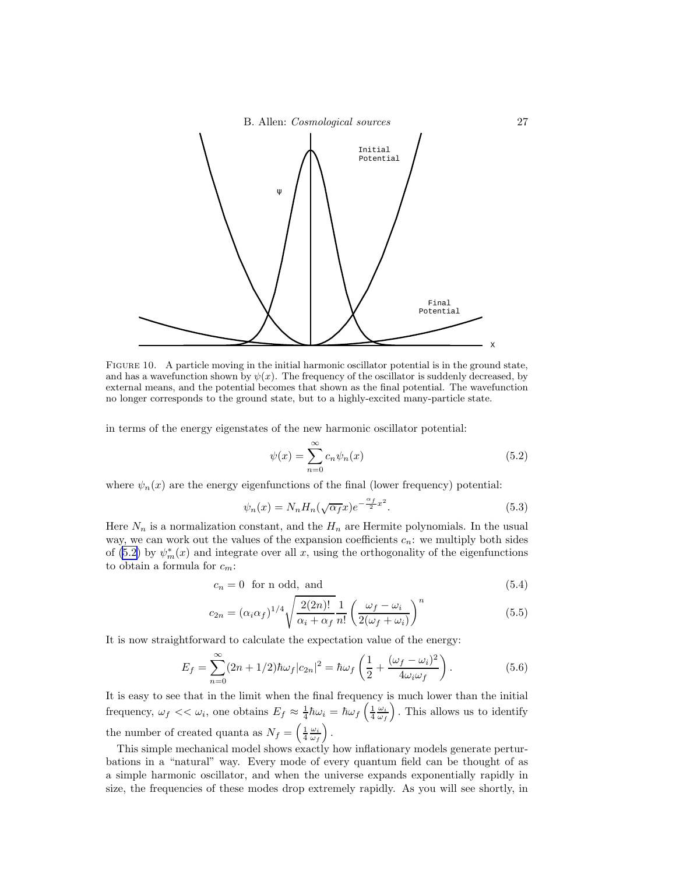<span id="page-26-0"></span>

FIGURE 10. A particle moving in the initial harmonic oscillator potential is in the ground state, and has a wavefunction shown by  $\psi(x)$ . The frequency of the oscillator is suddenly decreased, by external means, and the potential becomes that shown as the final potential. The wavefunction no longer corresponds to the ground state, but to a highly-excited many-particle state.

in terms of the energy eigenstates of the new harmonic oscillator potential:

$$
\psi(x) = \sum_{n=0}^{\infty} c_n \psi_n(x) \tag{5.2}
$$

where  $\psi_n(x)$  are the energy eigenfunctions of the final (lower frequency) potential:

$$
\psi_n(x) = N_n H_n(\sqrt{\alpha_f}x) e^{-\frac{\alpha_f}{2}x^2}.
$$
\n(5.3)

Here  $N_n$  is a normalization constant, and the  $H_n$  are Hermite polynomials. In the usual way, we can work out the values of the expansion coefficients  $c_n$ : we multiply both sides of (5.2) by  $\psi_m^*(x)$  and integrate over all x, using the orthogonality of the eigenfunctions to obtain a formula for  $c_m$ :

$$
c_n = 0 \text{ for n odd, and} \tag{5.4}
$$

$$
c_{2n} = (\alpha_i \alpha_f)^{1/4} \sqrt{\frac{2(2n)!}{\alpha_i + \alpha_f}} \frac{1}{n!} \left( \frac{\omega_f - \omega_i}{2(\omega_f + \omega_i)} \right)^n \tag{5.5}
$$

It is now straightforward to calculate the expectation value of the energy:

$$
E_f = \sum_{n=0}^{\infty} (2n + 1/2) \hbar \omega_f |c_{2n}|^2 = \hbar \omega_f \left(\frac{1}{2} + \frac{(\omega_f - \omega_i)^2}{4\omega_i \omega_f}\right). \tag{5.6}
$$

It is easy to see that in the limit when the final frequency is much lower than the initial frequency,  $\omega_f << \omega_i$ , one obtains  $E_f \approx \frac{1}{4}\hbar\omega_i = \hbar\omega_f\left(\frac{1}{4}\frac{\omega_i}{\omega_f}\right)$ . This allows us to identify the number of created quanta as  $N_f = \left(\frac{1}{4} \frac{\omega_i}{\omega_f}\right)$ .

This simple mechanical model shows exactly how inflationary models generate perturbations in a "natural" way. Every mode of every quantum field can be thought of as a simple harmonic oscillator, and when the universe expands exponentially rapidly in size, the frequencies of these modes drop extremely rapidly. As you will see shortly, in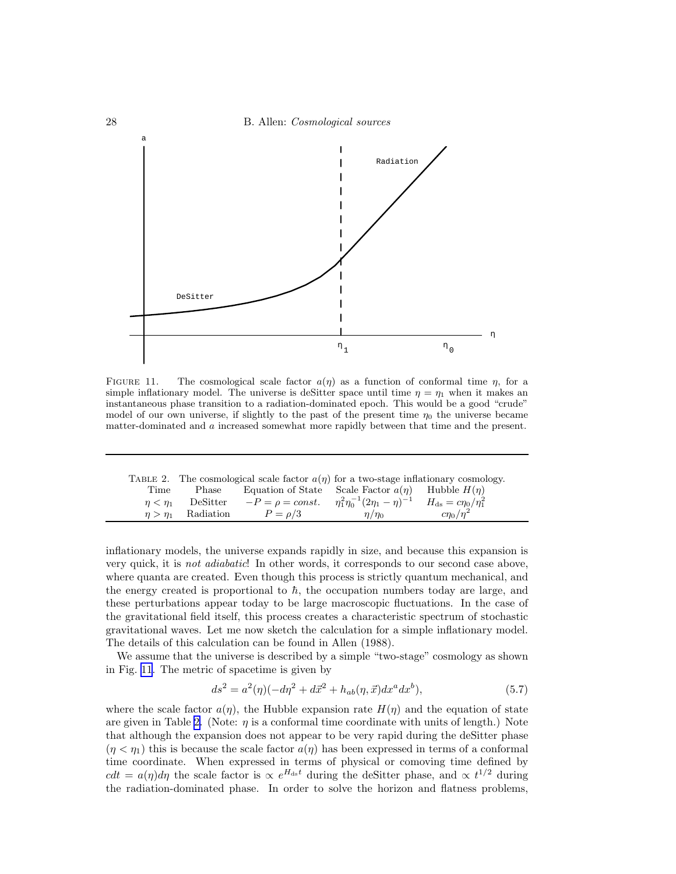

FIGURE 11. The cosmological scale factor  $a(\eta)$  as a function of conformal time  $\eta$ , for a simple inflationary model. The universe is deSitter space until time  $\eta = \eta_1$  when it makes an instantaneous phase transition to a radiation-dominated epoch. This would be a good "crude" model of our own universe, if slightly to the past of the present time  $\eta_0$  the universe became matter-dominated and a increased somewhat more rapidly between that time and the present.

|  | TABLE 2. The cosmological scale factor $a(\eta)$ for a two-stage inflationary cosmology. |  |  |  |  |  |  |
|--|------------------------------------------------------------------------------------------|--|--|--|--|--|--|
|  |                                                                                          |  |  |  |  |  |  |

| Time      | Phase                     | Equation of State Scale Factor $a(\eta)$ Hubble $H(\eta)$                                                |               |                  |  |
|-----------|---------------------------|----------------------------------------------------------------------------------------------------------|---------------|------------------|--|
| $n < n_1$ |                           | DeSitter $-P = \rho = const.$ $\eta_1^2 \eta_0^{-1} (2\eta_1 - \eta)^{-1}$ $H_{ds} = c\eta_0 / \eta_1^2$ |               |                  |  |
|           | $\eta > \eta_1$ Radiation | $P = \rho/3$                                                                                             | $\eta/\eta_0$ | $c\eta_0/\eta^2$ |  |

inflationary models, the universe expands rapidly in size, and because this expansion is very quick, it is not adiabatic! In other words, it corresponds to our second case above, where quanta are created. Even though this process is strictly quantum mechanical, and the energy created is proportional to  $\hbar$ , the occupation numbers today are large, and these perturbations appear today to be large macroscopic fluctuations. In the case of the gravitational field itself, this process creates a characteristic spectrum of stochastic gravitational waves. Let me now sketch the calculation for a simple inflationary model. The details of this calculation can be found in Allen (1988).

We assume that the universe is described by a simple "two-stage" cosmology as shown in Fig. 11. The metric of spacetime is given by

$$
ds^{2} = a^{2}(\eta)(-d\eta^{2} + d\vec{x}^{2} + h_{ab}(\eta, \vec{x})dx^{a}dx^{b}),
$$
\n(5.7)

where the scale factor  $a(\eta)$ , the Hubble expansion rate  $H(\eta)$  and the equation of state are given in Table 2. (Note:  $\eta$  is a conformal time coordinate with units of length.) Note that although the expansion does not appear to be very rapid during the deSitter phase  $(\eta < \eta_1)$  this is because the scale factor  $a(\eta)$  has been expressed in terms of a conformal time coordinate. When expressed in terms of physical or comoving time defined by  $cdt = a(\eta)d\eta$  the scale factor is  $\propto e^{H_{\text{ds}}t}$  during the deSitter phase, and  $\propto t^{1/2}$  during the radiation-dominated phase. In order to solve the horizon and flatness problems,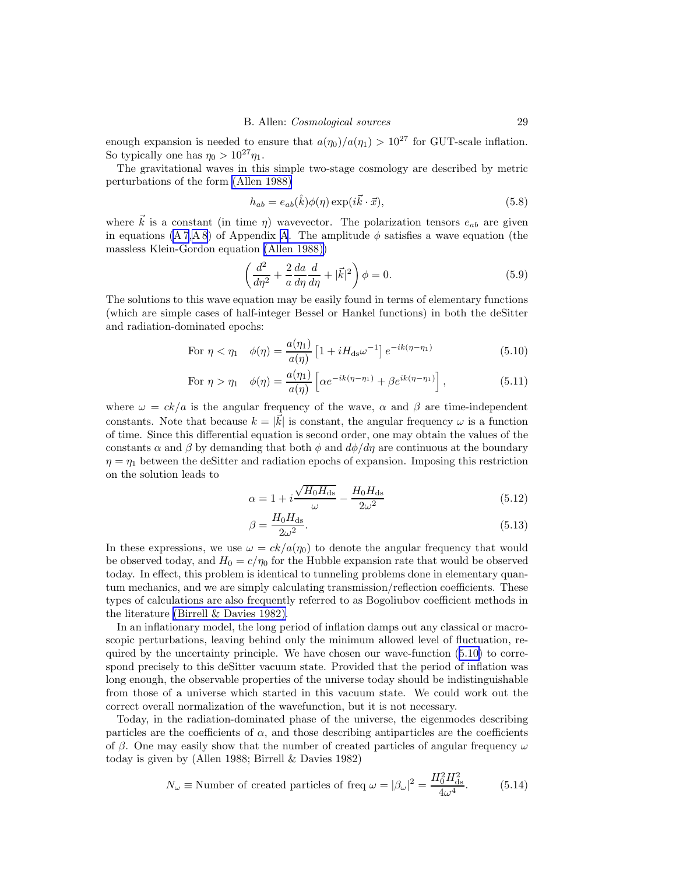enough expansion is needed to ensure that  $a(\eta_0)/a(\eta_1) > 10^{27}$  for GUT-scale inflation. So typically one has  $\eta_0 > 10^{27} \eta_1$ .

The gravitational waves in this simple two-stage cosmology are described by metric perturbations of the form [\(Allen 1988\)](#page-42-0)

$$
h_{ab} = e_{ab}(\hat{k})\phi(\eta) \exp(i\vec{k}\cdot\vec{x}), \qquad (5.8)
$$

where  $\vec{k}$  is a constant (in time  $\eta$ ) wavevector. The polarization tensors  $e_{ab}$  are given in equations  $(A 7, A 8)$  $(A 7, A 8)$  $(A 7, A 8)$  of Appendix A. The amplitude  $\phi$  satisfies a wave equation (the massless Klein-Gordon equation [\(Allen 1988\)\)](#page-42-0)

$$
\left(\frac{d^2}{d\eta^2} + \frac{2}{a}\frac{da}{d\eta}\frac{d}{d\eta} + |\vec{k}|^2\right)\phi = 0.
$$
\n(5.9)

The solutions to this wave equation may be easily found in terms of elementary functions (which are simple cases of half-integer Bessel or Hankel functions) in both the deSitter and radiation-dominated epochs:

For 
$$
\eta < \eta_1
$$
  $\phi(\eta) = \frac{a(\eta_1)}{a(\eta)} \left[ 1 + i H_{\text{ds}} \omega^{-1} \right] e^{-ik(\eta - \eta_1)}$  (5.10)

For 
$$
\eta > \eta_1
$$
  $\phi(\eta) = \frac{a(\eta_1)}{a(\eta)} \left[ \alpha e^{-ik(\eta - \eta_1)} + \beta e^{ik(\eta - \eta_1)} \right],$  (5.11)

where  $\omega = ck/a$  is the angular frequency of the wave,  $\alpha$  and  $\beta$  are time-independent constants. Note that because  $k = |\vec{k}|$  is constant, the angular frequency  $\omega$  is a function of time. Since this differential equation is second order, one may obtain the values of the constants  $\alpha$  and  $\beta$  by demanding that both  $\phi$  and  $d\phi/d\eta$  are continuous at the boundary  $\eta = \eta_1$  between the deSitter and radiation epochs of expansion. Imposing this restriction on the solution leads to

$$
\alpha = 1 + i \frac{\sqrt{H_0 H_{\text{ds}}}}{\omega} - \frac{H_0 H_{\text{ds}}}{2\omega^2}
$$
\n(5.12)

$$
\beta = \frac{H_0 H_{\text{ds}}}{2\omega^2}.\tag{5.13}
$$

In these expressions, we use  $\omega = c k/a(\eta_0)$  to denote the angular frequency that would be observed today, and  $H_0 = c/\eta_0$  for the Hubble expansion rate that would be observed today. In effect, this problem is identical to tunneling problems done in elementary quantum mechanics, and we are simply calculating transmission/reflection coefficients. These types of calculations are also frequently referred to as Bogoliubov coefficient methods in the literature [\(Birrell & Davies 1982\).](#page-43-0)

In an inflationary model, the long period of inflation damps out any classical or macroscopic perturbations, leaving behind only the minimum allowed level of fluctuation, required by the uncertainty principle. We have chosen our wave-function (5.10) to correspond precisely to this deSitter vacuum state. Provided that the period of inflation was long enough, the observable properties of the universe today should be indistinguishable from those of a universe which started in this vacuum state. We could work out the correct overall normalization of the wavefunction, but it is not necessary.

Today, in the radiation-dominated phase of the universe, the eigenmodes describing particles are the coefficients of  $\alpha$ , and those describing antiparticles are the coefficients of β. One may easily show that the number of created particles of angular frequency  $\omega$ today is given by (Allen 1988; Birrell & Davies 1982)

$$
N_{\omega} \equiv \text{Number of created particles of freq } \omega = |\beta_{\omega}|^2 = \frac{H_0^2 H_{\text{ds}}^2}{4\omega^4}.
$$
 (5.14)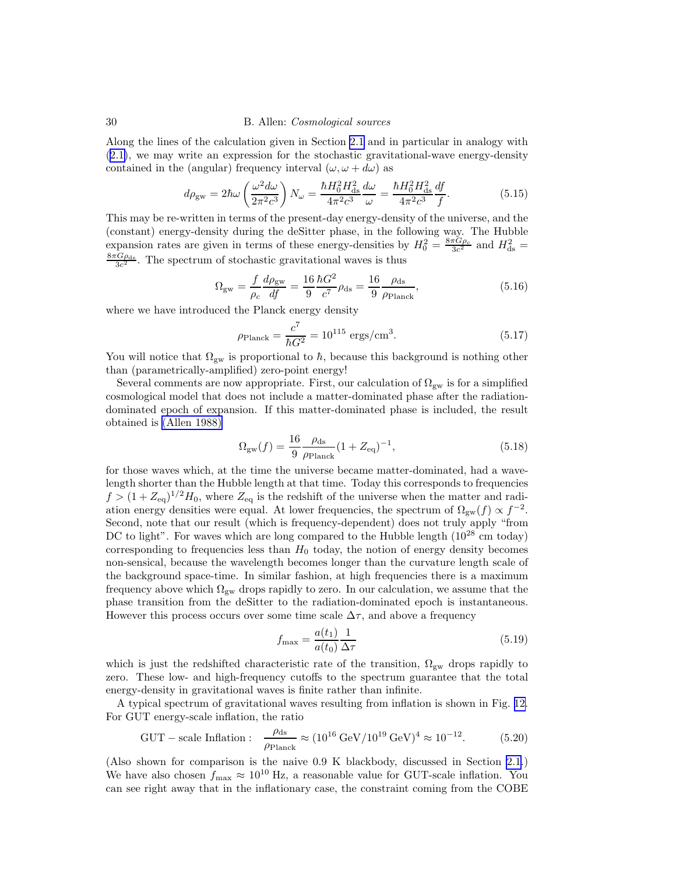Along the lines of the calculation given in Section [2.1](#page-2-0) and in particular in analogy with ([2.1\)](#page-3-0), we may write an expression for the stochastic gravitational-wave energy-density contained in the (angular) frequency interval  $(\omega, \omega + d\omega)$  as

$$
d\rho_{\rm gw} = 2\hbar\omega \left(\frac{\omega^2 d\omega}{2\pi^2 c^3}\right) N_{\omega} = \frac{\hbar H_0^2 H_{\rm ds}^2}{4\pi^2 c^3} \frac{d\omega}{\omega} = \frac{\hbar H_0^2 H_{\rm ds}^2}{4\pi^2 c^3} \frac{df}{f}.
$$
 (5.15)

This may be re-written in terms of the present-day energy-density of the universe, and the (constant) energy-density during the deSitter phase, in the following way. The Hubble expansion rates are given in terms of these energy-densities by  $H_0^2 = \frac{8\pi G \rho_c}{3c^2}$  and  $H_{ds}^2 =$  $\frac{8\pi G\rho_{\text{ds}}}{3c^2}$ . The spectrum of stochastic gravitational waves is thus

$$
\Omega_{\rm gw} = \frac{f}{\rho_c} \frac{d\rho_{\rm gw}}{df} = \frac{16}{9} \frac{\hbar G^2}{c^7} \rho_{\rm ds} = \frac{16}{9} \frac{\rho_{\rm ds}}{\rho_{\rm Planck}},\tag{5.16}
$$

where we have introduced the Planck energy density

$$
\rho_{\text{Planck}} = \frac{c^7}{\hbar G^2} = 10^{115} \text{ ergs/cm}^3. \tag{5.17}
$$

You will notice that  $\Omega_{\rm gw}$  is proportional to  $\hbar$ , because this background is nothing other than (parametrically-amplified) zero-point energy!

Several comments are now appropriate. First, our calculation of  $\Omega_{gw}$  is for a simplified cosmological model that does not include a matter-dominated phase after the radiationdominated epoch of expansion. If this matter-dominated phase is included, the result obtained is [\(Allen 1988\)](#page-42-0)

$$
\Omega_{\rm gw}(f) = \frac{16}{9} \frac{\rho_{\rm ds}}{\rho_{\rm Planck}} (1 + Z_{\rm eq})^{-1},\tag{5.18}
$$

for those waves which, at the time the universe became matter-dominated, had a wavelength shorter than the Hubble length at that time. Today this corresponds to frequencies  $f > (1 + Z_{\text{eq}})^{1/2} H_0$ , where  $Z_{\text{eq}}$  is the redshift of the universe when the matter and radiation energy densities were equal. At lower frequencies, the spectrum of  $\Omega_{\rm gw}(f) \propto f^{-2}$ . Second, note that our result (which is frequency-dependent) does not truly apply "from DC to light". For waves which are long compared to the Hubble length ( $10^{28}$  cm today) corresponding to frequencies less than  $H_0$  today, the notion of energy density becomes non-sensical, because the wavelength becomes longer than the curvature length scale of the background space-time. In similar fashion, at high frequencies there is a maximum frequency above which  $\Omega_{\rm gw}$  drops rapidly to zero. In our calculation, we assume that the phase transition from the deSitter to the radiation-dominated epoch is instantaneous. However this process occurs over some time scale  $\Delta \tau$ , and above a frequency

$$
f_{\text{max}} = \frac{a(t_1)}{a(t_0)} \frac{1}{\Delta \tau} \tag{5.19}
$$

which is just the redshifted characteristic rate of the transition,  $\Omega_{gw}$  drops rapidly to zero. These low- and high-frequency cutoffs to the spectrum guarantee that the total energy-density in gravitational waves is finite rather than infinite.

A typical spectrum of gravitational waves resulting from inflation is shown in Fig. [12.](#page-30-0) For GUT energy-scale inflation, the ratio

$$
GUT - scale Inflation: \quad \frac{\rho_{ds}}{\rho_{Planck}} \approx (10^{16} \,\text{GeV}/10^{19} \,\text{GeV})^4 \approx 10^{-12}. \tag{5.20}
$$

(Also shown for comparison is the naive 0.9 K blackbody, discussed in Section [2.1.](#page-2-0)) We have also chosen  $f_{\text{max}} \approx 10^{10}$  Hz, a reasonable value for GUT-scale inflation. You can see right away that in the inflationary case, the constraint coming from the COBE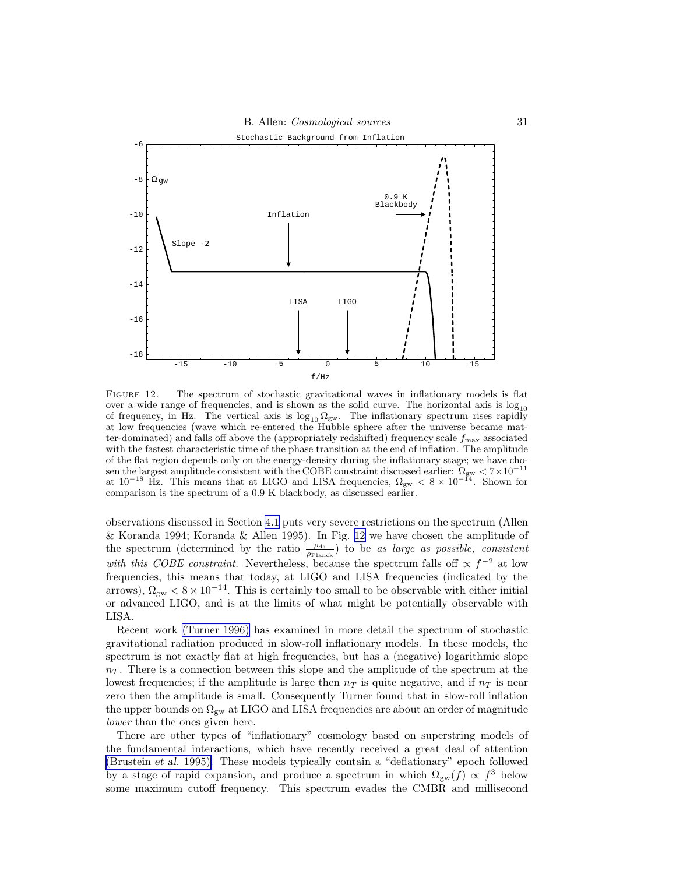<span id="page-30-0"></span>

FIGURE 12. The spectrum of stochastic gravitational waves in inflationary models is flat over a wide range of frequencies, and is shown as the solid curve. The horizontal axis is  $log_{10}$ of frequency, in Hz. The vertical axis is  $\log_{10} \Omega_{\rm gw}$ . The inflationary spectrum rises rapidly at low frequencies (wave which re-entered the Hubble sphere after the universe became matter-dominated) and falls off above the (appropriately redshifted) frequency scale  $f_{\text{max}}$  associated with the fastest characteristic time of the phase transition at the end of inflation. The amplitude of the flat region depends only on the energy-density during the inflationary stage; we have chosen the largest amplitude consistent with the COBE constraint discussed earlier:  $\Omega_{\rm gw} < 7 \times 10^{-11}$ at  $10^{-18}$  Hz. This means that at LIGO and LISA frequencies,  $\Omega_{\rm gw} < 8 \times 10^{-14}$ . Shown for comparison is the spectrum of a 0.9 K blackbody, as discussed earlier.

observations discussed in Section [4.1](#page-20-0) puts very severe restrictions on the spectrum (Allen & Koranda 1994; Koranda & Allen 1995). In Fig. 12 we have chosen the amplitude of the spectrum (determined by the ratio  $\frac{\rho_{ds}}{\rho_{\text{Planck}}}$ ) to be as large as possible, consistent with this COBE constraint. Nevertheless, because the spectrum falls off  $\propto f^{-2}$  at low frequencies, this means that today, at LIGO and LISA frequencies (indicated by the arrows),  $\Omega_{\text{gw}} < 8 \times 10^{-14}$ . This is certainly too small to be observable with either initial or advanced LIGO, and is at the limits of what might be potentially observable with LISA.

Recent work [\(Turner 1996\)](#page-44-0) has examined in more detail the spectrum of stochastic gravitational radiation produced in slow-roll inflationary models. In these models, the spectrum is not exactly flat at high frequencies, but has a (negative) logarithmic slope  $n<sub>T</sub>$ . There is a connection between this slope and the amplitude of the spectrum at the lowest frequencies; if the amplitude is large then  $n<sub>T</sub>$  is quite negative, and if  $n<sub>T</sub>$  is near zero then the amplitude is small. Consequently Turner found that in slow-roll inflation the upper bounds on  $\Omega_{\rm gw}$  at LIGO and LISA frequencies are about an order of magnitude lower than the ones given here.

There are other types of "inflationary" cosmology based on superstring models of the fundamental interactions, which have recently received a great deal of attention [\(Brustein](#page-43-0) et al. 1995). These models typically contain a "deflationary" epoch followed by a stage of rapid expansion, and produce a spectrum in which  $\Omega_{gw}(f) \propto f^3$  below some maximum cutoff frequency. This spectrum evades the CMBR and millisecond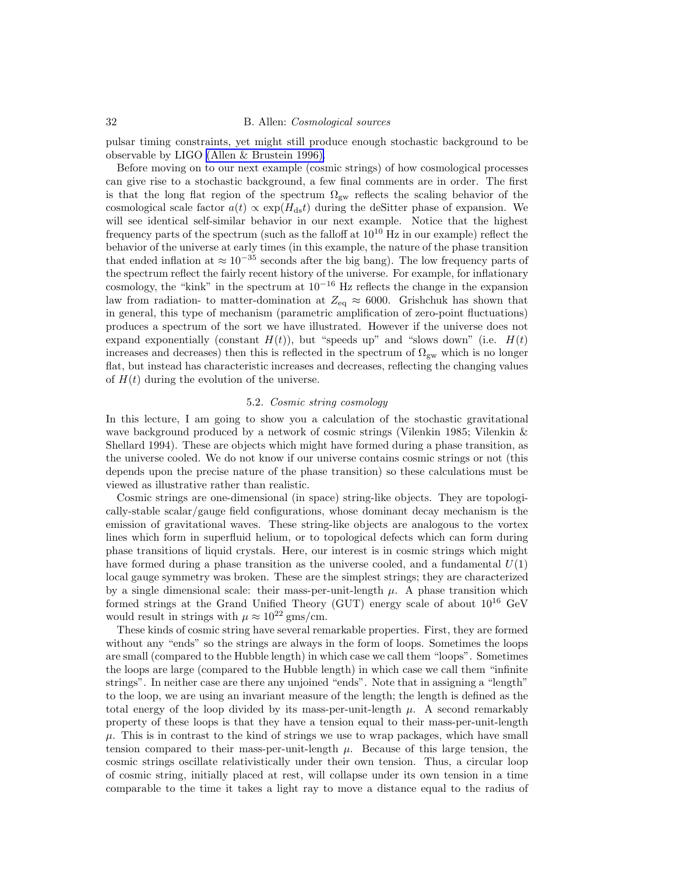<span id="page-31-0"></span>pulsar timing constraints, yet might still produce enough stochastic background to be observable by LIGO [\(Allen & Brustein 1996\).](#page-42-0)

Before moving on to our next example (cosmic strings) of how cosmological processes can give rise to a stochastic background, a few final comments are in order. The first is that the long flat region of the spectrum  $\Omega_{gw}$  reflects the scaling behavior of the cosmological scale factor  $a(t) \propto \exp(H_{\text{ds}}t)$  during the deSitter phase of expansion. We will see identical self-similar behavior in our next example. Notice that the highest frequency parts of the spectrum (such as the falloff at  $10^{10}$  Hz in our example) reflect the behavior of the universe at early times (in this example, the nature of the phase transition that ended inflation at  $\approx 10^{-35}$  seconds after the big bang). The low frequency parts of the spectrum reflect the fairly recent history of the universe. For example, for inflationary cosmology, the "kink" in the spectrum at  $10^{-16}$  Hz reflects the change in the expansion law from radiation- to matter-domination at  $Z_{eq} \approx 6000$ . Grishchuk has shown that in general, this type of mechanism (parametric amplification of zero-point fluctuations) produces a spectrum of the sort we have illustrated. However if the universe does not expand exponentially (constant  $H(t)$ ), but "speeds up" and "slows down" (i.e.  $H(t)$ ) increases and decreases) then this is reflected in the spectrum of  $\Omega_{gw}$  which is no longer flat, but instead has characteristic increases and decreases, reflecting the changing values of  $H(t)$  during the evolution of the universe.

## 5.2. Cosmic string cosmology

In this lecture, I am going to show you a calculation of the stochastic gravitational wave background produced by a network of cosmic strings (Vilenkin 1985; Vilenkin & Shellard 1994). These are objects which might have formed during a phase transition, as the universe cooled. We do not know if our universe contains cosmic strings or not (this depends upon the precise nature of the phase transition) so these calculations must be viewed as illustrative rather than realistic.

Cosmic strings are one-dimensional (in space) string-like objects. They are topologically-stable scalar/gauge field configurations, whose dominant decay mechanism is the emission of gravitational waves. These string-like objects are analogous to the vortex lines which form in superfluid helium, or to topological defects which can form during phase transitions of liquid crystals. Here, our interest is in cosmic strings which might have formed during a phase transition as the universe cooled, and a fundamental  $U(1)$ local gauge symmetry was broken. These are the simplest strings; they are characterized by a single dimensional scale: their mass-per-unit-length  $\mu$ . A phase transition which formed strings at the Grand Unified Theory (GUT) energy scale of about  $10^{16}$  GeV would result in strings with  $\mu \approx 10^{22}$  gms/cm.

These kinds of cosmic string have several remarkable properties. First, they are formed without any "ends" so the strings are always in the form of loops. Sometimes the loops are small (compared to the Hubble length) in which case we call them "loops". Sometimes the loops are large (compared to the Hubble length) in which case we call them "infinite strings". In neither case are there any unjoined "ends". Note that in assigning a "length" to the loop, we are using an invariant measure of the length; the length is defined as the total energy of the loop divided by its mass-per-unit-length  $\mu$ . A second remarkably property of these loops is that they have a tension equal to their mass-per-unit-length  $\mu$ . This is in contrast to the kind of strings we use to wrap packages, which have small tension compared to their mass-per-unit-length  $\mu$ . Because of this large tension, the cosmic strings oscillate relativistically under their own tension. Thus, a circular loop of cosmic string, initially placed at rest, will collapse under its own tension in a time comparable to the time it takes a light ray to move a distance equal to the radius of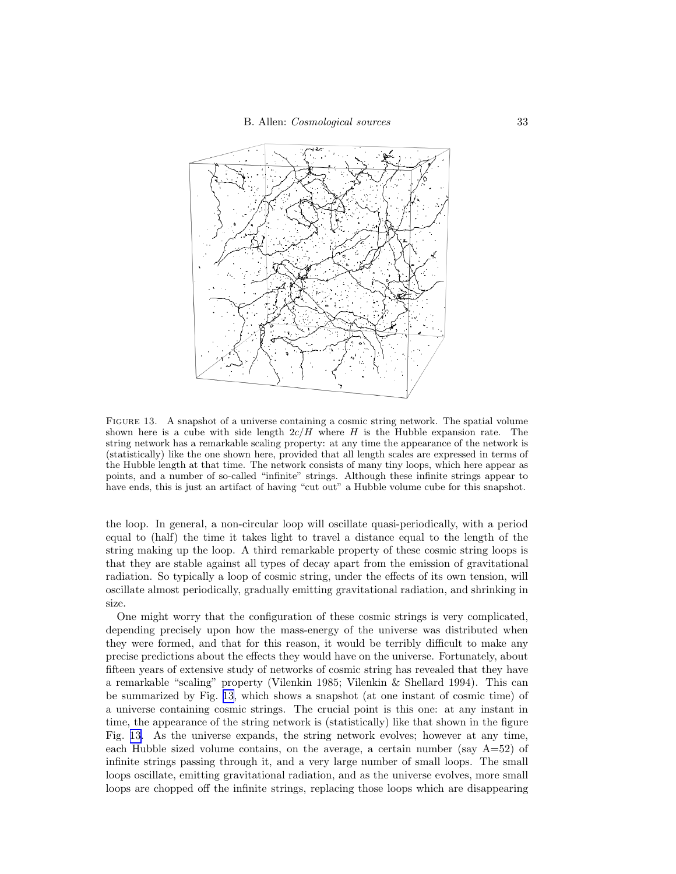<span id="page-32-0"></span>

Figure 13. A snapshot of a universe containing a cosmic string network. The spatial volume shown here is a cube with side length  $2c/H$  where H is the Hubble expansion rate. The string network has a remarkable scaling property: at any time the appearance of the network is (statistically) like the one shown here, provided that all length scales are expressed in terms of the Hubble length at that time. The network consists of many tiny loops, which here appear as points, and a number of so-called "infinite" strings. Although these infinite strings appear to have ends, this is just an artifact of having "cut out" a Hubble volume cube for this snapshot.

the loop. In general, a non-circular loop will oscillate quasi-periodically, with a period equal to (half) the time it takes light to travel a distance equal to the length of the string making up the loop. A third remarkable property of these cosmic string loops is that they are stable against all types of decay apart from the emission of gravitational radiation. So typically a loop of cosmic string, under the effects of its own tension, will oscillate almost periodically, gradually emitting gravitational radiation, and shrinking in size.

One might worry that the configuration of these cosmic strings is very complicated, depending precisely upon how the mass-energy of the universe was distributed when they were formed, and that for this reason, it would be terribly difficult to make any precise predictions about the effects they would have on the universe. Fortunately, about fifteen years of extensive study of networks of cosmic string has revealed that they have a remarkable "scaling" property (Vilenkin 1985; Vilenkin & Shellard 1994). This can be summarized by Fig. 13, which shows a snapshot (at one instant of cosmic time) of a universe containing cosmic strings. The crucial point is this one: at any instant in time, the appearance of the string network is (statistically) like that shown in the figure Fig. 13. As the universe expands, the string network evolves; however at any time, each Hubble sized volume contains, on the average, a certain number (say  $A=52$ ) of infinite strings passing through it, and a very large number of small loops. The small loops oscillate, emitting gravitational radiation, and as the universe evolves, more small loops are chopped off the infinite strings, replacing those loops which are disappearing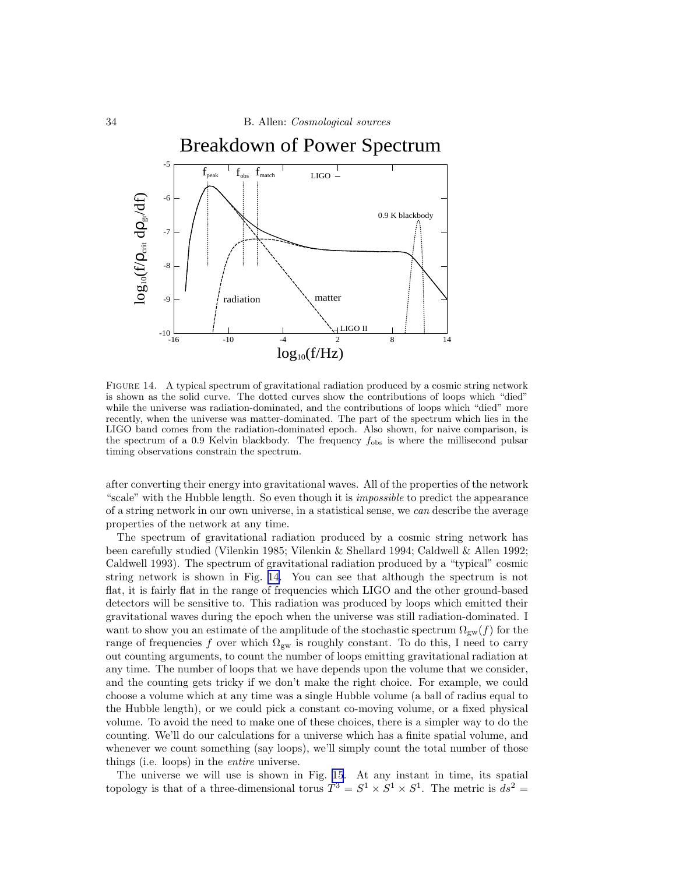

FIGURE 14. A typical spectrum of gravitational radiation produced by a cosmic string network is shown as the solid curve. The dotted curves show the contributions of loops which "died" while the universe was radiation-dominated, and the contributions of loops which "died" more recently, when the universe was matter-dominated. The part of the spectrum which lies in the LIGO band comes from the radiation-dominated epoch. Also shown, for naive comparison, is the spectrum of a 0.9 Kelvin blackbody. The frequency  $f_{\text{obs}}$  is where the millisecond pulsar timing observations constrain the spectrum.

after converting their energy into gravitational waves. All of the properties of the network "scale" with the Hubble length. So even though it is *impossible* to predict the appearance of a string network in our own universe, in a statistical sense, we can describe the average properties of the network at any time.

The spectrum of gravitational radiation produced by a cosmic string network has been carefully studied (Vilenkin 1985; Vilenkin & Shellard 1994; Caldwell & Allen 1992; Caldwell 1993). The spectrum of gravitational radiation produced by a "typical" cosmic string network is shown in Fig. 14. You can see that although the spectrum is not flat, it is fairly flat in the range of frequencies which LIGO and the other ground-based detectors will be sensitive to. This radiation was produced by loops which emitted their gravitational waves during the epoch when the universe was still radiation-dominated. I want to show you an estimate of the amplitude of the stochastic spectrum  $\Omega_{gw}(f)$  for the range of frequencies f over which  $\Omega_{gw}$  is roughly constant. To do this, I need to carry out counting arguments, to count the number of loops emitting gravitational radiation at any time. The number of loops that we have depends upon the volume that we consider, and the counting gets tricky if we don't make the right choice. For example, we could choose a volume which at any time was a single Hubble volume (a ball of radius equal to the Hubble length), or we could pick a constant co-moving volume, or a fixed physical volume. To avoid the need to make one of these choices, there is a simpler way to do the counting. We'll do our calculations for a universe which has a finite spatial volume, and whenever we count something (say loops), we'll simply count the total number of those things (i.e. loops) in the entire universe.

The universe we will use is shown in Fig. [15](#page-34-0). At any instant in time, its spatial topology is that of a three-dimensional torus  $T^3 = S^1 \times S^1 \times S^1$ . The metric is  $ds^2 =$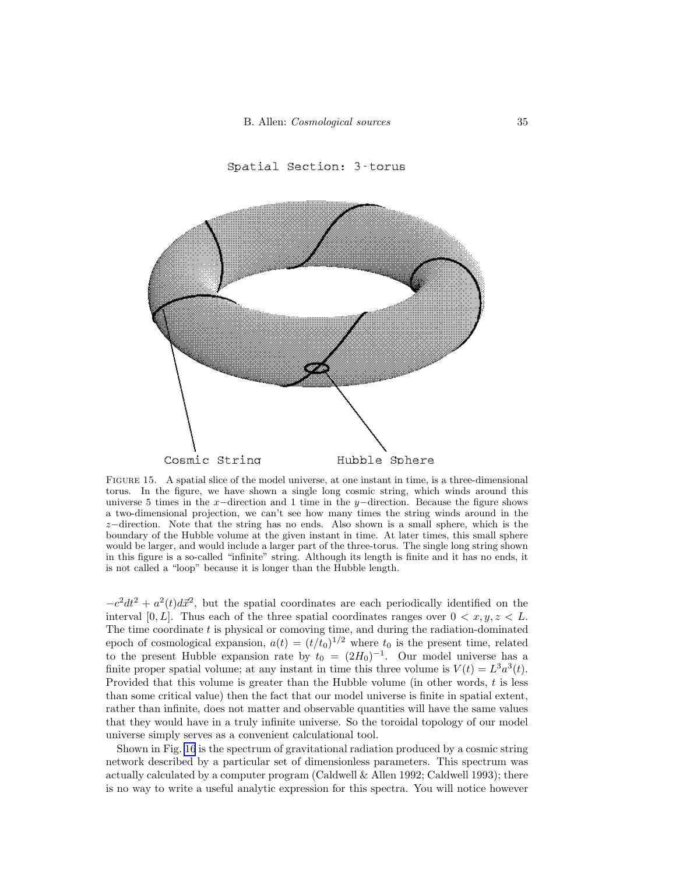Spatial Section: 3 torus

<span id="page-34-0"></span>



FIGURE 15. A spatial slice of the model universe, at one instant in time, is a three-dimensional torus. In the figure, we have shown a single long cosmic string, which winds around this universe 5 times in the x−direction and 1 time in the y−direction. Because the figure shows a two-dimensional projection, we can't see how many times the string winds around in the z−direction. Note that the string has no ends. Also shown is a small sphere, which is the boundary of the Hubble volume at the given instant in time. At later times, this small sphere would be larger, and would include a larger part of the three-torus. The single long string shown in this figure is a so-called "infinite" string. Although its length is finite and it has no ends, it is not called a "loop" because it is longer than the Hubble length.

 $-c^2dt^2 + a^2(t)d\vec{x}^2$ , but the spatial coordinates are each periodically identified on the interval [0, L]. Thus each of the three spatial coordinates ranges over  $0 < x, y, z < L$ . The time coordinate t is physical or comoving time, and during the radiation-dominated epoch of cosmological expansion,  $a(t) = (t/t_0)^{1/2}$  where  $t_0$  is the present time, related to the present Hubble expansion rate by  $t_0 = (2H_0)^{-1}$ . Our model universe has a finite proper spatial volume; at any instant in time this three volume is  $V(t) = L^3 a^3(t)$ . Provided that this volume is greater than the Hubble volume (in other words,  $t$  is less than some critical value) then the fact that our model universe is finite in spatial extent, rather than infinite, does not matter and observable quantities will have the same values that they would have in a truly infinite universe. So the toroidal topology of our model universe simply serves as a convenient calculational tool.

Shown in Fig. [16](#page-35-0) is the spectrum of gravitational radiation produced by a cosmic string network described by a particular set of dimensionless parameters. This spectrum was actually calculated by a computer program (Caldwell & Allen 1992; Caldwell 1993); there is no way to write a useful analytic expression for this spectra. You will notice however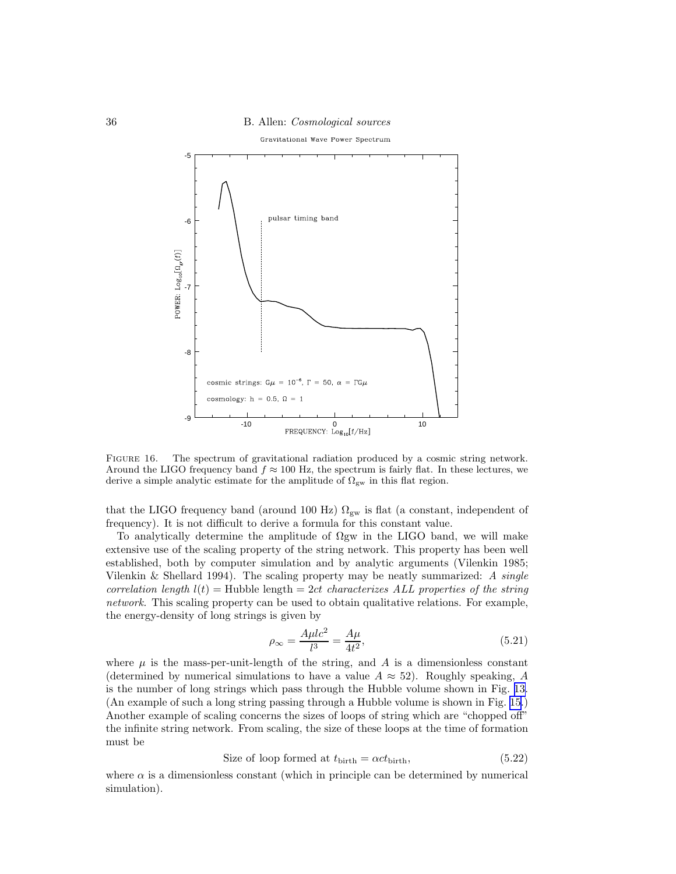<span id="page-35-0"></span>

FIGURE 16. The spectrum of gravitational radiation produced by a cosmic string network. Around the LIGO frequency band  $f \approx 100$  Hz, the spectrum is fairly flat. In these lectures, we derive a simple analytic estimate for the amplitude of  $\Omega_{\rm gw}$  in this flat region.

that the LIGO frequency band (around 100 Hz)  $\Omega_{\rm gw}$  is flat (a constant, independent of frequency). It is not difficult to derive a formula for this constant value.

To analytically determine the amplitude of  $\Omega$ gw in the LIGO band, we will make extensive use of the scaling property of the string network. This property has been well established, both by computer simulation and by analytic arguments (Vilenkin 1985; Vilenkin & Shellard 1994). The scaling property may be neatly summarized: A single correlation length  $l(t) =$  Hubble length = 2ct characterizes ALL properties of the string network. This scaling property can be used to obtain qualitative relations. For example, the energy-density of long strings is given by

$$
\rho_{\infty} = \frac{A\mu l c^2}{l^3} = \frac{A\mu}{4t^2},\tag{5.21}
$$

where  $\mu$  is the mass-per-unit-length of the string, and A is a dimensionless constant (determined by numerical simulations to have a value  $A \approx 52$ ). Roughly speaking, A is the number of long strings which pass through the Hubble volume shown in Fig. [13.](#page-32-0) (An example of such a long string passing through a Hubble volume is shown in Fig. [15.](#page-34-0)) Another example of scaling concerns the sizes of loops of string which are "chopped off" the infinite string network. From scaling, the size of these loops at the time of formation must be

Size of loop formed at 
$$
t_{\text{birth}} = \alpha ct_{\text{birth}}
$$
, 
$$
(5.22)
$$

where  $\alpha$  is a dimensionless constant (which in principle can be determined by numerical simulation).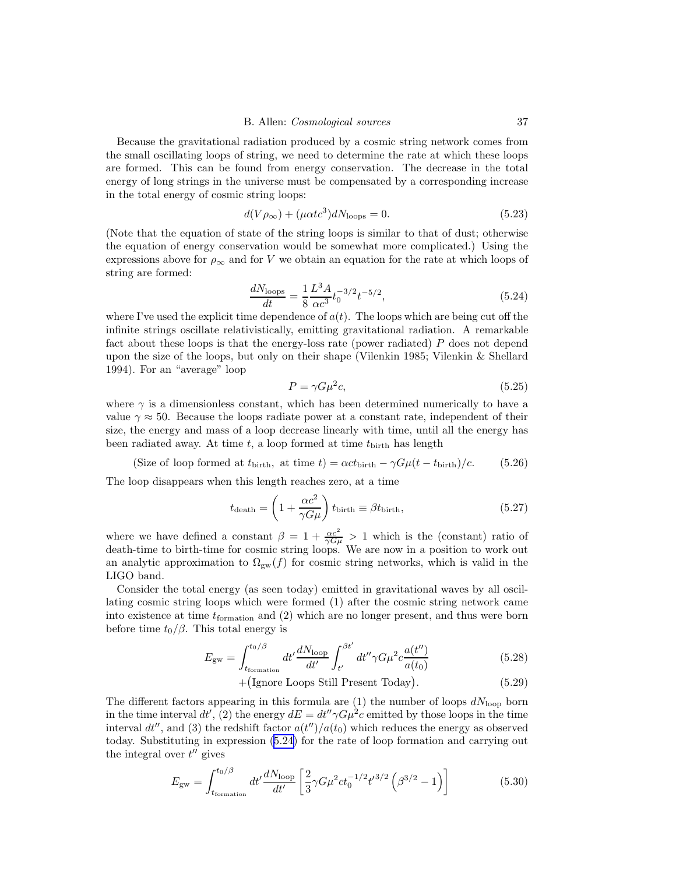Because the gravitational radiation produced by a cosmic string network comes from the small oscillating loops of string, we need to determine the rate at which these loops are formed. This can be found from energy conservation. The decrease in the total energy of long strings in the universe must be compensated by a corresponding increase in the total energy of cosmic string loops:

$$
d(V\rho_{\infty}) + (\mu \alpha t c^3) dN_{\text{loops}} = 0. \tag{5.23}
$$

(Note that the equation of state of the string loops is similar to that of dust; otherwise the equation of energy conservation would be somewhat more complicated.) Using the expressions above for  $\rho_{\infty}$  and for V we obtain an equation for the rate at which loops of string are formed:

$$
\frac{dN_{\text{loops}}}{dt} = \frac{1}{8} \frac{L^3 A}{\alpha c^3} t_0^{-3/2} t^{-5/2},\tag{5.24}
$$

where I've used the explicit time dependence of  $a(t)$ . The loops which are being cut off the infinite strings oscillate relativistically, emitting gravitational radiation. A remarkable fact about these loops is that the energy-loss rate (power radiated) P does not depend upon the size of the loops, but only on their shape (Vilenkin 1985; Vilenkin & Shellard 1994). For an "average" loop

$$
P = \gamma G \mu^2 c,\tag{5.25}
$$

where  $\gamma$  is a dimensionless constant, which has been determined numerically to have a value  $\gamma \approx 50$ . Because the loops radiate power at a constant rate, independent of their size, the energy and mass of a loop decrease linearly with time, until all the energy has been radiated away. At time  $t$ , a loop formed at time  $t_{\text{birth}}$  has length

(Size of loop formed at  $t_{\text{birth}}$ , at time  $t) = \alpha c t_{\text{birth}} - \gamma G \mu (t - t_{\text{birth}})/c.$  (5.26)

The loop disappears when this length reaches zero, at a time

$$
t_{\text{death}} = \left(1 + \frac{\alpha c^2}{\gamma G \mu}\right) t_{\text{birth}} \equiv \beta t_{\text{birth}},\tag{5.27}
$$

where we have defined a constant  $\beta = 1 + \frac{\alpha c^2}{\gamma G \mu} > 1$  which is the (constant) ratio of death-time to birth-time for cosmic string loops. We are now in a position to work out an analytic approximation to  $\Omega_{gw}(f)$  for cosmic string networks, which is valid in the LIGO band.

Consider the total energy (as seen today) emitted in gravitational waves by all oscillating cosmic string loops which were formed (1) after the cosmic string network came into existence at time  $t_{\text{formation}}$  and (2) which are no longer present, and thus were born before time  $t_0/\beta$ . This total energy is

$$
E_{\rm gw} = \int_{t_{\rm formation}}^{t_0/\beta} dt' \frac{dN_{\rm loop}}{dt'} \int_{t'}^{\beta t'} dt'' \gamma G\mu^2 c \frac{a(t'')}{a(t_0)}\tag{5.28}
$$

$$
+ (Ignore Loops Still Present Today). \t(5.29)
$$

The different factors appearing in this formula are (1) the number of loops  $dN_{\text{loop}}$  born in the time interval  $dt'$ , (2) the energy  $dE = dt'' \gamma G \mu^2 c$  emitted by those loops in the time interval  $dt''$ , and (3) the redshift factor  $a(t'')/a(t_0)$  which reduces the energy as observed today. Substituting in expression (5.24) for the rate of loop formation and carrying out the integral over  $t''$  gives

$$
E_{\rm gw} = \int_{t_{\rm formation}}^{t_0/\beta} dt' \frac{dN_{\rm loop}}{dt'} \left[ \frac{2}{3} \gamma G \mu^2 c t_0^{-1/2} t'^{3/2} \left( \beta^{3/2} - 1 \right) \right]
$$
(5.30)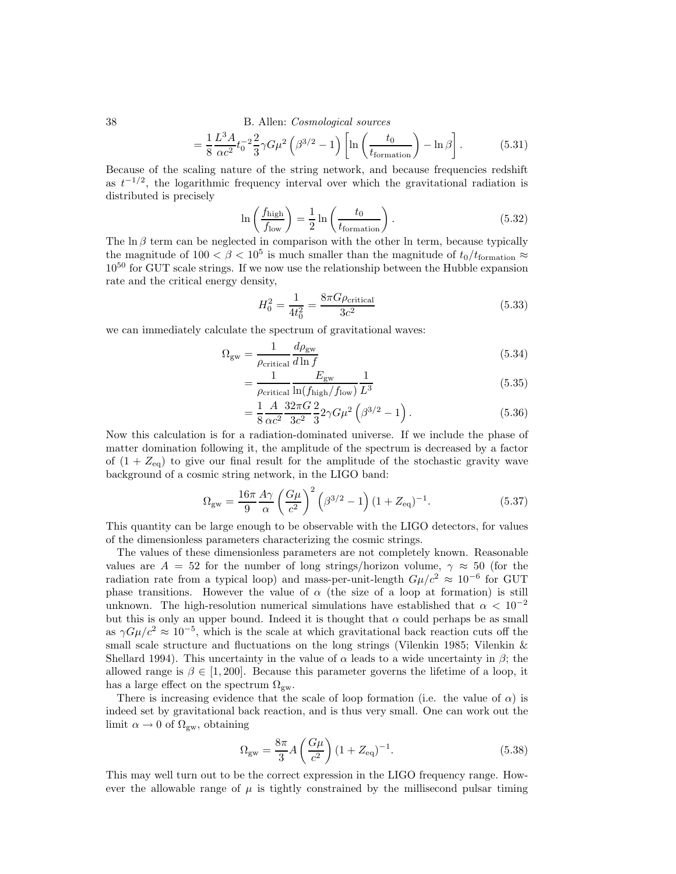$$
=\frac{1}{8}\frac{L^3A}{\alpha c^2}t_0^{-2}\frac{2}{3}\gamma G\mu^2\left(\beta^{3/2}-1\right)\left[\ln\left(\frac{t_0}{t_{\text{formation}}}\right)-\ln\beta\right].\tag{5.31}
$$

Because of the scaling nature of the string network, and because frequencies redshift as  $t^{-1/2}$ , the logarithmic frequency interval over which the gravitational radiation is distributed is precisely

$$
\ln\left(\frac{f_{\text{high}}}{f_{\text{low}}}\right) = \frac{1}{2}\ln\left(\frac{t_0}{t_{\text{formation}}}\right). \tag{5.32}
$$

The  $\ln \beta$  term can be neglected in comparison with the other ln term, because typically the magnitude of  $100 < \beta < 10^5$  is much smaller than the magnitude of  $t_0/t_{\text{formation}} \approx$  $10^{50}$  for GUT scale strings. If we now use the relationship between the Hubble expansion rate and the critical energy density,

$$
H_0^2 = \frac{1}{4t_0^2} = \frac{8\pi G\rho_{\text{critical}}}{3c^2}
$$
 (5.33)

we can immediately calculate the spectrum of gravitational waves:

$$
\Omega_{\rm gw} = \frac{1}{\rho_{\rm critical}} \frac{d\rho_{\rm gw}}{d\ln f} \tag{5.34}
$$

$$
=\frac{1}{\rho_{\text{critical}}} \frac{E_{\text{gw}}}{\ln(f_{\text{high}}/f_{\text{low}})} \frac{1}{L^3} \tag{5.35}
$$

$$
=\frac{1}{8}\frac{A}{\alpha c^2}\frac{32\pi G}{3c^2}\frac{2}{3}2\gamma G\mu^2\left(\beta^{3/2}-1\right). \tag{5.36}
$$

Now this calculation is for a radiation-dominated universe. If we include the phase of matter domination following it, the amplitude of the spectrum is decreased by a factor of  $(1 + Z_{eq})$  to give our final result for the amplitude of the stochastic gravity wave background of a cosmic string network, in the LIGO band:

$$
\Omega_{\rm gw} = \frac{16\pi}{9} \frac{A\gamma}{\alpha} \left(\frac{G\mu}{c^2}\right)^2 \left(\beta^{3/2} - 1\right) (1 + Z_{\rm eq})^{-1}.
$$
 (5.37)

This quantity can be large enough to be observable with the LIGO detectors, for values of the dimensionless parameters characterizing the cosmic strings.

The values of these dimensionless parameters are not completely known. Reasonable values are  $A = 52$  for the number of long strings/horizon volume,  $\gamma \approx 50$  (for the radiation rate from a typical loop) and mass-per-unit-length  $G\mu/c^2 \approx 10^{-6}$  for GUT phase transitions. However the value of  $\alpha$  (the size of a loop at formation) is still unknown. The high-resolution numerical simulations have established that  $\alpha < 10^{-2}$ but this is only an upper bound. Indeed it is thought that  $\alpha$  could perhaps be as small as  $\gamma G \mu/c^2 \approx 10^{-5}$ , which is the scale at which gravitational back reaction cuts off the small scale structure and fluctuations on the long strings (Vilenkin 1985; Vilenkin & Shellard 1994). This uncertainty in the value of  $\alpha$  leads to a wide uncertainty in  $\beta$ ; the allowed range is  $\beta \in [1, 200]$ . Because this parameter governs the lifetime of a loop, it has a large effect on the spectrum  $\Omega_{\rm gw}$ .

There is increasing evidence that the scale of loop formation (i.e. the value of  $\alpha$ ) is indeed set by gravitational back reaction, and is thus very small. One can work out the limit  $\alpha \to 0$  of  $\Omega_{\rm gw}$ , obtaining

$$
\Omega_{\rm gw} = \frac{8\pi}{3} A \left(\frac{G\mu}{c^2}\right) (1 + Z_{\rm eq})^{-1}.
$$
\n(5.38)

This may well turn out to be the correct expression in the LIGO frequency range. However the allowable range of  $\mu$  is tightly constrained by the millisecond pulsar timing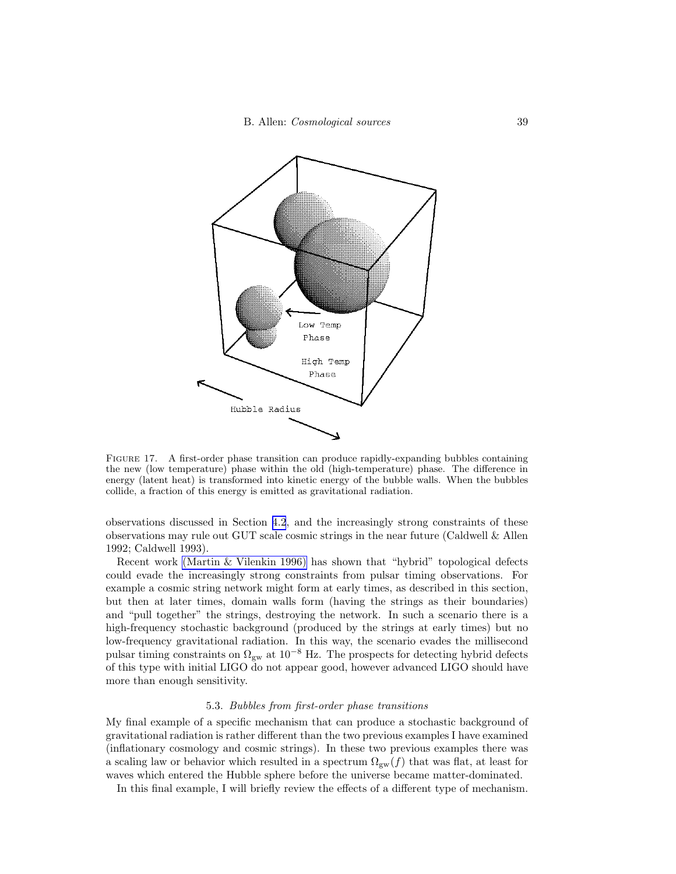<span id="page-38-0"></span>

FIGURE 17. A first-order phase transition can produce rapidly-expanding bubbles containing the new (low temperature) phase within the old (high-temperature) phase. The difference in energy (latent heat) is transformed into kinetic energy of the bubble walls. When the bubbles collide, a fraction of this energy is emitted as gravitational radiation.

observations discussed in Section [4.2](#page-21-0), and the increasingly strong constraints of these observations may rule out GUT scale cosmic strings in the near future (Caldwell & Allen 1992; Caldwell 1993).

Recent work [\(Martin & Vilenkin 1996\)](#page-43-0) has shown that "hybrid" topological defects could evade the increasingly strong constraints from pulsar timing observations. For example a cosmic string network might form at early times, as described in this section, but then at later times, domain walls form (having the strings as their boundaries) and "pull together" the strings, destroying the network. In such a scenario there is a high-frequency stochastic background (produced by the strings at early times) but no low-frequency gravitational radiation. In this way, the scenario evades the millisecond pulsar timing constraints on  $\Omega_{gw}$  at  $10^{-8}$  Hz. The prospects for detecting hybrid defects of this type with initial LIGO do not appear good, however advanced LIGO should have more than enough sensitivity.

#### 5.3. Bubbles from first-order phase transitions

My final example of a specific mechanism that can produce a stochastic background of gravitational radiation is rather different than the two previous examples I have examined (inflationary cosmology and cosmic strings). In these two previous examples there was a scaling law or behavior which resulted in a spectrum  $\Omega_{gw}(f)$  that was flat, at least for waves which entered the Hubble sphere before the universe became matter-dominated.

In this final example, I will briefly review the effects of a different type of mechanism.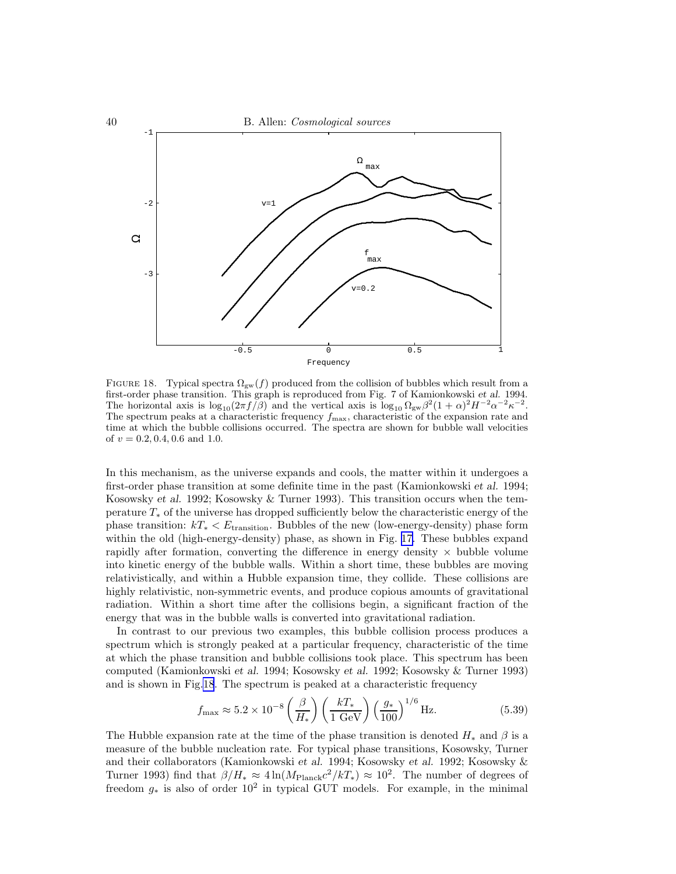

FIGURE 18. Typical spectra  $\Omega_{gw}(f)$  produced from the collision of bubbles which result from a first-order phase transition. This graph is reproduced from Fig. 7 of Kamionkowski *et al.* 1994. The horizontal axis is  $\log_{10}(2\pi f/\beta)$  and the vertical axis is  $\log_{10} \Omega_{\rm gw}\beta^2 (1+\alpha)^2 H^{-2} \alpha^{-2} \kappa^{-2}$ . The spectrum peaks at a characteristic frequency  $f_{\text{max}}$ , characteristic of the expansion rate and time at which the bubble collisions occurred. The spectra are shown for bubble wall velocities of  $v = 0.2, 0.4, 0.6$  and 1.0.

In this mechanism, as the universe expands and cools, the matter within it undergoes a first-order phase transition at some definite time in the past (Kamionkowski et al. 1994; Kosowsky et al. 1992; Kosowsky & Turner 1993). This transition occurs when the temperature  $T_*$  of the universe has dropped sufficiently below the characteristic energy of the phase transition:  $kT_* < E_{\text{transition}}$ . Bubbles of the new (low-energy-density) phase form within the old (high-energy-density) phase, as shown in Fig. [17.](#page-38-0) These bubbles expand rapidly after formation, converting the difference in energy density  $\times$  bubble volume into kinetic energy of the bubble walls. Within a short time, these bubbles are moving relativistically, and within a Hubble expansion time, they collide. These collisions are highly relativistic, non-symmetric events, and produce copious amounts of gravitational radiation. Within a short time after the collisions begin, a significant fraction of the energy that was in the bubble walls is converted into gravitational radiation.

In contrast to our previous two examples, this bubble collision process produces a spectrum which is strongly peaked at a particular frequency, characteristic of the time at which the phase transition and bubble collisions took place. This spectrum has been computed (Kamionkowski et al. 1994; Kosowsky et al. 1992; Kosowsky & Turner 1993) and is shown in Fig.18. The spectrum is peaked at a characteristic frequency

$$
f_{\text{max}} \approx 5.2 \times 10^{-8} \left(\frac{\beta}{H_*}\right) \left(\frac{kT_*}{1 \text{ GeV}}\right) \left(\frac{g_*}{100}\right)^{1/6} \text{Hz.}
$$
 (5.39)

The Hubble expansion rate at the time of the phase transition is denoted  $H_*$  and  $\beta$  is a measure of the bubble nucleation rate. For typical phase transitions, Kosowsky, Turner and their collaborators (Kamionkowski et al. 1994; Kosowsky et al. 1992; Kosowsky & Turner 1993) find that  $\beta/H_* \approx 4 \ln(M_{\text{Planck}}c^2/kT_*) \approx 10^2$ . The number of degrees of freedom  $g_*$  is also of order  $10^2$  in typical GUT models. For example, in the minimal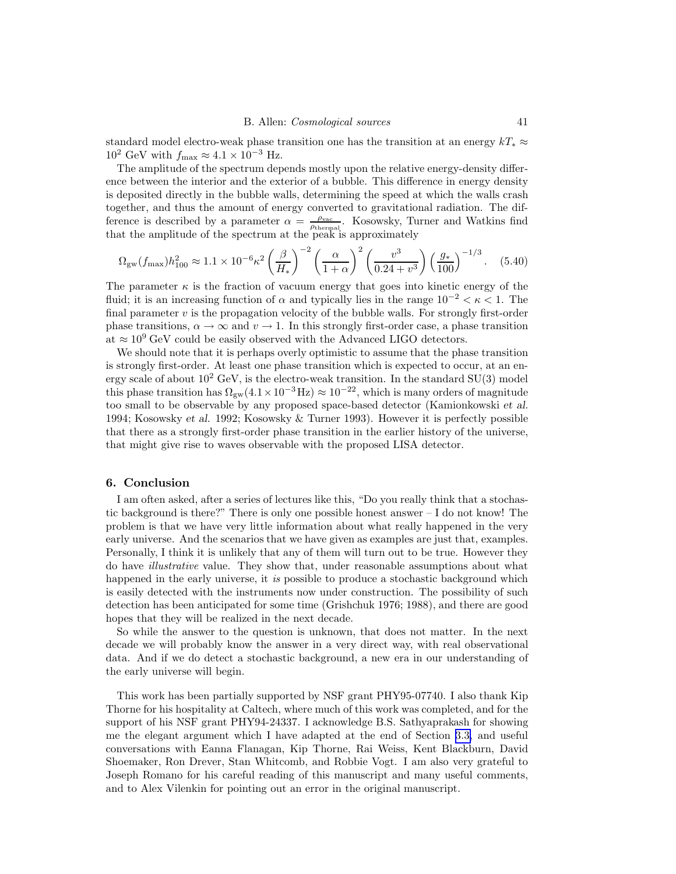standard model electro-weak phase transition one has the transition at an energy  $kT_* \approx$  $10^2$  GeV with  $f_{\text{max}} \approx 4.1 \times 10^{-3}$  Hz.

The amplitude of the spectrum depends mostly upon the relative energy-density difference between the interior and the exterior of a bubble. This difference in energy density is deposited directly in the bubble walls, determining the speed at which the walls crash together, and thus the amount of energy converted to gravitational radiation. The difference is described by a parameter  $\alpha = \frac{\rho_{\text{vac}}}{\rho_{\text{thermal}}}$ . Kosowsky, Turner and Watkins find that the amplitude of the spectrum at the peak is approximately

$$
\Omega_{\rm gw}(f_{\rm max})h_{100}^2 \approx 1.1 \times 10^{-6} \kappa^2 \left(\frac{\beta}{H_*}\right)^{-2} \left(\frac{\alpha}{1+\alpha}\right)^2 \left(\frac{v^3}{0.24+v^3}\right) \left(\frac{g_*}{100}\right)^{-1/3}.
$$
 (5.40)

The parameter  $\kappa$  is the fraction of vacuum energy that goes into kinetic energy of the fluid; it is an increasing function of  $\alpha$  and typically lies in the range  $10^{-2} < \kappa < 1$ . The final parameter  $v$  is the propagation velocity of the bubble walls. For strongly first-order phase transitions,  $\alpha \to \infty$  and  $v \to 1$ . In this strongly first-order case, a phase transition at  $\approx 10^9$  GeV could be easily observed with the Advanced LIGO detectors.

We should note that it is perhaps overly optimistic to assume that the phase transition is strongly first-order. At least one phase transition which is expected to occur, at an energy scale of about  $10^2$  GeV, is the electro-weak transition. In the standard SU(3) model this phase transition has  $\Omega_{\text{gw}}(4.1\times10^{-3}\text{Hz})\approx10^{-22}$ , which is many orders of magnitude too small to be observable by any proposed space-based detector (Kamionkowski et al. 1994; Kosowsky et al. 1992; Kosowsky & Turner 1993). However it is perfectly possible that there as a strongly first-order phase transition in the earlier history of the universe, that might give rise to waves observable with the proposed LISA detector.

#### 6. Conclusion

I am often asked, after a series of lectures like this, "Do you really think that a stochastic background is there?" There is only one possible honest answer – I do not know! The problem is that we have very little information about what really happened in the very early universe. And the scenarios that we have given as examples are just that, examples. Personally, I think it is unlikely that any of them will turn out to be true. However they do have illustrative value. They show that, under reasonable assumptions about what happened in the early universe, it is possible to produce a stochastic background which is easily detected with the instruments now under construction. The possibility of such detection has been anticipated for some time (Grishchuk 1976; 1988), and there are good hopes that they will be realized in the next decade.

So while the answer to the question is unknown, that does not matter. In the next decade we will probably know the answer in a very direct way, with real observational data. And if we do detect a stochastic background, a new era in our understanding of the early universe will begin.

This work has been partially supported by NSF grant PHY95-07740. I also thank Kip Thorne for his hospitality at Caltech, where much of this work was completed, and for the support of his NSF grant PHY94-24337. I acknowledge B.S. Sathyaprakash for showing me the elegant argument which I have adapted at the end of Section [3.3,](#page-13-0) and useful conversations with Eanna Flanagan, Kip Thorne, Rai Weiss, Kent Blackburn, David Shoemaker, Ron Drever, Stan Whitcomb, and Robbie Vogt. I am also very grateful to Joseph Romano for his careful reading of this manuscript and many useful comments, and to Alex Vilenkin for pointing out an error in the original manuscript.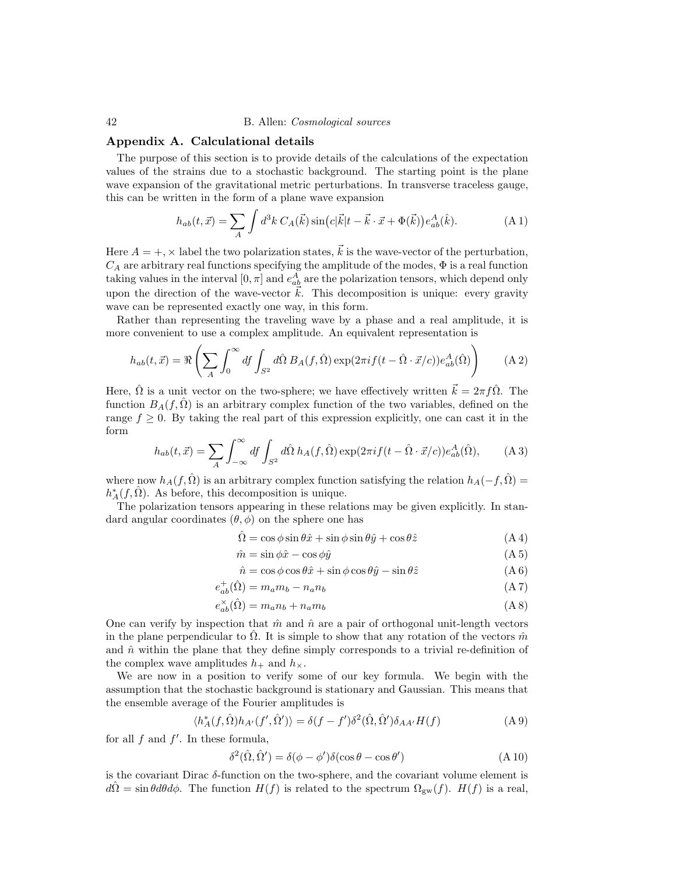## Appendix A. Calculational details

The purpose of this section is to provide details of the calculations of the expectation values of the strains due to a stochastic background. The starting point is the plane wave expansion of the gravitational metric perturbations. In transverse traceless gauge, this can be written in the form of a plane wave expansion

$$
h_{ab}(t,\vec{x}) = \sum_{A} \int d^3k \, C_A(\vec{k}) \sin\left(c|\vec{k}|t - \vec{k} \cdot \vec{x} + \Phi(\vec{k})\right) e_{ab}^A(\hat{k}). \tag{A.1}
$$

Here  $A = +$ ,  $\times$  label the two polarization states,  $\vec{k}$  is the wave-vector of the perturbation,  $C_A$  are arbitrary real functions specifying the amplitude of the modes,  $\Phi$  is a real function taking values in the interval  $[0, \pi]$  and  $e_{ab}^A$  are the polarization tensors, which depend only upon the direction of the wave-vector  $\vec{k}$ . This decomposition is unique: every gravity wave can be represented exactly one way, in this form.

Rather than representing the traveling wave by a phase and a real amplitude, it is more convenient to use a complex amplitude. An equivalent representation is

$$
h_{ab}(t,\vec{x}) = \Re\left(\sum_A \int_0^\infty df \int_{S^2} d\hat{\Omega} B_A(f,\hat{\Omega}) \exp(2\pi i f(t-\hat{\Omega}\cdot\vec{x}/c)) e_{ab}^A(\hat{\Omega})\right) \tag{A.2}
$$

Here,  $\hat{\Omega}$  is a unit vector on the two-sphere; we have effectively written  $\vec{k} = 2\pi f \hat{\Omega}$ . The function  $B_A(f, \hat{\Omega})$  is an arbitrary complex function of the two variables, defined on the range  $f \geq 0$ . By taking the real part of this expression explicitly, one can cast it in the form

$$
h_{ab}(t,\vec{x}) = \sum_{A} \int_{-\infty}^{\infty} df \int_{S^2} d\hat{\Omega} h_A(f,\hat{\Omega}) \exp(2\pi i f(t - \hat{\Omega} \cdot \vec{x}/c)) e_{ab}^A(\hat{\Omega}), \quad (A.3)
$$

where now  $h_A(f, \hat{\Omega})$  is an arbitrary complex function satisfying the relation  $h_A(-f, \hat{\Omega}) =$  $h^*_A(f, \hat{\Omega})$ . As before, this decomposition is unique.

The polarization tensors appearing in these relations may be given explicitly. In standard angular coordinates  $(\theta, \phi)$  on the sphere one has

$$
\hat{\Omega} = \cos\phi \sin\theta \hat{x} + \sin\phi \sin\theta \hat{y} + \cos\theta \hat{z}
$$
 (A 4)

$$
\hat{m} = \sin \phi \hat{x} - \cos \phi \hat{y} \tag{A.5}
$$

$$
\hat{n} = \cos\phi\cos\theta\hat{x} + \sin\phi\cos\theta\hat{y} - \sin\theta\hat{z}
$$
 (A 6)

$$
e_{ab}^+(\hat{\Omega}) = m_a m_b - n_a n_b \tag{A 7}
$$

$$
e_{ab}^{\times}(\hat{\Omega}) = m_a n_b + n_a m_b \tag{A 8}
$$

One can verify by inspection that  $\hat{m}$  and  $\hat{n}$  are a pair of orthogonal unit-length vectors in the plane perpendicular to  $\Omega$ . It is simple to show that any rotation of the vectors  $\hat{m}$ and  $\hat{n}$  within the plane that they define simply corresponds to a trivial re-definition of the complex wave amplitudes  $h_+$  and  $h_{\times}$ .

We are now in a position to verify some of our key formula. We begin with the assumption that the stochastic background is stationary and Gaussian. This means that the ensemble average of the Fourier amplitudes is

$$
\langle h_A^*(f, \hat{\Omega})h_{A'}(f', \hat{\Omega}')\rangle = \delta(f - f')\delta^2(\hat{\Omega}, \hat{\Omega}')\delta_{AA'}H(f)
$$
(A 9)

for all  $f$  and  $f'$ . In these formula,

$$
\delta^{2}(\hat{\Omega}, \hat{\Omega}') = \delta(\phi - \phi')\delta(\cos\theta - \cos\theta')
$$
 (A 10)

is the covariant Dirac  $\delta$ -function on the two-sphere, and the covariant volume element is  $d\Omega = \sin\theta d\theta d\phi$ . The function  $H(f)$  is related to the spectrum  $\Omega_{gw}(f)$ .  $H(f)$  is a real,

<span id="page-41-0"></span>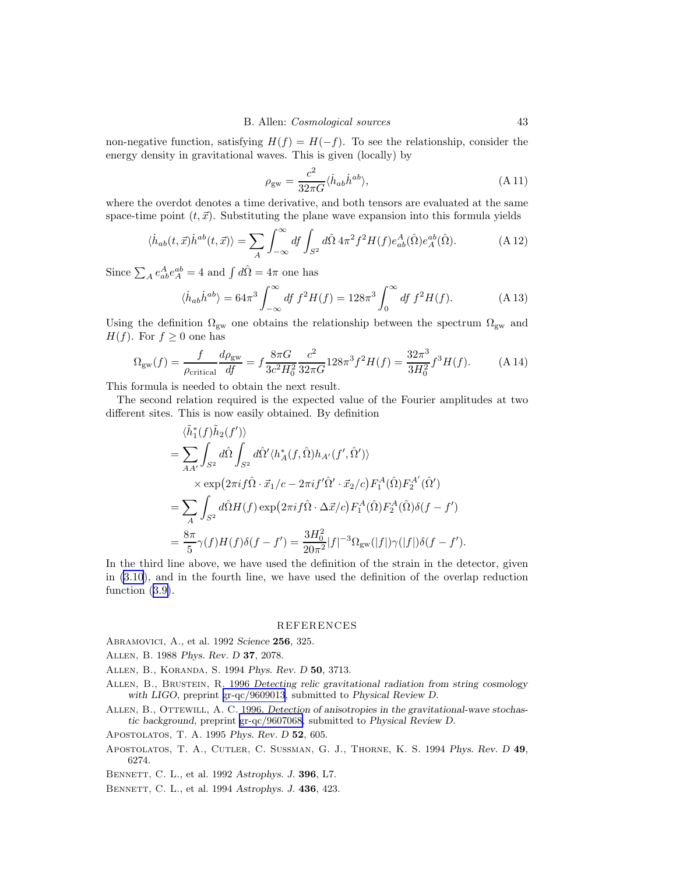<span id="page-42-0"></span>non-negative function, satisfying  $H(f) = H(-f)$ . To see the relationship, consider the energy density in gravitational waves. This is given (locally) by

$$
\rho_{\rm gw} = \frac{c^2}{32\pi G} \langle \dot{h}_{ab} \dot{h}^{ab} \rangle,\tag{A.11}
$$

where the overdot denotes a time derivative, and both tensors are evaluated at the same space-time point  $(t,\vec{x})$ . Substituting the plane wave expansion into this formula yields

$$
\langle \dot{h}_{ab}(t,\vec{x})\dot{h}^{ab}(t,\vec{x})\rangle = \sum_{A} \int_{-\infty}^{\infty} df \int_{S^2} d\hat{\Omega} 4\pi^2 f^2 H(f) e_{ab}^A(\hat{\Omega}) e_A^{ab}(\hat{\Omega}). \tag{A.12}
$$

Since  $\sum_{A} e_{ab}^{A} e_{A}^{ab} = 4$  and  $\int d\hat{\Omega} = 4\pi$  one has

$$
\langle \dot{h}_{ab} \dot{h}^{ab} \rangle = 64\pi^3 \int_{-\infty}^{\infty} df f^2 H(f) = 128\pi^3 \int_0^{\infty} df f^2 H(f). \tag{A.13}
$$

Using the definition  $\Omega_{\rm gw}$  one obtains the relationship between the spectrum  $\Omega_{\rm gw}$  and  $H(f)$ . For  $f \geq 0$  one has

$$
\Omega_{\rm gw}(f) = \frac{f}{\rho_{\rm critical}} \frac{d\rho_{\rm gw}}{df} = f \frac{8\pi G}{3c^2 H_0^2} \frac{c^2}{32\pi G} 128\pi^3 f^2 H(f) = \frac{32\pi^3}{3H_0^2} f^3 H(f). \tag{A.14}
$$

This formula is needed to obtain the next result.

The second relation required is the expected value of the Fourier amplitudes at two different sites. This is now easily obtained. By definition

$$
\langle \tilde{h}_1^*(f) \tilde{h}_2(f') \rangle
$$
\n
$$
= \sum_{AA'} \int_{S^2} d\hat{\Omega} \int_{S^2} d\hat{\Omega}' \langle h_A^*(f, \hat{\Omega}) h_{A'}(f', \hat{\Omega}') \rangle
$$
\n
$$
\times \exp\left(2\pi i f \hat{\Omega} \cdot \vec{x}_1/c - 2\pi i f' \hat{\Omega}' \cdot \vec{x}_2/c\right) F_1^A(\hat{\Omega}) F_2^{A'}(\hat{\Omega}')
$$
\n
$$
= \sum_A \int_{S^2} d\hat{\Omega} H(f) \exp\left(2\pi i f \hat{\Omega} \cdot \Delta \vec{x}/c\right) F_1^A(\hat{\Omega}) F_2^A(\hat{\Omega}) \delta(f - f')
$$
\n
$$
= \frac{8\pi}{5} \gamma(f) H(f) \delta(f - f') = \frac{3H_0^2}{20\pi^2} |f|^{-3} \Omega_{\text{gw}}(|f|) \gamma(|f|) \delta(f - f').
$$

In the third line above, we have used the definition of the strain in the detector, given in [\(3.10](#page-12-0)), and in the fourth line, we have used the definition of the overlap reduction function  $(3.9)$  $(3.9)$ .

#### REFERENCES

Abramovici, A., et al. 1992 *Science* 256, 325.

- Allen, B. 1988 *Phys. Rev. D* 37, 2078.
- Allen, B., Koranda, S. 1994 *Phys. Rev. D* 50, 3713.
- Allen, B., Brustein, R. 1996 *Detecting relic gravitational radiation from string cosmology with LIGO*, preprint [gr-qc/9609013](http://arXiv.org/abs/gr-qc/9609013), submitted to *Physical Review D*.
- ALLEN, B., OTTEWILL, A. C. 1996, *Detection of anisotropies in the gravitational-wave stochastic background*, preprint [gr-qc/9607068,](http://arXiv.org/abs/gr-qc/9607068) submitted to *Physical Review D*.

Apostolatos, T. A. 1995 *Phys. Rev. D* 52, 605.

- Apostolatos, T. A., Cutler, C. Sussman, G. J., Thorne, K. S. 1994 *Phys. Rev. D* 49, 6274.
- Bennett, C. L., et al. 1992 *Astrophys. J.* 396, L7.
- Bennett, C. L., et al. 1994 *Astrophys. J.* 436, 423.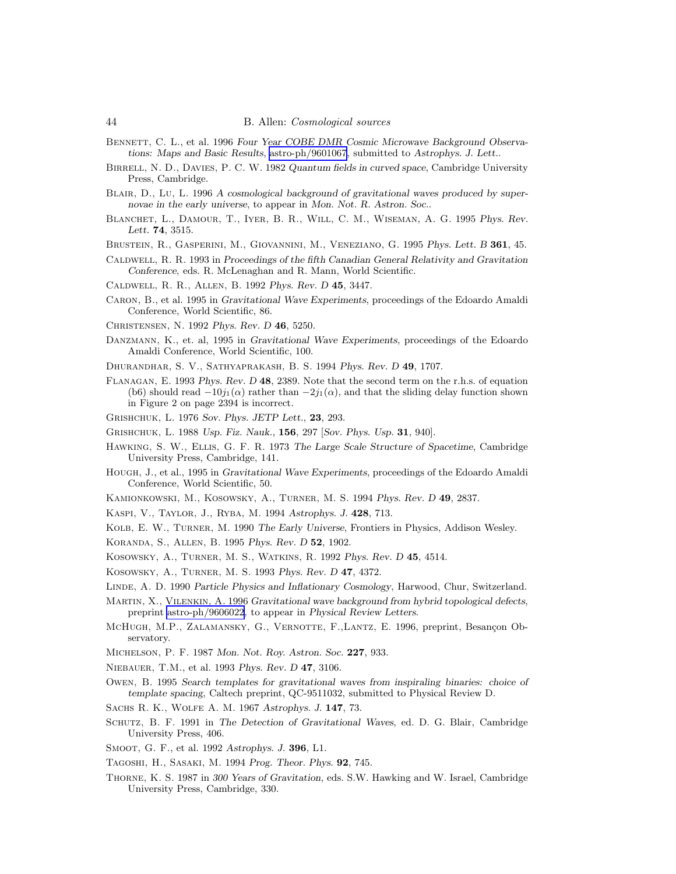- <span id="page-43-0"></span>BENNETT, C. L., et al. 1996 *Four Year COBE DMR Cosmic Microwave Background Observations: Maps and Basic Results*, [astro-ph/9601067](http://arXiv.org/abs/astro-ph/9601067), submitted to *Astrophys. J. Lett.*.
- Birrell, N. D., Davies, P. C. W. 1982 *Quantum fields in curved space*, Cambridge University Press, Cambridge.
- Blair, D., Lu, L. 1996 *A cosmological background of gravitational waves produced by supernovae in the early universe*, to appear in *Mon. Not. R. Astron. Soc.*.
- Blanchet, L., Damour, T., Iyer, B. R., Will, C. M., Wiseman, A. G. 1995 *Phys. Rev. Lett.* 74, 3515.

Brustein, R., Gasperini, M., Giovannini, M., Veneziano, G. 1995 *Phys. Lett. B* 361, 45.

- Caldwell, R. R. 1993 in *Proceedings of the fifth Canadian General Relativity and Gravitation Conference*, eds. R. McLenaghan and R. Mann, World Scientific.
- Caldwell, R. R., Allen, B. 1992 *Phys. Rev. D* 45, 3447.
- Caron, B., et al. 1995 in *Gravitational Wave Experiments*, proceedings of the Edoardo Amaldi Conference, World Scientific, 86.
- Christensen, N. 1992 *Phys. Rev. D* 46, 5250.
- Danzmann, K., et. al, 1995 in *Gravitational Wave Experiments*, proceedings of the Edoardo Amaldi Conference, World Scientific, 100.
- Dhurandhar, S. V., Sathyaprakash, B. S. 1994 *Phys. Rev. D* 49, 1707.
- Flanagan, E. 1993 *Phys. Rev. D* 48, 2389. Note that the second term on the r.h.s. of equation (b6) should read  $-10j_1(\alpha)$  rather than  $-2j_1(\alpha)$ , and that the sliding delay function shown in Figure 2 on page 2394 is incorrect.

Grishchuk, L. 1976 *Sov. Phys. JETP Lett.*, 23, 293.

Grishchuk, L. 1988 *Usp. Fiz. Nauk.*, 156, 297 [*Sov. Phys. Usp.* 31, 940].

- Hawking, S. W., Ellis, G. F. R. 1973 *The Large Scale Structure of Spacetime*, Cambridge University Press, Cambridge, 141.
- Hough, J., et al., 1995 in *Gravitational Wave Experiments*, proceedings of the Edoardo Amaldi Conference, World Scientific, 50.
- Kamionkowski, M., Kosowsky, A., Turner, M. S. 1994 *Phys. Rev. D* 49, 2837.
- Kaspi, V., Taylor, J., Ryba, M. 1994 *Astrophys. J.* 428, 713.
- Kolb, E. W., Turner, M. 1990 *The Early Universe*, Frontiers in Physics, Addison Wesley.
- Koranda, S., Allen, B. 1995 *Phys. Rev. D* 52, 1902.
- Kosowsky, A., Turner, M. S., Watkins, R. 1992 *Phys. Rev. D* 45, 4514.
- Kosowsky, A., Turner, M. S. 1993 *Phys. Rev. D* 47, 4372.
- Linde, A. D. 1990 *Particle Physics and Inflationary Cosmology*, Harwood, Chur, Switzerland.
- Martin, X., Vilenkin, A. 1996 *Gravitational wave background from hybrid topological defects*, preprint [astro-ph/9606022](http://arXiv.org/abs/astro-ph/9606022), to appear in *Physical Review Letters*.
- MCHUGH, M.P., ZALAMANSKY, G., VERNOTTE, F.,LANTZ, E. 1996, preprint, Besancon Observatory.
- Michelson, P. F. 1987 *Mon. Not. Roy. Astron. Soc.* 227, 933.
- Niebauer, T.M., et al. 1993 *Phys. Rev. D* 47, 3106.
- Owen, B. 1995 *Search templates for gravitational waves from inspiraling binaries: choice of template spacing*, Caltech preprint, QC-9511032, submitted to Physical Review D.
- Sachs R. K., Wolfe A. M. 1967 *Astrophys. J.* 147, 73.
- Schutz, B. F. 1991 in *The Detection of Gravitational Waves*, ed. D. G. Blair, Cambridge University Press, 406.
- Smoot, G. F., et al. 1992 *Astrophys. J.* 396, L1.
- Tagoshi, H., Sasaki, M. 1994 *Prog. Theor. Phys.* 92, 745.
- Thorne, K. S. 1987 in *300 Years of Gravitation*, eds. S.W. Hawking and W. Israel, Cambridge University Press, Cambridge, 330.